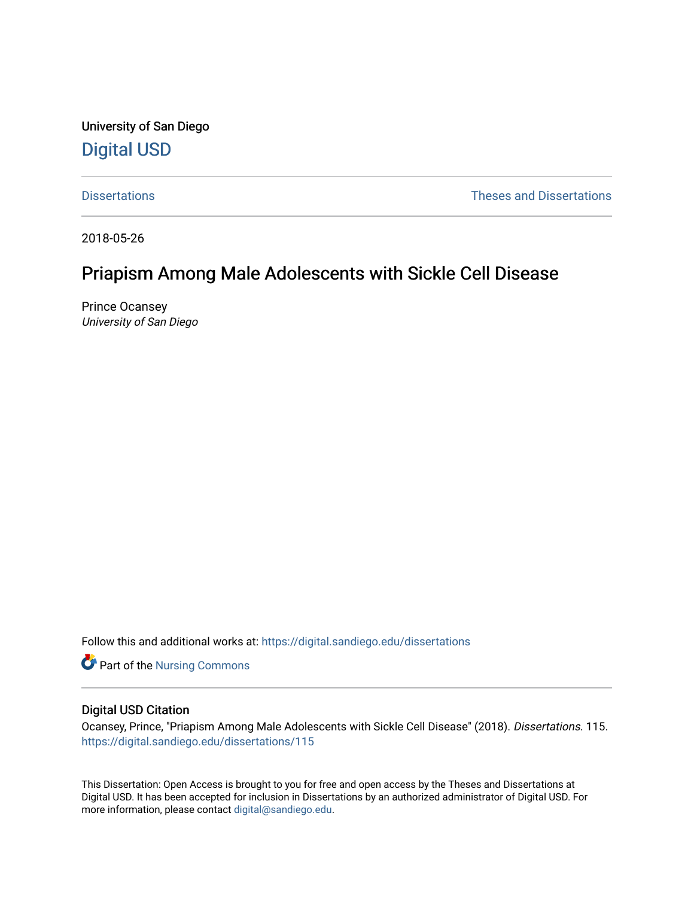University of San Diego [Digital USD](https://digital.sandiego.edu/)

[Dissertations](https://digital.sandiego.edu/dissertations) [Theses and Dissertations](https://digital.sandiego.edu/etd) 

2018-05-26

# Priapism Among Male Adolescents with Sickle Cell Disease

Prince Ocansey University of San Diego

Follow this and additional works at: [https://digital.sandiego.edu/dissertations](https://digital.sandiego.edu/dissertations?utm_source=digital.sandiego.edu%2Fdissertations%2F115&utm_medium=PDF&utm_campaign=PDFCoverPages)

Part of the [Nursing Commons](http://network.bepress.com/hgg/discipline/718?utm_source=digital.sandiego.edu%2Fdissertations%2F115&utm_medium=PDF&utm_campaign=PDFCoverPages) 

### Digital USD Citation

Ocansey, Prince, "Priapism Among Male Adolescents with Sickle Cell Disease" (2018). Dissertations. 115. [https://digital.sandiego.edu/dissertations/115](https://digital.sandiego.edu/dissertations/115?utm_source=digital.sandiego.edu%2Fdissertations%2F115&utm_medium=PDF&utm_campaign=PDFCoverPages)

This Dissertation: Open Access is brought to you for free and open access by the Theses and Dissertations at Digital USD. It has been accepted for inclusion in Dissertations by an authorized administrator of Digital USD. For more information, please contact [digital@sandiego.edu.](mailto:digital@sandiego.edu)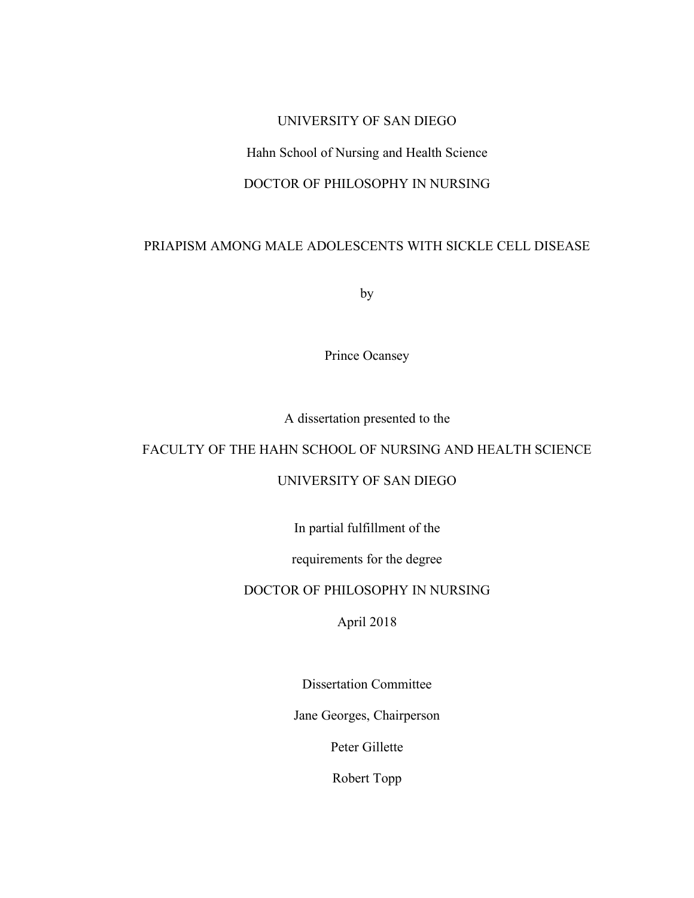### UNIVERSITY OF SAN DIEGO

# Hahn School of Nursing and Health Science

# DOCTOR OF PHILOSOPHY IN NURSING

# PRIAPISM AMONG MALE ADOLESCENTS WITH SICKLE CELL DISEASE

by

Prince Ocansey

A dissertation presented to the

# FACULTY OF THE HAHN SCHOOL OF NURSING AND HEALTH SCIENCE

# UNIVERSITY OF SAN DIEGO

In partial fulfillment of the

requirements for the degree

# DOCTOR OF PHILOSOPHY IN NURSING

April 2018

Dissertation Committee

Jane Georges, Chairperson

Peter Gillette

Robert Topp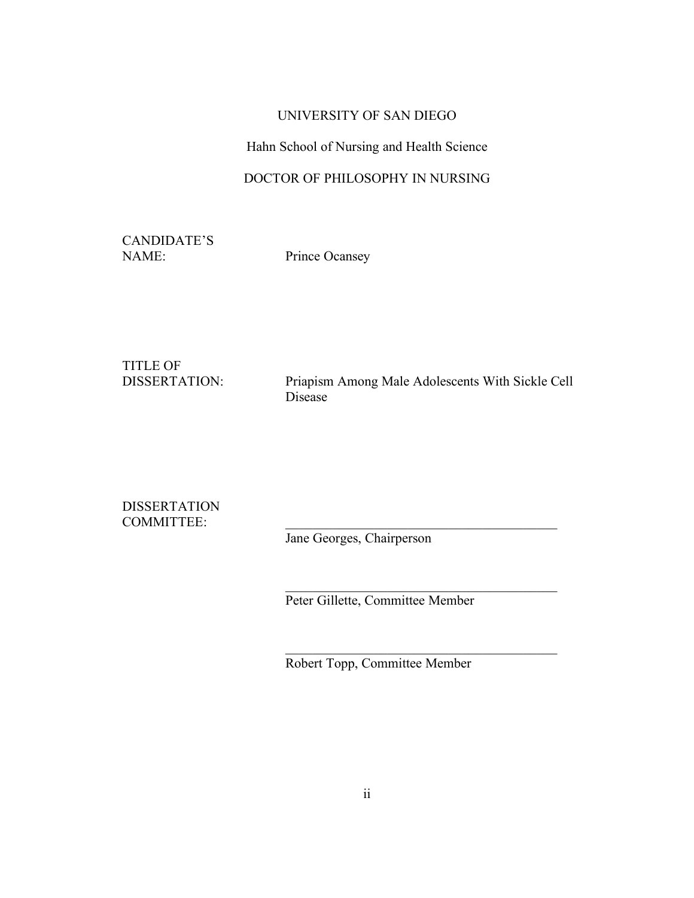# UNIVERSITY OF SAN DIEGO

# Hahn School of Nursing and Health Science

# DOCTOR OF PHILOSOPHY IN NURSING

CANDIDATE'S NAME: Prince Ocansey

TITLE OF

DISSERTATION: Priapism Among Male Adolescents With Sickle Cell Disease

DISSERTATION COMMITTEE:

Jane Georges, Chairperson

Peter Gillette, Committee Member

 $\mathcal{L}_\text{max}$  and  $\mathcal{L}_\text{max}$  and  $\mathcal{L}_\text{max}$  and  $\mathcal{L}_\text{max}$ 

 $\mathcal{L}_\text{max}$  and  $\mathcal{L}_\text{max}$  and  $\mathcal{L}_\text{max}$  and  $\mathcal{L}_\text{max}$ 

Robert Topp, Committee Member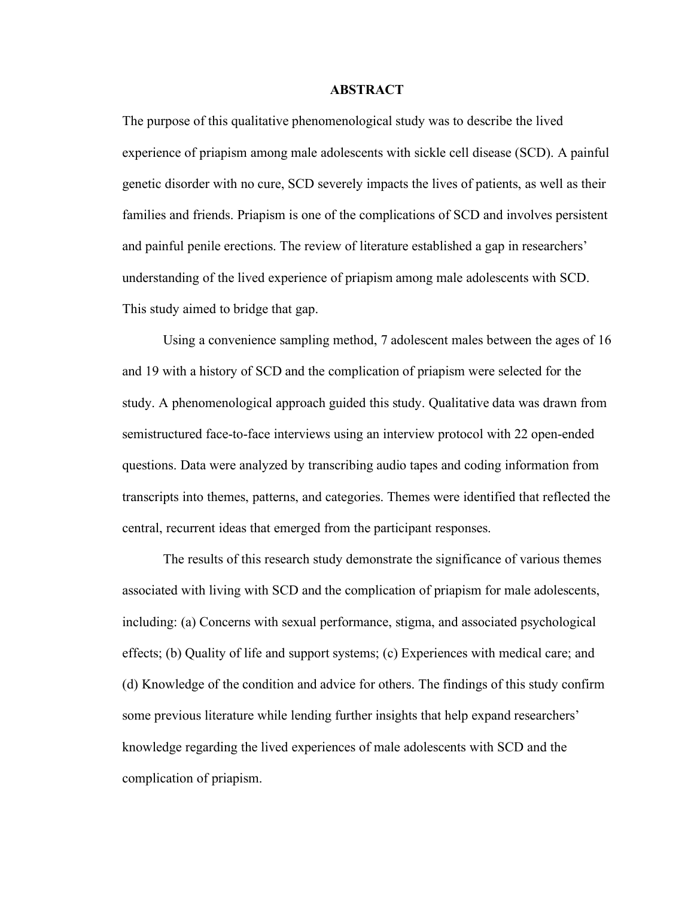#### **ABSTRACT**

The purpose of this qualitative phenomenological study was to describe the lived experience of priapism among male adolescents with sickle cell disease (SCD). A painful genetic disorder with no cure, SCD severely impacts the lives of patients, as well as their families and friends. Priapism is one of the complications of SCD and involves persistent and painful penile erections. The review of literature established a gap in researchers' understanding of the lived experience of priapism among male adolescents with SCD. This study aimed to bridge that gap.

Using a convenience sampling method, 7 adolescent males between the ages of 16 and 19 with a history of SCD and the complication of priapism were selected for the study. A phenomenological approach guided this study. Qualitative data was drawn from semistructured face-to-face interviews using an interview protocol with 22 open-ended questions. Data were analyzed by transcribing audio tapes and coding information from transcripts into themes, patterns, and categories. Themes were identified that reflected the central, recurrent ideas that emerged from the participant responses.

The results of this research study demonstrate the significance of various themes associated with living with SCD and the complication of priapism for male adolescents, including: (a) Concerns with sexual performance, stigma, and associated psychological effects; (b) Quality of life and support systems; (c) Experiences with medical care; and (d) Knowledge of the condition and advice for others. The findings of this study confirm some previous literature while lending further insights that help expand researchers' knowledge regarding the lived experiences of male adolescents with SCD and the complication of priapism.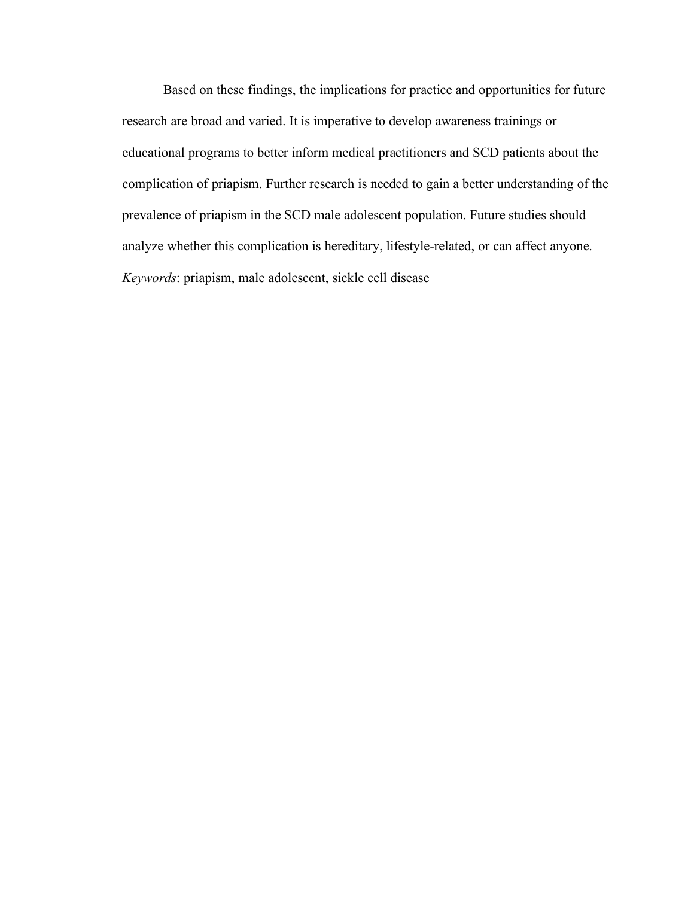Based on these findings, the implications for practice and opportunities for future research are broad and varied. It is imperative to develop awareness trainings or educational programs to better inform medical practitioners and SCD patients about the complication of priapism. Further research is needed to gain a better understanding of the prevalence of priapism in the SCD male adolescent population. Future studies should analyze whether this complication is hereditary, lifestyle-related, or can affect anyone. *Keywords*: priapism, male adolescent, sickle cell disease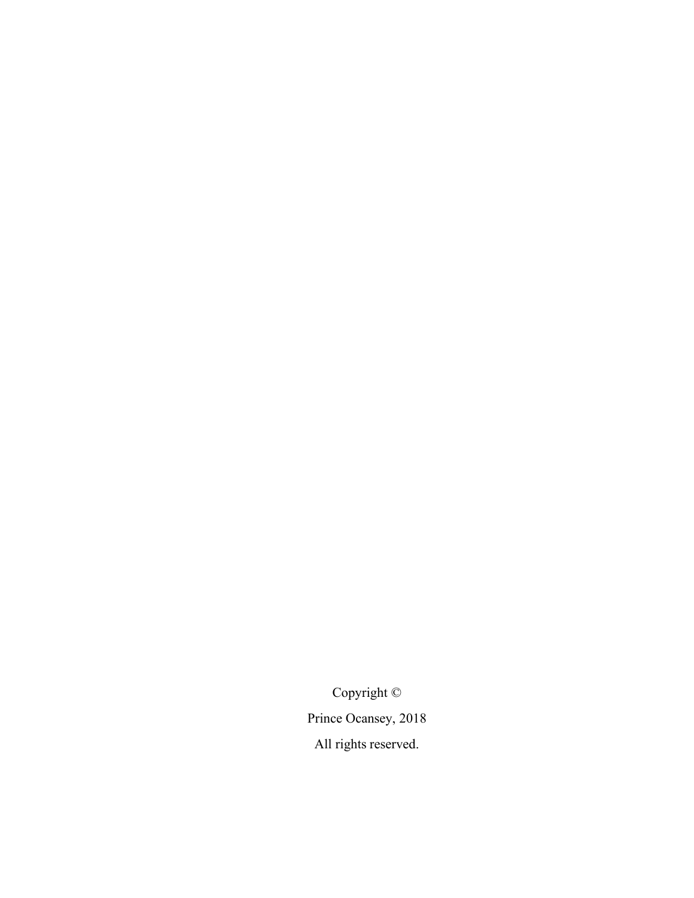Copyright © Prince Ocansey, 2018 All rights reserved.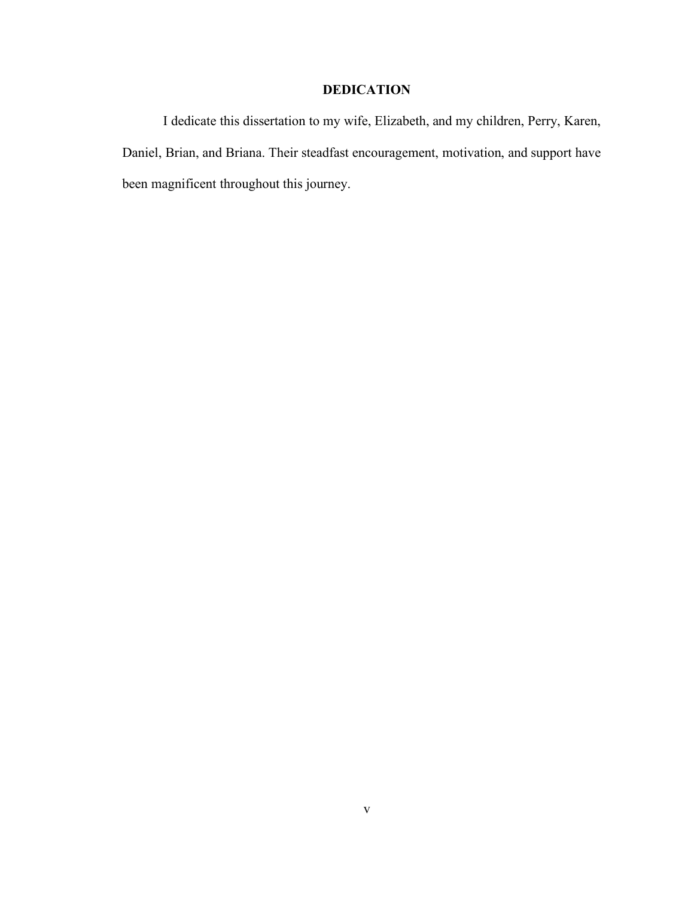# **DEDICATION**

I dedicate this dissertation to my wife, Elizabeth, and my children, Perry, Karen, Daniel, Brian, and Briana. Their steadfast encouragement, motivation, and support have been magnificent throughout this journey.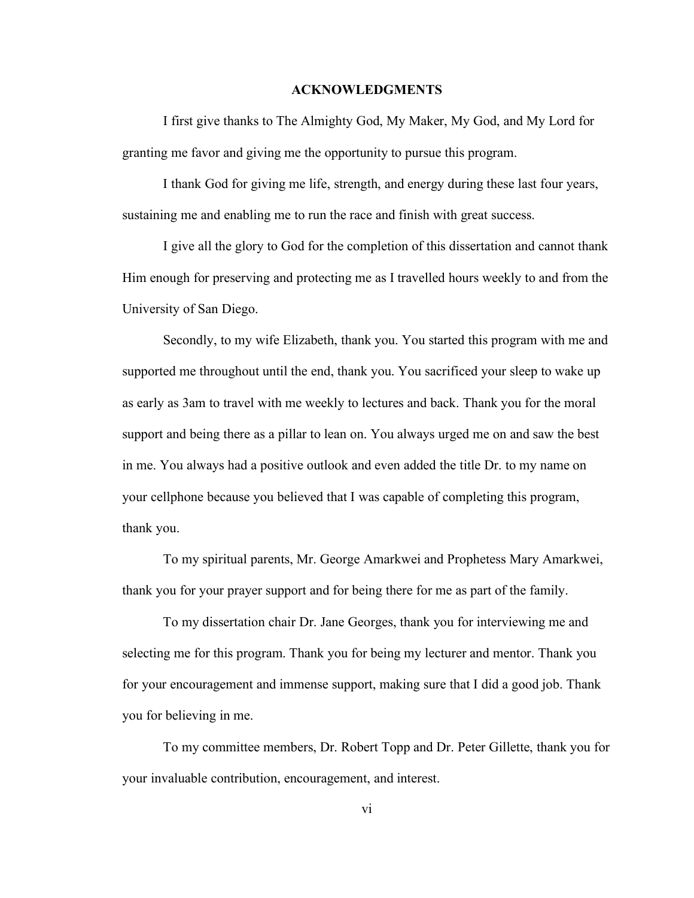#### **ACKNOWLEDGMENTS**

I first give thanks to The Almighty God, My Maker, My God, and My Lord for granting me favor and giving me the opportunity to pursue this program.

I thank God for giving me life, strength, and energy during these last four years, sustaining me and enabling me to run the race and finish with great success.

I give all the glory to God for the completion of this dissertation and cannot thank Him enough for preserving and protecting me as I travelled hours weekly to and from the University of San Diego.

Secondly, to my wife Elizabeth, thank you. You started this program with me and supported me throughout until the end, thank you. You sacrificed your sleep to wake up as early as 3am to travel with me weekly to lectures and back. Thank you for the moral support and being there as a pillar to lean on. You always urged me on and saw the best in me. You always had a positive outlook and even added the title Dr. to my name on your cellphone because you believed that I was capable of completing this program, thank you.

To my spiritual parents, Mr. George Amarkwei and Prophetess Mary Amarkwei, thank you for your prayer support and for being there for me as part of the family.

To my dissertation chair Dr. Jane Georges, thank you for interviewing me and selecting me for this program. Thank you for being my lecturer and mentor. Thank you for your encouragement and immense support, making sure that I did a good job. Thank you for believing in me.

To my committee members, Dr. Robert Topp and Dr. Peter Gillette, thank you for your invaluable contribution, encouragement, and interest.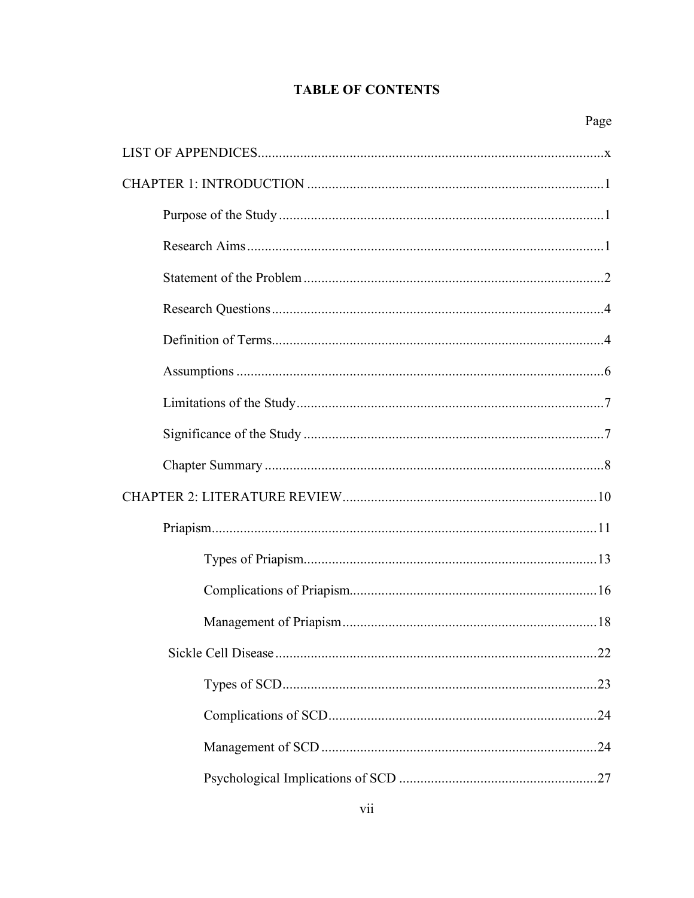# **TABLE OF CONTENTS**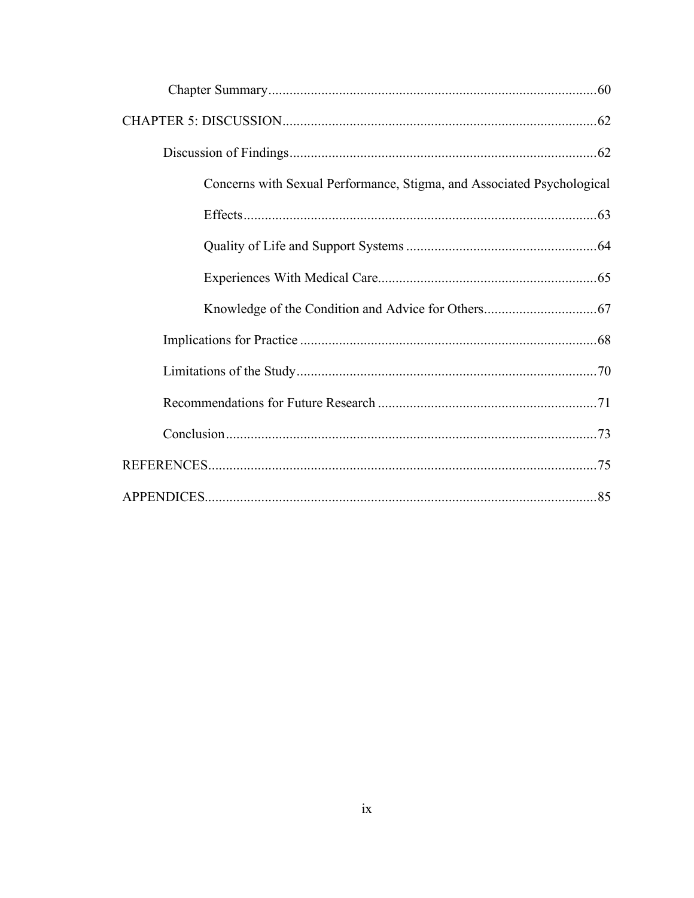| Concerns with Sexual Performance, Stigma, and Associated Psychological |  |
|------------------------------------------------------------------------|--|
|                                                                        |  |
|                                                                        |  |
|                                                                        |  |
|                                                                        |  |
|                                                                        |  |
|                                                                        |  |
|                                                                        |  |
|                                                                        |  |
|                                                                        |  |
| . 85                                                                   |  |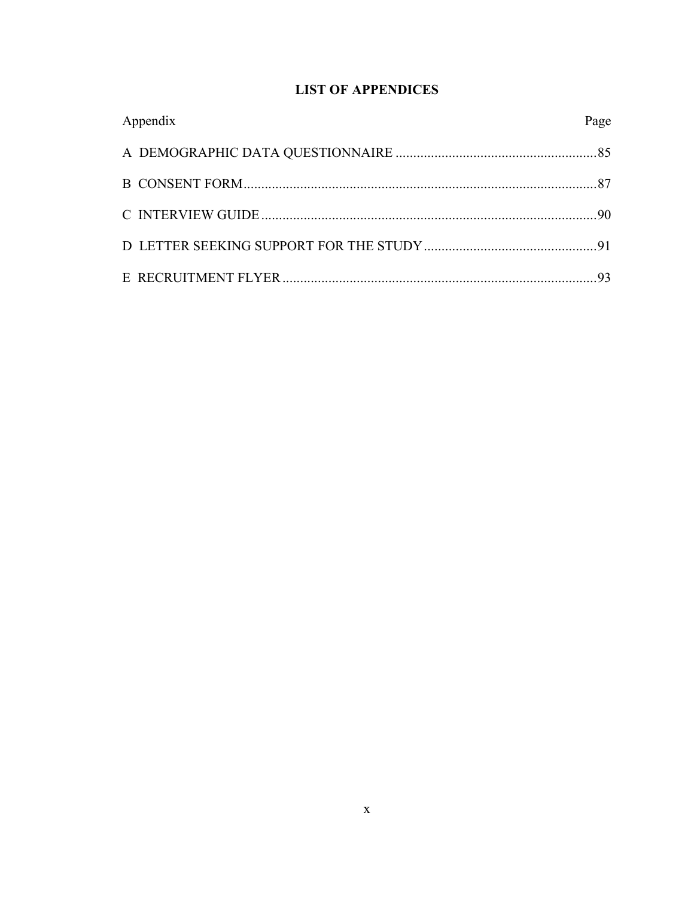# **LIST OF APPENDICES**

| Appendix | Page |
|----------|------|
|          |      |
|          |      |
|          |      |
|          |      |
|          | 93   |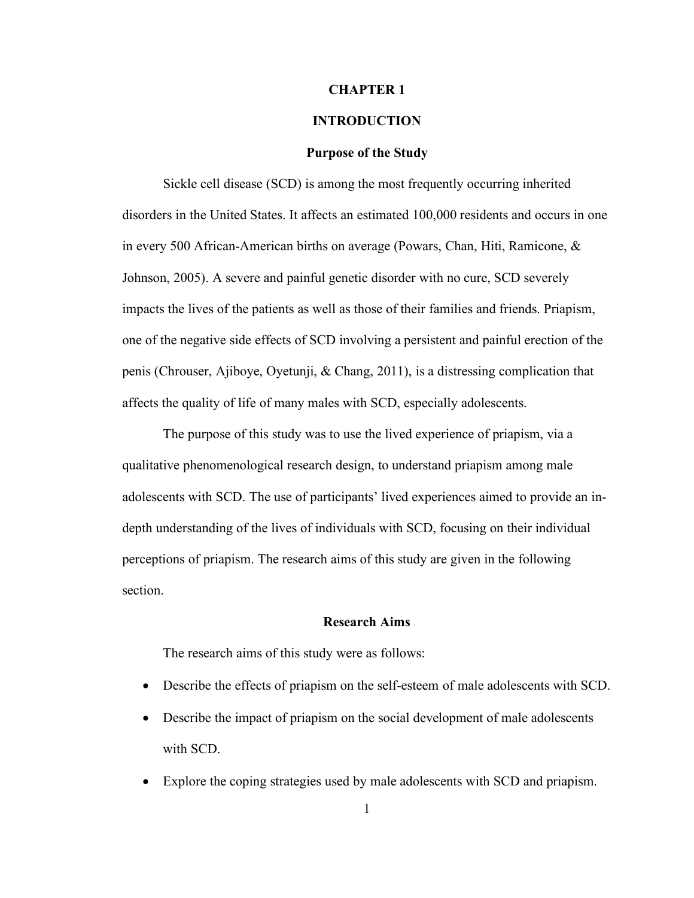#### **CHAPTER 1**

### **INTRODUCTION**

#### **Purpose of the Study**

Sickle cell disease (SCD) is among the most frequently occurring inherited disorders in the United States. It affects an estimated 100,000 residents and occurs in one in every 500 African-American births on average (Powars, Chan, Hiti, Ramicone, & Johnson, 2005). A severe and painful genetic disorder with no cure, SCD severely impacts the lives of the patients as well as those of their families and friends. Priapism, one of the negative side effects of SCD involving a persistent and painful erection of the penis (Chrouser, Ajiboye, Oyetunji, & Chang, 2011), is a distressing complication that affects the quality of life of many males with SCD, especially adolescents.

The purpose of this study was to use the lived experience of priapism, via a qualitative phenomenological research design, to understand priapism among male adolescents with SCD. The use of participants' lived experiences aimed to provide an indepth understanding of the lives of individuals with SCD, focusing on their individual perceptions of priapism. The research aims of this study are given in the following section.

#### **Research Aims**

The research aims of this study were as follows:

- Describe the effects of priapism on the self-esteem of male adolescents with SCD.
- Describe the impact of priapism on the social development of male adolescents with SCD.
- Explore the coping strategies used by male adolescents with SCD and priapism.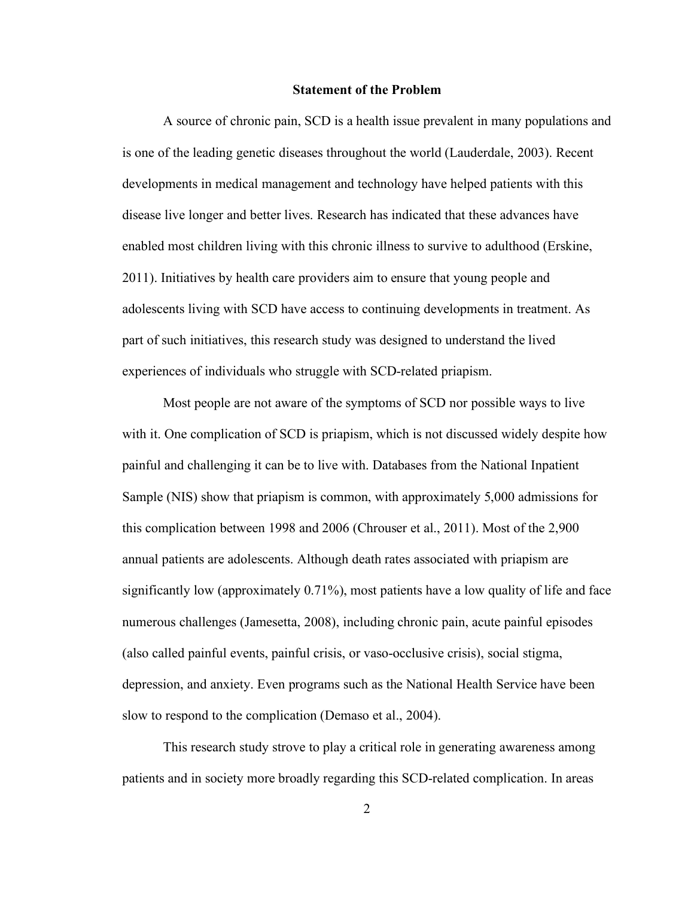#### **Statement of the Problem**

A source of chronic pain, SCD is a health issue prevalent in many populations and is one of the leading genetic diseases throughout the world (Lauderdale, 2003). Recent developments in medical management and technology have helped patients with this disease live longer and better lives. Research has indicated that these advances have enabled most children living with this chronic illness to survive to adulthood (Erskine, 2011). Initiatives by health care providers aim to ensure that young people and adolescents living with SCD have access to continuing developments in treatment. As part of such initiatives, this research study was designed to understand the lived experiences of individuals who struggle with SCD-related priapism.

Most people are not aware of the symptoms of SCD nor possible ways to live with it. One complication of SCD is priapism, which is not discussed widely despite how painful and challenging it can be to live with. Databases from the National Inpatient Sample (NIS) show that priapism is common, with approximately 5,000 admissions for this complication between 1998 and 2006 (Chrouser et al., 2011). Most of the 2,900 annual patients are adolescents. Although death rates associated with priapism are significantly low (approximately 0.71%), most patients have a low quality of life and face numerous challenges (Jamesetta, 2008), including chronic pain, acute painful episodes (also called painful events, painful crisis, or vaso-occlusive crisis), social stigma, depression, and anxiety. Even programs such as the National Health Service have been slow to respond to the complication (Demaso et al., 2004).

This research study strove to play a critical role in generating awareness among patients and in society more broadly regarding this SCD-related complication. In areas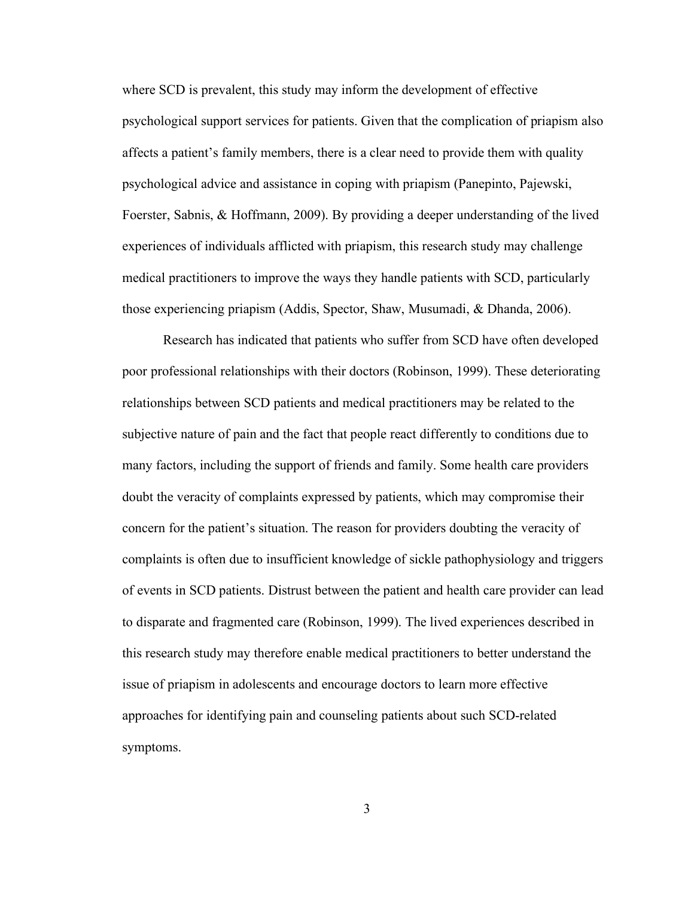where SCD is prevalent, this study may inform the development of effective psychological support services for patients. Given that the complication of priapism also affects a patient's family members, there is a clear need to provide them with quality psychological advice and assistance in coping with priapism (Panepinto, Pajewski, Foerster, Sabnis, & Hoffmann, 2009). By providing a deeper understanding of the lived experiences of individuals afflicted with priapism, this research study may challenge medical practitioners to improve the ways they handle patients with SCD, particularly those experiencing priapism (Addis, Spector, Shaw, Musumadi, & Dhanda, 2006).

Research has indicated that patients who suffer from SCD have often developed poor professional relationships with their doctors (Robinson, 1999). These deteriorating relationships between SCD patients and medical practitioners may be related to the subjective nature of pain and the fact that people react differently to conditions due to many factors, including the support of friends and family. Some health care providers doubt the veracity of complaints expressed by patients, which may compromise their concern for the patient's situation. The reason for providers doubting the veracity of complaints is often due to insufficient knowledge of sickle pathophysiology and triggers of events in SCD patients. Distrust between the patient and health care provider can lead to disparate and fragmented care (Robinson, 1999). The lived experiences described in this research study may therefore enable medical practitioners to better understand the issue of priapism in adolescents and encourage doctors to learn more effective approaches for identifying pain and counseling patients about such SCD-related symptoms.

3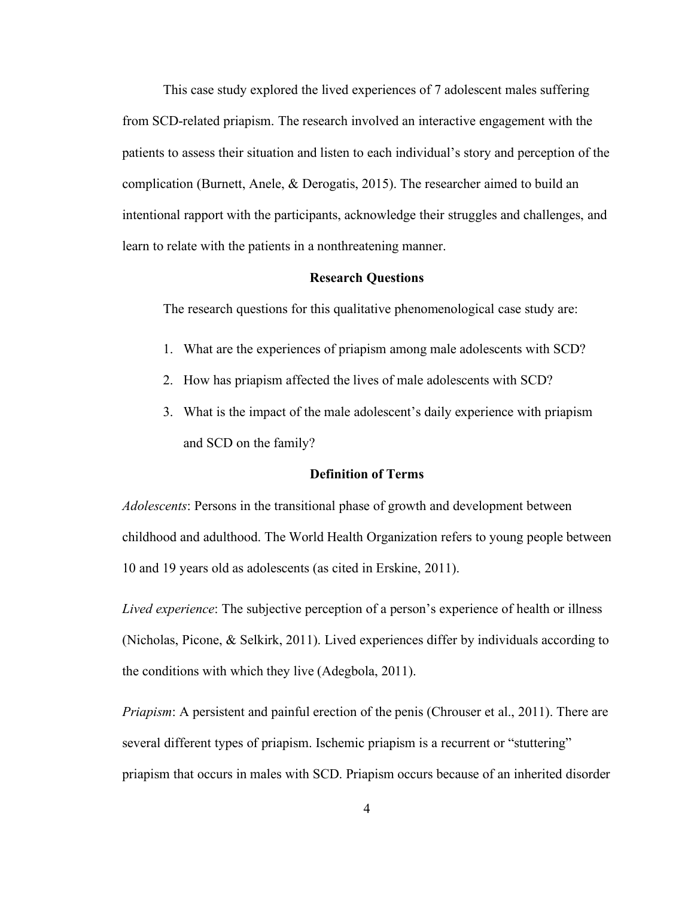This case study explored the lived experiences of 7 adolescent males suffering from SCD-related priapism. The research involved an interactive engagement with the patients to assess their situation and listen to each individual's story and perception of the complication (Burnett, Anele, & Derogatis, 2015). The researcher aimed to build an intentional rapport with the participants, acknowledge their struggles and challenges, and learn to relate with the patients in a nonthreatening manner.

#### **Research Questions**

The research questions for this qualitative phenomenological case study are:

- 1. What are the experiences of priapism among male adolescents with SCD?
- 2. How has priapism affected the lives of male adolescents with SCD?
- 3. What is the impact of the male adolescent's daily experience with priapism and SCD on the family?

### **Definition of Terms**

*Adolescents*: Persons in the transitional phase of growth and development between childhood and adulthood. The World Health Organization refers to young people between 10 and 19 years old as adolescents (as cited in Erskine, 2011).

*Lived experience*: The subjective perception of a person's experience of health or illness (Nicholas, Picone, & Selkirk, 2011). Lived experiences differ by individuals according to the conditions with which they live (Adegbola, 2011).

*Priapism*: A persistent and painful erection of the penis (Chrouser et al., 2011). There are several different types of priapism. Ischemic priapism is a recurrent or "stuttering" priapism that occurs in males with SCD. Priapism occurs because of an inherited disorder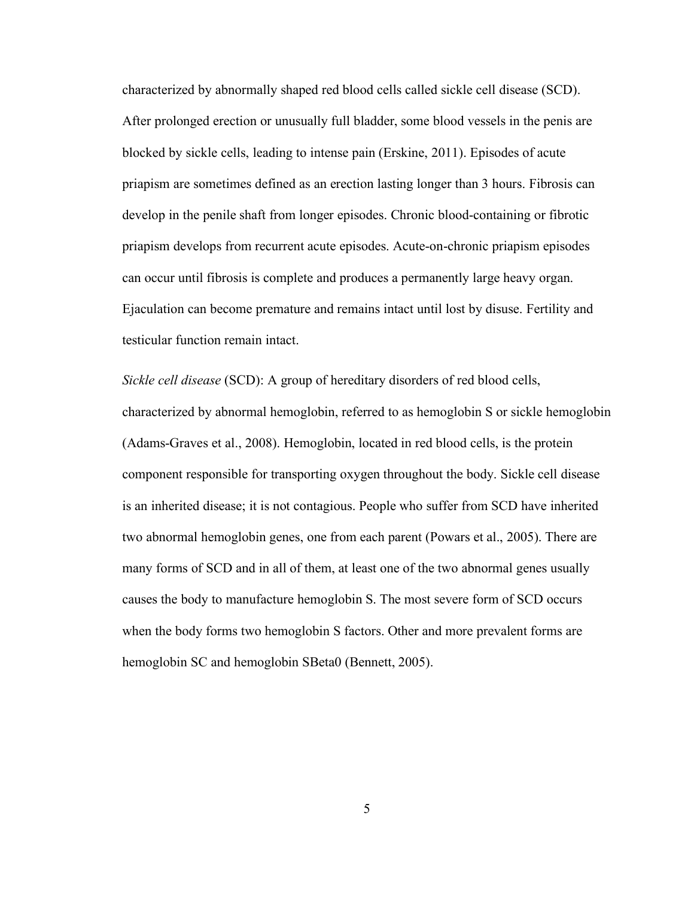characterized by abnormally shaped red blood cells called sickle cell disease (SCD). After prolonged erection or unusually full bladder, some blood vessels in the penis are blocked by sickle cells, leading to intense pain (Erskine, 2011). Episodes of acute priapism are sometimes defined as an erection lasting longer than 3 hours. Fibrosis can develop in the penile shaft from longer episodes. Chronic blood-containing or fibrotic priapism develops from recurrent acute episodes. Acute-on-chronic priapism episodes can occur until fibrosis is complete and produces a permanently large heavy organ. Ejaculation can become premature and remains intact until lost by disuse. Fertility and testicular function remain intact.

*Sickle cell disease* (SCD): A group of hereditary disorders of red blood cells, characterized by abnormal hemoglobin, referred to as hemoglobin S or sickle hemoglobin (Adams-Graves et al., 2008). Hemoglobin, located in red blood cells, is the protein component responsible for transporting oxygen throughout the body. Sickle cell disease is an inherited disease; it is not contagious. People who suffer from SCD have inherited two abnormal hemoglobin genes, one from each parent (Powars et al., 2005). There are many forms of SCD and in all of them, at least one of the two abnormal genes usually causes the body to manufacture hemoglobin S. The most severe form of SCD occurs when the body forms two hemoglobin S factors. Other and more prevalent forms are hemoglobin SC and hemoglobin SBeta0 (Bennett, 2005).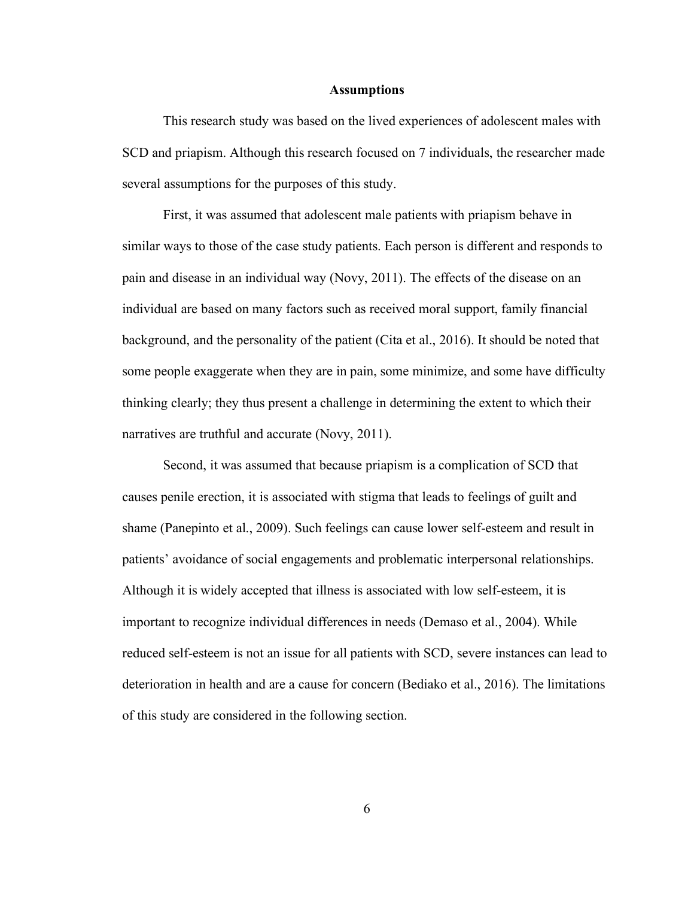#### **Assumptions**

This research study was based on the lived experiences of adolescent males with SCD and priapism. Although this research focused on 7 individuals, the researcher made several assumptions for the purposes of this study.

First, it was assumed that adolescent male patients with priapism behave in similar ways to those of the case study patients. Each person is different and responds to pain and disease in an individual way (Novy, 2011). The effects of the disease on an individual are based on many factors such as received moral support, family financial background, and the personality of the patient (Cita et al., 2016). It should be noted that some people exaggerate when they are in pain, some minimize, and some have difficulty thinking clearly; they thus present a challenge in determining the extent to which their narratives are truthful and accurate (Novy, 2011).

Second, it was assumed that because priapism is a complication of SCD that causes penile erection, it is associated with stigma that leads to feelings of guilt and shame (Panepinto et al., 2009). Such feelings can cause lower self-esteem and result in patients' avoidance of social engagements and problematic interpersonal relationships. Although it is widely accepted that illness is associated with low self-esteem, it is important to recognize individual differences in needs (Demaso et al., 2004). While reduced self-esteem is not an issue for all patients with SCD, severe instances can lead to deterioration in health and are a cause for concern (Bediako et al., 2016). The limitations of this study are considered in the following section.

6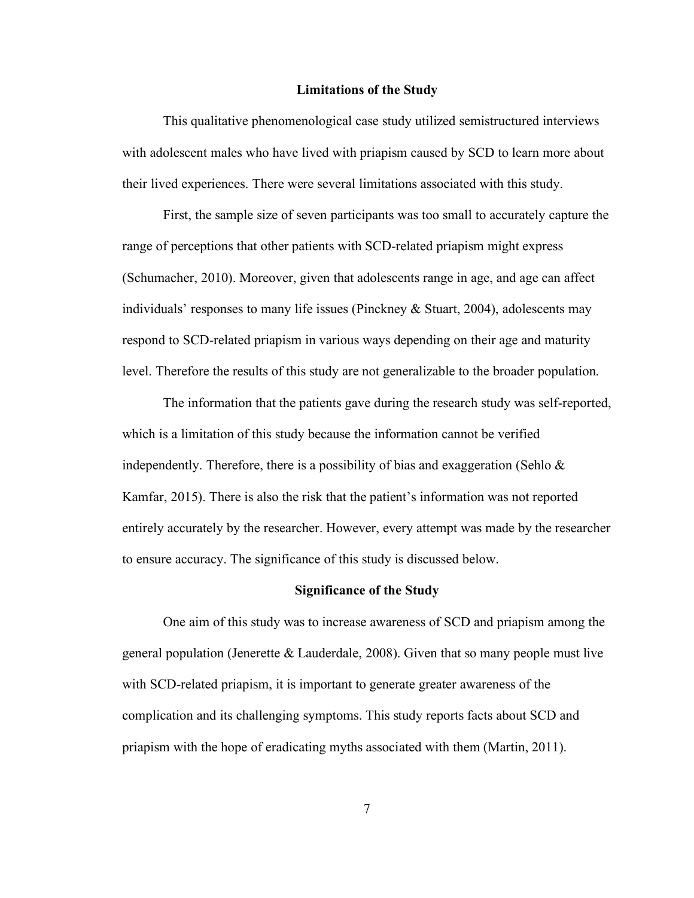#### **Limitations of the Study**

This qualitative phenomenological case study utilized semistructured interviews with adolescent males who have lived with priapism caused by SCD to learn more about their lived experiences. There were several limitations associated with this study.

First, the sample size of seven participants was too small to accurately capture the range of perceptions that other patients with SCD-related priapism might express (Schumacher, 2010). Moreover, given that adolescents range in age, and age can affect individuals' responses to many life issues (Pinckney  $\&$  Stuart, 2004), adolescents may respond to SCD-related priapism in various ways depending on their age and maturity level. Therefore the results of this study are not generalizable to the broader population.

The information that the patients gave during the research study was self-reported, which is a limitation of this study because the information cannot be verified independently. Therefore, there is a possibility of bias and exaggeration (Sehlo  $\&$ Kamfar, 2015). There is also the risk that the patient's information was not reported entirely accurately by the researcher. However, every attempt was made by the researcher to ensure accuracy. The significance of this study is discussed below.

#### **Significance of the Study**

One aim of this study was to increase awareness of SCD and priapism among the general population (Jenerette & Lauderdale, 2008). Given that so many people must live with SCD-related priapism, it is important to generate greater awareness of the complication and its challenging symptoms. This study reports facts about SCD and priapism with the hope of eradicating myths associated with them (Martin, 2011).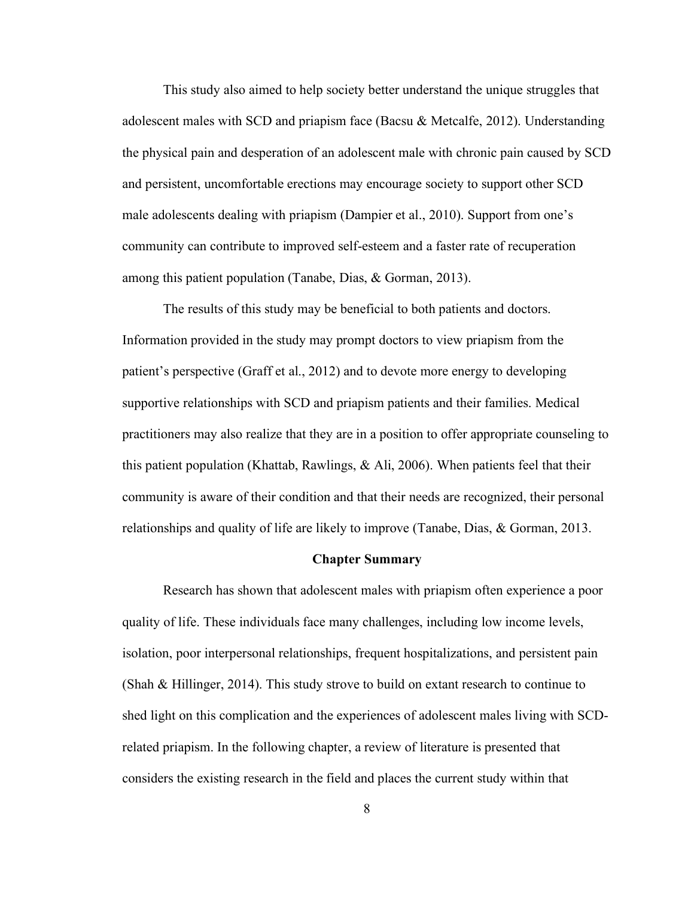This study also aimed to help society better understand the unique struggles that adolescent males with SCD and priapism face (Bacsu & Metcalfe, 2012). Understanding the physical pain and desperation of an adolescent male with chronic pain caused by SCD and persistent, uncomfortable erections may encourage society to support other SCD male adolescents dealing with priapism (Dampier et al., 2010). Support from one's community can contribute to improved self-esteem and a faster rate of recuperation among this patient population (Tanabe, Dias, & Gorman, 2013).

The results of this study may be beneficial to both patients and doctors. Information provided in the study may prompt doctors to view priapism from the patient's perspective (Graff et al., 2012) and to devote more energy to developing supportive relationships with SCD and priapism patients and their families. Medical practitioners may also realize that they are in a position to offer appropriate counseling to this patient population (Khattab, Rawlings, & Ali, 2006). When patients feel that their community is aware of their condition and that their needs are recognized, their personal relationships and quality of life are likely to improve (Tanabe, Dias, & Gorman, 2013.

#### **Chapter Summary**

Research has shown that adolescent males with priapism often experience a poor quality of life. These individuals face many challenges, including low income levels, isolation, poor interpersonal relationships, frequent hospitalizations, and persistent pain (Shah & Hillinger, 2014). This study strove to build on extant research to continue to shed light on this complication and the experiences of adolescent males living with SCDrelated priapism. In the following chapter, a review of literature is presented that considers the existing research in the field and places the current study within that

8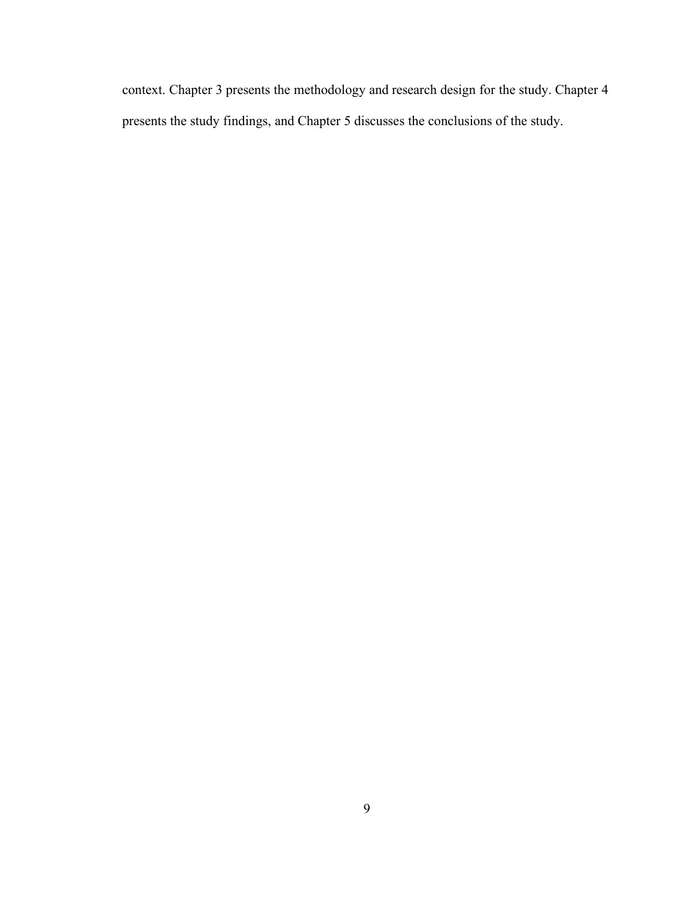context. Chapter 3 presents the methodology and research design for the study. Chapter 4 presents the study findings, and Chapter 5 discusses the conclusions of the study.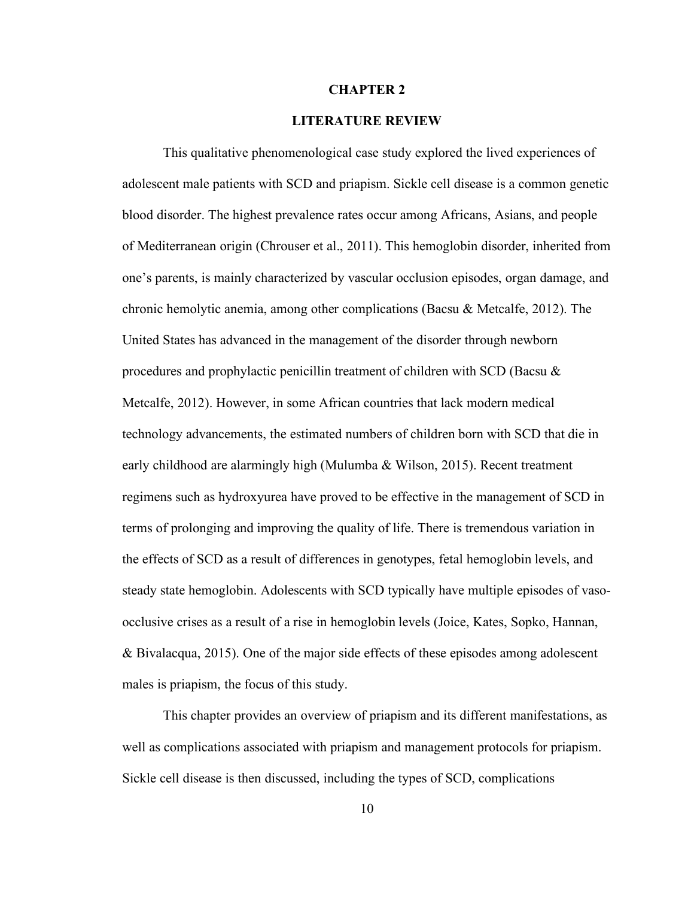#### **CHAPTER 2**

### **LITERATURE REVIEW**

This qualitative phenomenological case study explored the lived experiences of adolescent male patients with SCD and priapism. Sickle cell disease is a common genetic blood disorder. The highest prevalence rates occur among Africans, Asians, and people of Mediterranean origin (Chrouser et al., 2011). This hemoglobin disorder, inherited from one's parents, is mainly characterized by vascular occlusion episodes, organ damage, and chronic hemolytic anemia, among other complications (Bacsu & Metcalfe, 2012). The United States has advanced in the management of the disorder through newborn procedures and prophylactic penicillin treatment of children with SCD (Bacsu & Metcalfe, 2012). However, in some African countries that lack modern medical technology advancements, the estimated numbers of children born with SCD that die in early childhood are alarmingly high (Mulumba & Wilson, 2015). Recent treatment regimens such as hydroxyurea have proved to be effective in the management of SCD in terms of prolonging and improving the quality of life. There is tremendous variation in the effects of SCD as a result of differences in genotypes, fetal hemoglobin levels, and steady state hemoglobin. Adolescents with SCD typically have multiple episodes of vasoocclusive crises as a result of a rise in hemoglobin levels (Joice, Kates, Sopko, Hannan, & Bivalacqua, 2015). One of the major side effects of these episodes among adolescent males is priapism, the focus of this study.

This chapter provides an overview of priapism and its different manifestations, as well as complications associated with priapism and management protocols for priapism. Sickle cell disease is then discussed, including the types of SCD, complications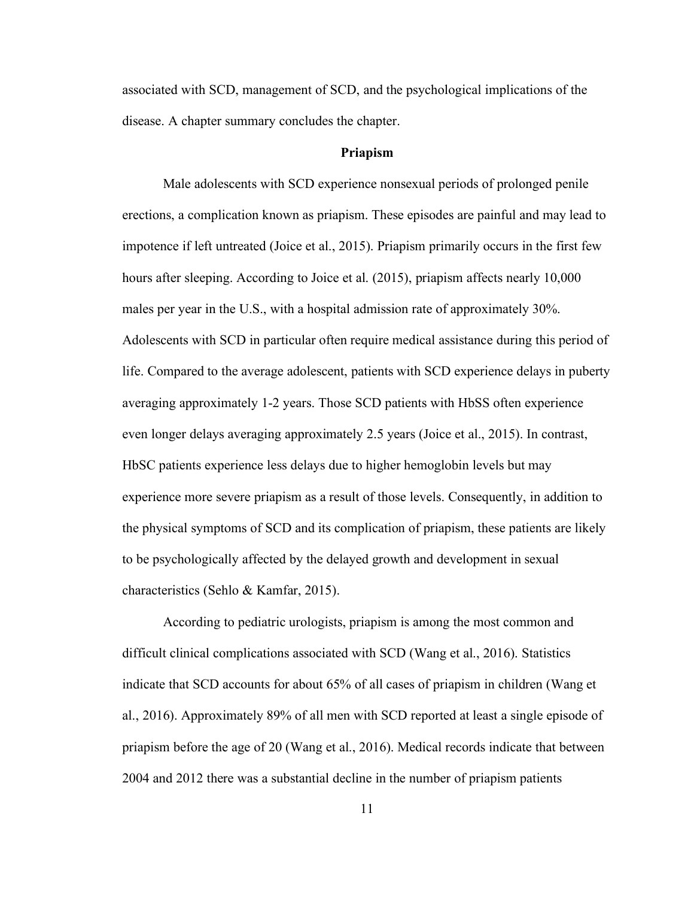associated with SCD, management of SCD, and the psychological implications of the disease. A chapter summary concludes the chapter.

#### **Priapism**

Male adolescents with SCD experience nonsexual periods of prolonged penile erections, a complication known as priapism. These episodes are painful and may lead to impotence if left untreated (Joice et al., 2015). Priapism primarily occurs in the first few hours after sleeping. According to Joice et al. (2015), priapism affects nearly 10,000 males per year in the U.S., with a hospital admission rate of approximately 30%. Adolescents with SCD in particular often require medical assistance during this period of life. Compared to the average adolescent, patients with SCD experience delays in puberty averaging approximately 1-2 years. Those SCD patients with HbSS often experience even longer delays averaging approximately 2.5 years (Joice et al., 2015). In contrast, HbSC patients experience less delays due to higher hemoglobin levels but may experience more severe priapism as a result of those levels. Consequently, in addition to the physical symptoms of SCD and its complication of priapism, these patients are likely to be psychologically affected by the delayed growth and development in sexual characteristics (Sehlo & Kamfar, 2015).

According to pediatric urologists, priapism is among the most common and difficult clinical complications associated with SCD (Wang et al., 2016). Statistics indicate that SCD accounts for about 65% of all cases of priapism in children (Wang et al., 2016). Approximately 89% of all men with SCD reported at least a single episode of priapism before the age of 20 (Wang et al., 2016). Medical records indicate that between 2004 and 2012 there was a substantial decline in the number of priapism patients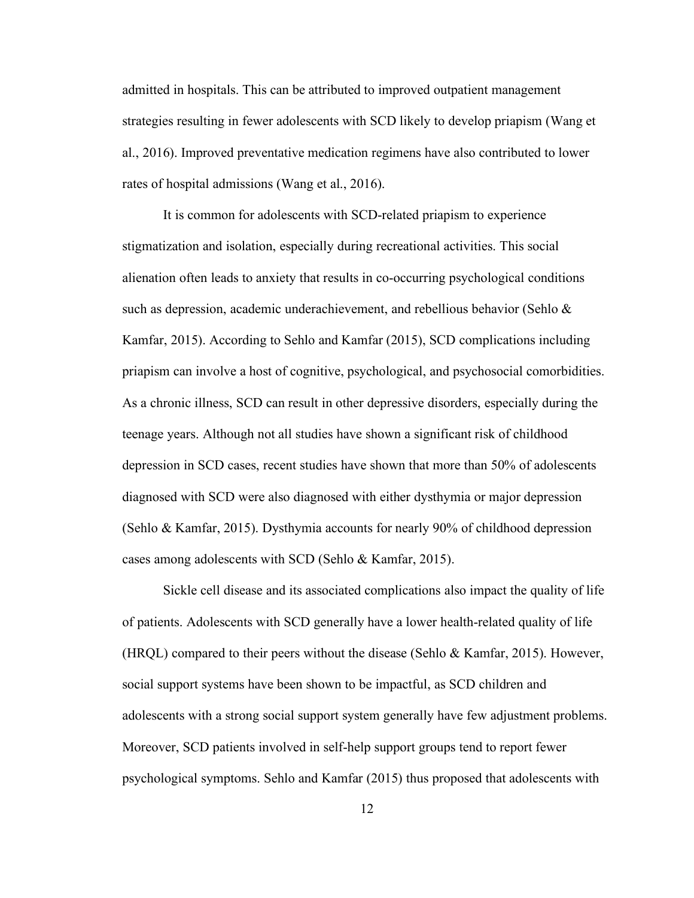admitted in hospitals. This can be attributed to improved outpatient management strategies resulting in fewer adolescents with SCD likely to develop priapism (Wang et al., 2016). Improved preventative medication regimens have also contributed to lower rates of hospital admissions (Wang et al., 2016).

It is common for adolescents with SCD-related priapism to experience stigmatization and isolation, especially during recreational activities. This social alienation often leads to anxiety that results in co-occurring psychological conditions such as depression, academic underachievement, and rebellious behavior (Sehlo & Kamfar, 2015). According to Sehlo and Kamfar (2015), SCD complications including priapism can involve a host of cognitive, psychological, and psychosocial comorbidities. As a chronic illness, SCD can result in other depressive disorders, especially during the teenage years. Although not all studies have shown a significant risk of childhood depression in SCD cases, recent studies have shown that more than 50% of adolescents diagnosed with SCD were also diagnosed with either dysthymia or major depression (Sehlo & Kamfar, 2015). Dysthymia accounts for nearly 90% of childhood depression cases among adolescents with SCD (Sehlo & Kamfar, 2015).

Sickle cell disease and its associated complications also impact the quality of life of patients. Adolescents with SCD generally have a lower health-related quality of life (HRQL) compared to their peers without the disease (Sehlo & Kamfar, 2015). However, social support systems have been shown to be impactful, as SCD children and adolescents with a strong social support system generally have few adjustment problems. Moreover, SCD patients involved in self-help support groups tend to report fewer psychological symptoms. Sehlo and Kamfar (2015) thus proposed that adolescents with

12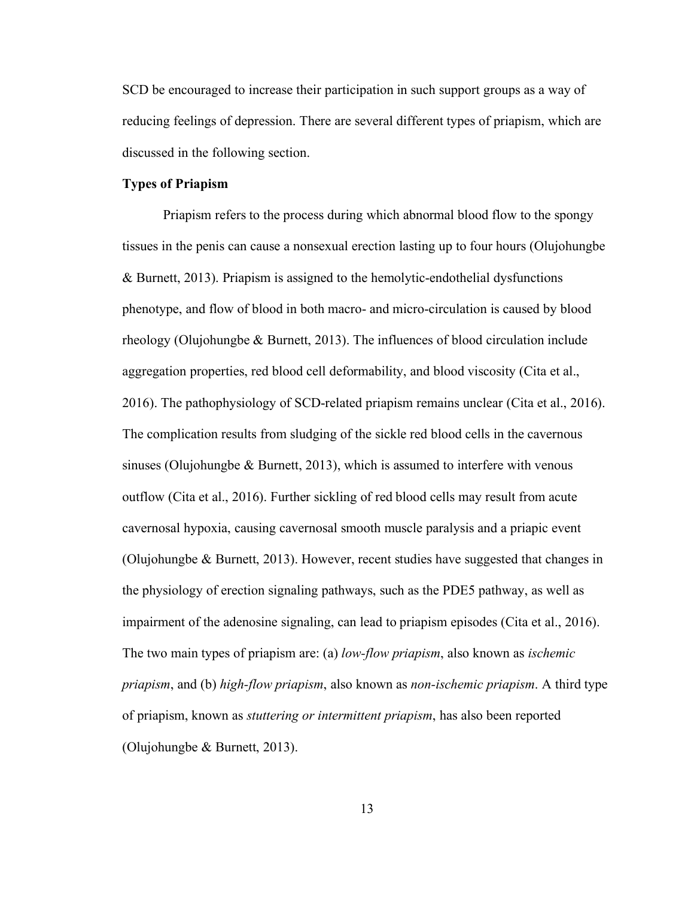SCD be encouraged to increase their participation in such support groups as a way of reducing feelings of depression. There are several different types of priapism, which are discussed in the following section.

### **Types of Priapism**

Priapism refers to the process during which abnormal blood flow to the spongy tissues in the penis can cause a nonsexual erection lasting up to four hours (Olujohungbe & Burnett, 2013). Priapism is assigned to the hemolytic-endothelial dysfunctions phenotype, and flow of blood in both macro- and micro-circulation is caused by blood rheology (Olujohungbe & Burnett, 2013). The influences of blood circulation include aggregation properties, red blood cell deformability, and blood viscosity (Cita et al., 2016). The pathophysiology of SCD-related priapism remains unclear (Cita et al., 2016). The complication results from sludging of the sickle red blood cells in the cavernous sinuses (Olujohungbe  $&$  Burnett, 2013), which is assumed to interfere with venous outflow (Cita et al., 2016). Further sickling of red blood cells may result from acute cavernosal hypoxia, causing cavernosal smooth muscle paralysis and a priapic event (Olujohungbe & Burnett, 2013). However, recent studies have suggested that changes in the physiology of erection signaling pathways, such as the PDE5 pathway, as well as impairment of the adenosine signaling, can lead to priapism episodes (Cita et al., 2016). The two main types of priapism are: (a) *low-flow priapism*, also known as *ischemic priapism*, and (b) *high-flow priapism*, also known as *non-ischemic priapism*. A third type of priapism, known as *stuttering or intermittent priapism*, has also been reported (Olujohungbe & Burnett, 2013).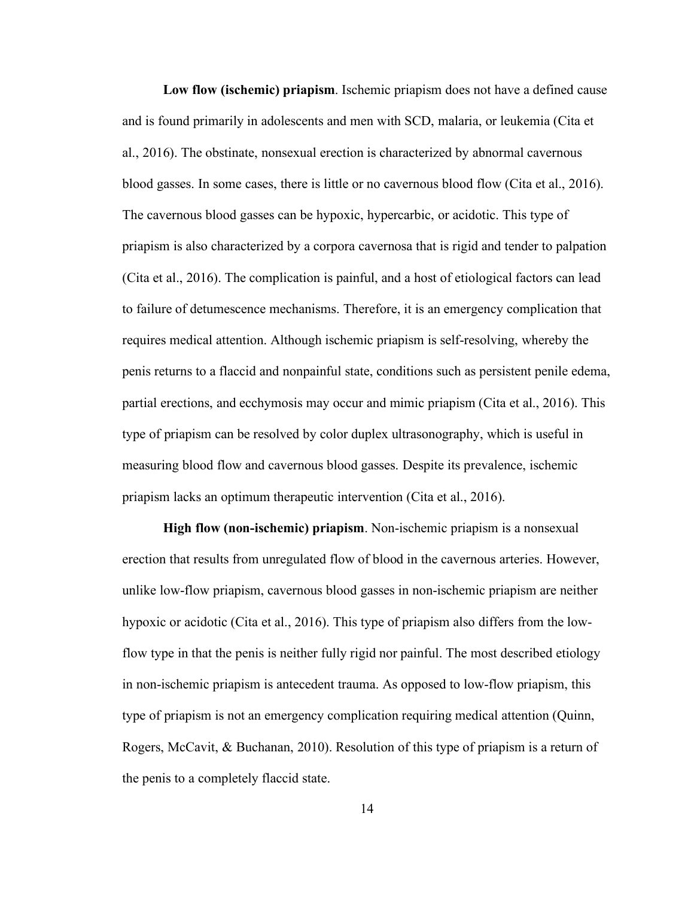**Low flow (ischemic) priapism**. Ischemic priapism does not have a defined cause and is found primarily in adolescents and men with SCD, malaria, or leukemia (Cita et al., 2016). The obstinate, nonsexual erection is characterized by abnormal cavernous blood gasses. In some cases, there is little or no cavernous blood flow (Cita et al., 2016). The cavernous blood gasses can be hypoxic, hypercarbic, or acidotic. This type of priapism is also characterized by a corpora cavernosa that is rigid and tender to palpation (Cita et al., 2016). The complication is painful, and a host of etiological factors can lead to failure of detumescence mechanisms. Therefore, it is an emergency complication that requires medical attention. Although ischemic priapism is self-resolving, whereby the penis returns to a flaccid and nonpainful state, conditions such as persistent penile edema, partial erections, and ecchymosis may occur and mimic priapism (Cita et al., 2016). This type of priapism can be resolved by color duplex ultrasonography, which is useful in measuring blood flow and cavernous blood gasses. Despite its prevalence, ischemic priapism lacks an optimum therapeutic intervention (Cita et al., 2016).

**High flow (non-ischemic) priapism**. Non-ischemic priapism is a nonsexual erection that results from unregulated flow of blood in the cavernous arteries. However, unlike low-flow priapism, cavernous blood gasses in non-ischemic priapism are neither hypoxic or acidotic (Cita et al., 2016). This type of priapism also differs from the lowflow type in that the penis is neither fully rigid nor painful. The most described etiology in non-ischemic priapism is antecedent trauma. As opposed to low-flow priapism, this type of priapism is not an emergency complication requiring medical attention (Quinn, Rogers, McCavit, & Buchanan, 2010). Resolution of this type of priapism is a return of the penis to a completely flaccid state.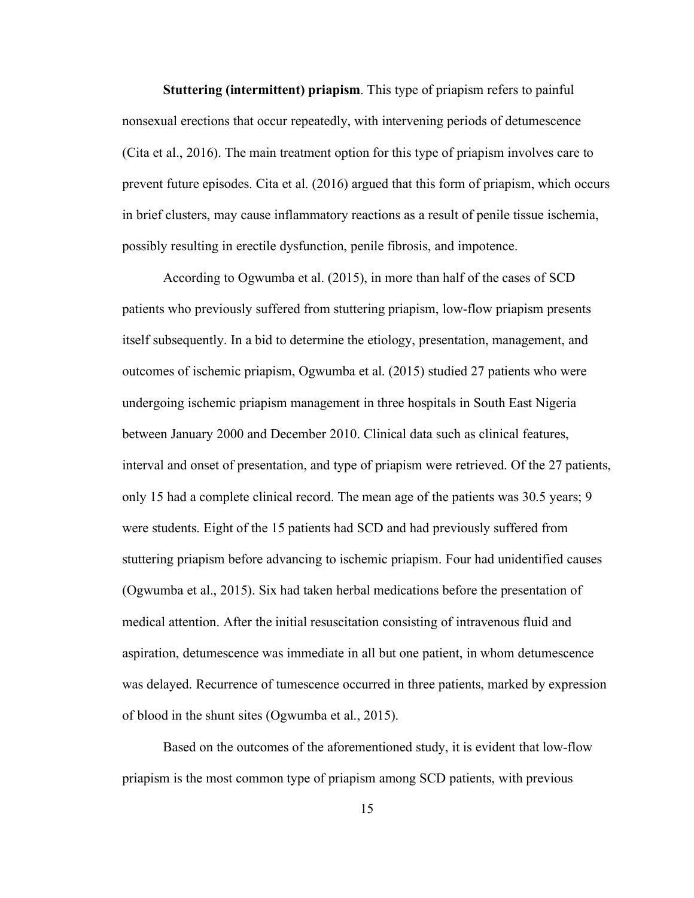**Stuttering (intermittent) priapism**. This type of priapism refers to painful nonsexual erections that occur repeatedly, with intervening periods of detumescence (Cita et al., 2016). The main treatment option for this type of priapism involves care to prevent future episodes. Cita et al. (2016) argued that this form of priapism, which occurs in brief clusters, may cause inflammatory reactions as a result of penile tissue ischemia, possibly resulting in erectile dysfunction, penile fibrosis, and impotence.

According to Ogwumba et al. (2015), in more than half of the cases of SCD patients who previously suffered from stuttering priapism, low-flow priapism presents itself subsequently. In a bid to determine the etiology, presentation, management, and outcomes of ischemic priapism, Ogwumba et al. (2015) studied 27 patients who were undergoing ischemic priapism management in three hospitals in South East Nigeria between January 2000 and December 2010. Clinical data such as clinical features, interval and onset of presentation, and type of priapism were retrieved. Of the 27 patients, only 15 had a complete clinical record. The mean age of the patients was 30.5 years; 9 were students. Eight of the 15 patients had SCD and had previously suffered from stuttering priapism before advancing to ischemic priapism. Four had unidentified causes (Ogwumba et al., 2015). Six had taken herbal medications before the presentation of medical attention. After the initial resuscitation consisting of intravenous fluid and aspiration, detumescence was immediate in all but one patient, in whom detumescence was delayed. Recurrence of tumescence occurred in three patients, marked by expression of blood in the shunt sites (Ogwumba et al., 2015).

Based on the outcomes of the aforementioned study, it is evident that low-flow priapism is the most common type of priapism among SCD patients, with previous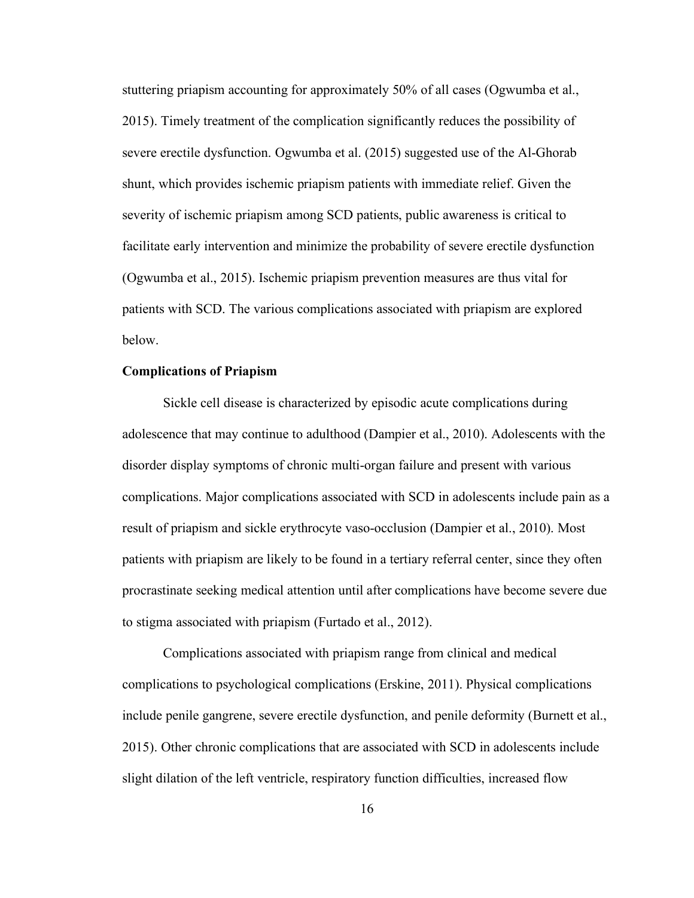stuttering priapism accounting for approximately 50% of all cases (Ogwumba et al., 2015). Timely treatment of the complication significantly reduces the possibility of severe erectile dysfunction. Ogwumba et al. (2015) suggested use of the Al-Ghorab shunt, which provides ischemic priapism patients with immediate relief. Given the severity of ischemic priapism among SCD patients, public awareness is critical to facilitate early intervention and minimize the probability of severe erectile dysfunction (Ogwumba et al., 2015). Ischemic priapism prevention measures are thus vital for patients with SCD. The various complications associated with priapism are explored below.

# **Complications of Priapism**

Sickle cell disease is characterized by episodic acute complications during adolescence that may continue to adulthood (Dampier et al., 2010). Adolescents with the disorder display symptoms of chronic multi-organ failure and present with various complications. Major complications associated with SCD in adolescents include pain as a result of priapism and sickle erythrocyte vaso-occlusion (Dampier et al., 2010). Most patients with priapism are likely to be found in a tertiary referral center, since they often procrastinate seeking medical attention until after complications have become severe due to stigma associated with priapism (Furtado et al., 2012).

Complications associated with priapism range from clinical and medical complications to psychological complications (Erskine, 2011). Physical complications include penile gangrene, severe erectile dysfunction, and penile deformity (Burnett et al., 2015). Other chronic complications that are associated with SCD in adolescents include slight dilation of the left ventricle, respiratory function difficulties, increased flow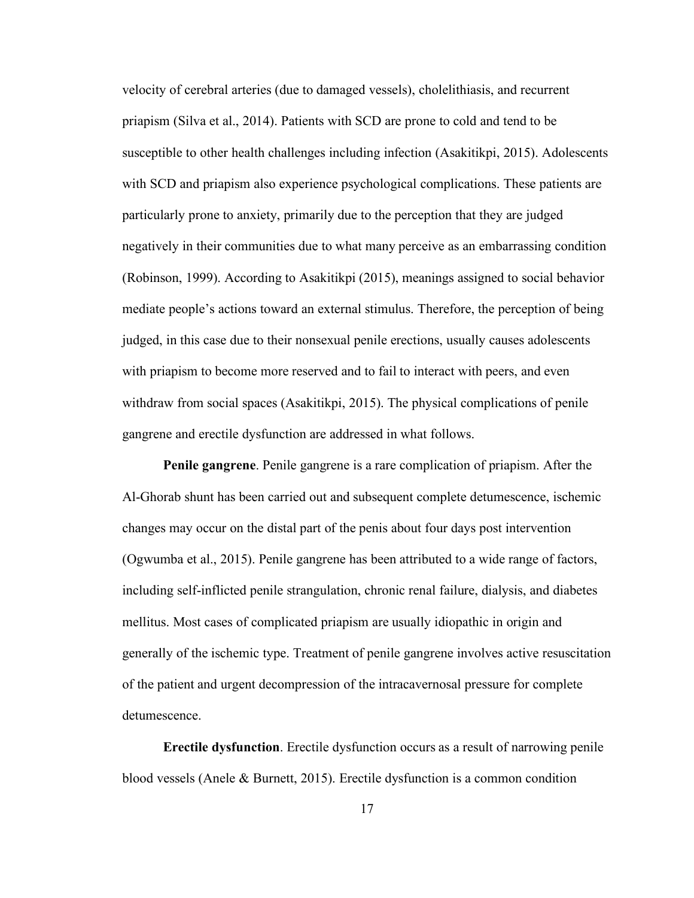velocity of cerebral arteries (due to damaged vessels), cholelithiasis, and recurrent priapism (Silva et al., 2014). Patients with SCD are prone to cold and tend to be susceptible to other health challenges including infection (Asakitikpi, 2015). Adolescents with SCD and priapism also experience psychological complications. These patients are particularly prone to anxiety, primarily due to the perception that they are judged negatively in their communities due to what many perceive as an embarrassing condition (Robinson, 1999). According to Asakitikpi (2015), meanings assigned to social behavior mediate people's actions toward an external stimulus. Therefore, the perception of being judged, in this case due to their nonsexual penile erections, usually causes adolescents with priapism to become more reserved and to fail to interact with peers, and even withdraw from social spaces (Asakitikpi, 2015). The physical complications of penile gangrene and erectile dysfunction are addressed in what follows.

**Penile gangrene**. Penile gangrene is a rare complication of priapism. After the Al-Ghorab shunt has been carried out and subsequent complete detumescence, ischemic changes may occur on the distal part of the penis about four days post intervention (Ogwumba et al., 2015). Penile gangrene has been attributed to a wide range of factors, including self-inflicted penile strangulation, chronic renal failure, dialysis, and diabetes mellitus. Most cases of complicated priapism are usually idiopathic in origin and generally of the ischemic type. Treatment of penile gangrene involves active resuscitation of the patient and urgent decompression of the intracavernosal pressure for complete detumescence.

**Erectile dysfunction**. Erectile dysfunction occurs as a result of narrowing penile blood vessels (Anele & Burnett, 2015). Erectile dysfunction is a common condition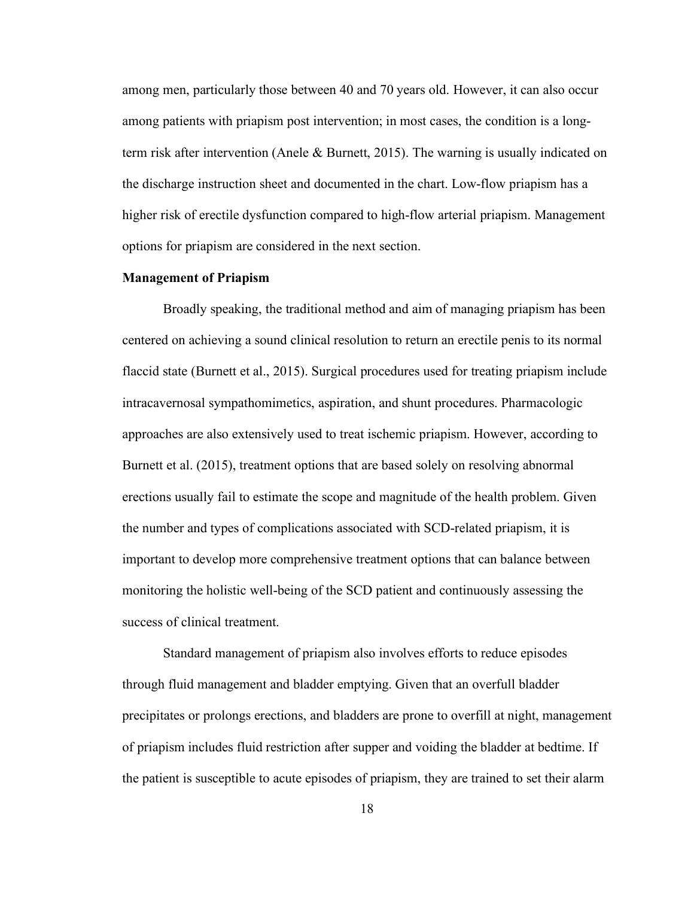among men, particularly those between 40 and 70 years old. However, it can also occur among patients with priapism post intervention; in most cases, the condition is a longterm risk after intervention (Anele & Burnett, 2015). The warning is usually indicated on the discharge instruction sheet and documented in the chart. Low-flow priapism has a higher risk of erectile dysfunction compared to high-flow arterial priapism. Management options for priapism are considered in the next section.

#### **Management of Priapism**

Broadly speaking, the traditional method and aim of managing priapism has been centered on achieving a sound clinical resolution to return an erectile penis to its normal flaccid state (Burnett et al., 2015). Surgical procedures used for treating priapism include intracavernosal sympathomimetics, aspiration, and shunt procedures. Pharmacologic approaches are also extensively used to treat ischemic priapism. However, according to Burnett et al. (2015), treatment options that are based solely on resolving abnormal erections usually fail to estimate the scope and magnitude of the health problem. Given the number and types of complications associated with SCD-related priapism, it is important to develop more comprehensive treatment options that can balance between monitoring the holistic well-being of the SCD patient and continuously assessing the success of clinical treatment.

Standard management of priapism also involves efforts to reduce episodes through fluid management and bladder emptying. Given that an overfull bladder precipitates or prolongs erections, and bladders are prone to overfill at night, management of priapism includes fluid restriction after supper and voiding the bladder at bedtime. If the patient is susceptible to acute episodes of priapism, they are trained to set their alarm

18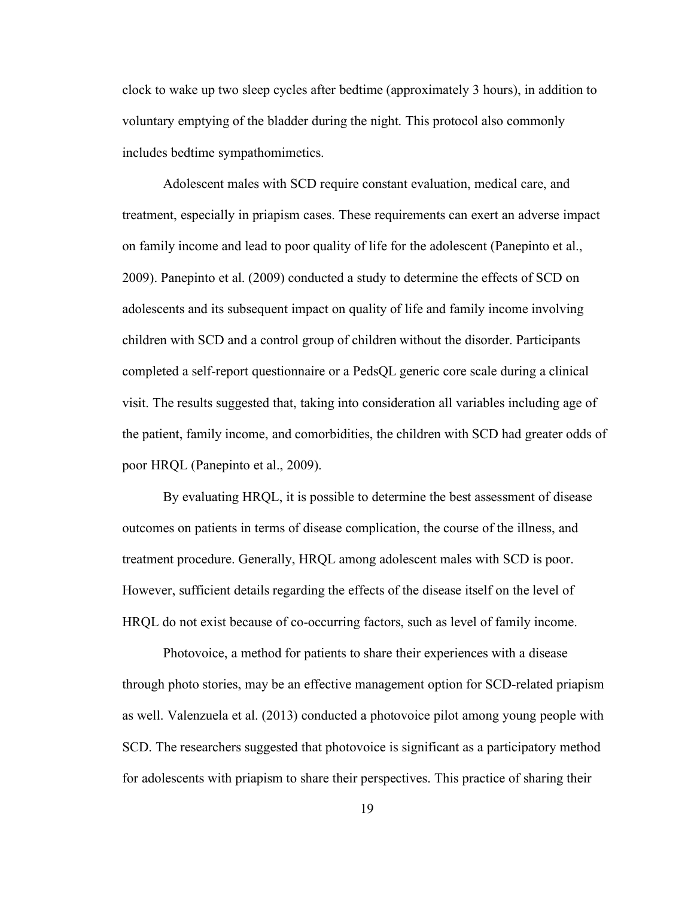clock to wake up two sleep cycles after bedtime (approximately 3 hours), in addition to voluntary emptying of the bladder during the night. This protocol also commonly includes bedtime sympathomimetics.

Adolescent males with SCD require constant evaluation, medical care, and treatment, especially in priapism cases. These requirements can exert an adverse impact on family income and lead to poor quality of life for the adolescent (Panepinto et al., 2009). Panepinto et al. (2009) conducted a study to determine the effects of SCD on adolescents and its subsequent impact on quality of life and family income involving children with SCD and a control group of children without the disorder. Participants completed a self-report questionnaire or a PedsQL generic core scale during a clinical visit. The results suggested that, taking into consideration all variables including age of the patient, family income, and comorbidities, the children with SCD had greater odds of poor HRQL (Panepinto et al., 2009).

By evaluating HRQL, it is possible to determine the best assessment of disease outcomes on patients in terms of disease complication, the course of the illness, and treatment procedure. Generally, HRQL among adolescent males with SCD is poor. However, sufficient details regarding the effects of the disease itself on the level of HRQL do not exist because of co-occurring factors, such as level of family income.

Photovoice, a method for patients to share their experiences with a disease through photo stories, may be an effective management option for SCD-related priapism as well. Valenzuela et al. (2013) conducted a photovoice pilot among young people with SCD. The researchers suggested that photovoice is significant as a participatory method for adolescents with priapism to share their perspectives. This practice of sharing their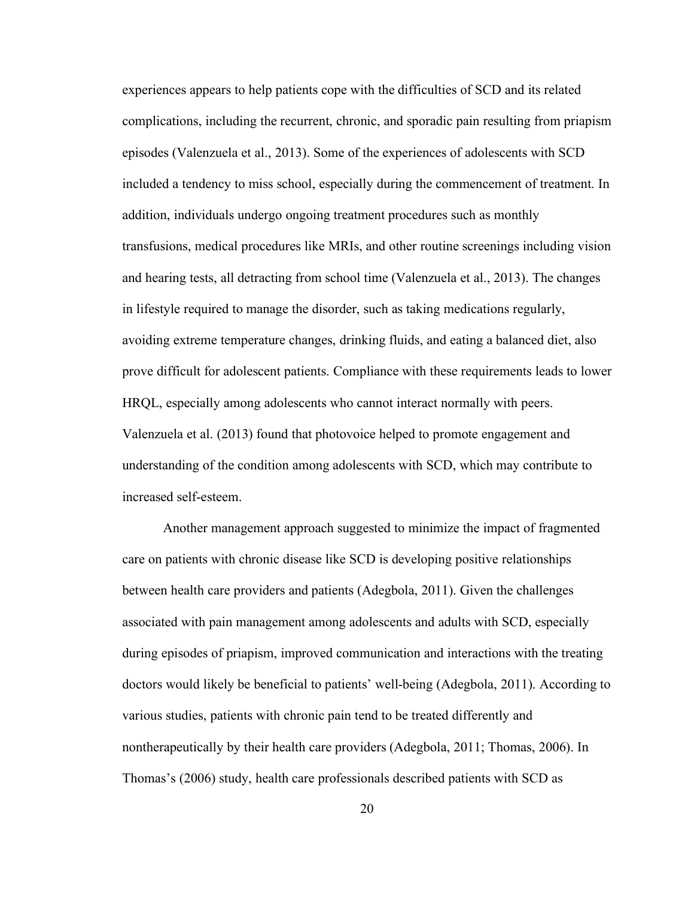experiences appears to help patients cope with the difficulties of SCD and its related complications, including the recurrent, chronic, and sporadic pain resulting from priapism episodes (Valenzuela et al., 2013). Some of the experiences of adolescents with SCD included a tendency to miss school, especially during the commencement of treatment. In addition, individuals undergo ongoing treatment procedures such as monthly transfusions, medical procedures like MRIs, and other routine screenings including vision and hearing tests, all detracting from school time (Valenzuela et al., 2013). The changes in lifestyle required to manage the disorder, such as taking medications regularly, avoiding extreme temperature changes, drinking fluids, and eating a balanced diet, also prove difficult for adolescent patients. Compliance with these requirements leads to lower HRQL, especially among adolescents who cannot interact normally with peers. Valenzuela et al. (2013) found that photovoice helped to promote engagement and understanding of the condition among adolescents with SCD, which may contribute to increased self-esteem.

Another management approach suggested to minimize the impact of fragmented care on patients with chronic disease like SCD is developing positive relationships between health care providers and patients (Adegbola, 2011). Given the challenges associated with pain management among adolescents and adults with SCD, especially during episodes of priapism, improved communication and interactions with the treating doctors would likely be beneficial to patients' well-being (Adegbola, 2011). According to various studies, patients with chronic pain tend to be treated differently and nontherapeutically by their health care providers (Adegbola, 2011; Thomas, 2006). In Thomas's (2006) study, health care professionals described patients with SCD as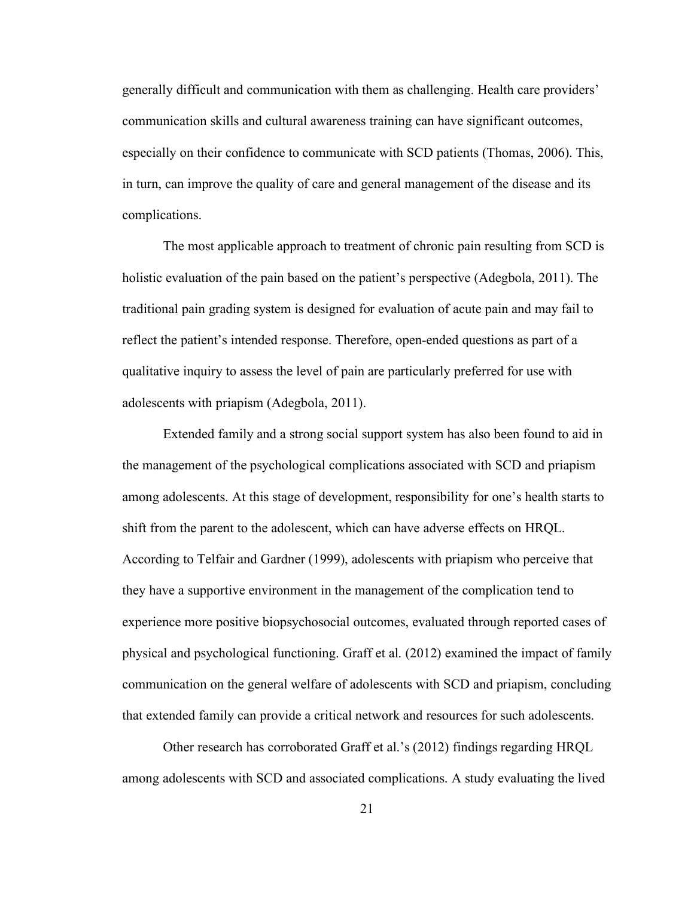generally difficult and communication with them as challenging. Health care providers' communication skills and cultural awareness training can have significant outcomes, especially on their confidence to communicate with SCD patients (Thomas, 2006). This, in turn, can improve the quality of care and general management of the disease and its complications.

The most applicable approach to treatment of chronic pain resulting from SCD is holistic evaluation of the pain based on the patient's perspective (Adegbola, 2011). The traditional pain grading system is designed for evaluation of acute pain and may fail to reflect the patient's intended response. Therefore, open-ended questions as part of a qualitative inquiry to assess the level of pain are particularly preferred for use with adolescents with priapism (Adegbola, 2011).

Extended family and a strong social support system has also been found to aid in the management of the psychological complications associated with SCD and priapism among adolescents. At this stage of development, responsibility for one's health starts to shift from the parent to the adolescent, which can have adverse effects on HRQL. According to Telfair and Gardner (1999), adolescents with priapism who perceive that they have a supportive environment in the management of the complication tend to experience more positive biopsychosocial outcomes, evaluated through reported cases of physical and psychological functioning. Graff et al. (2012) examined the impact of family communication on the general welfare of adolescents with SCD and priapism, concluding that extended family can provide a critical network and resources for such adolescents.

Other research has corroborated Graff et al.'s (2012) findings regarding HRQL among adolescents with SCD and associated complications. A study evaluating the lived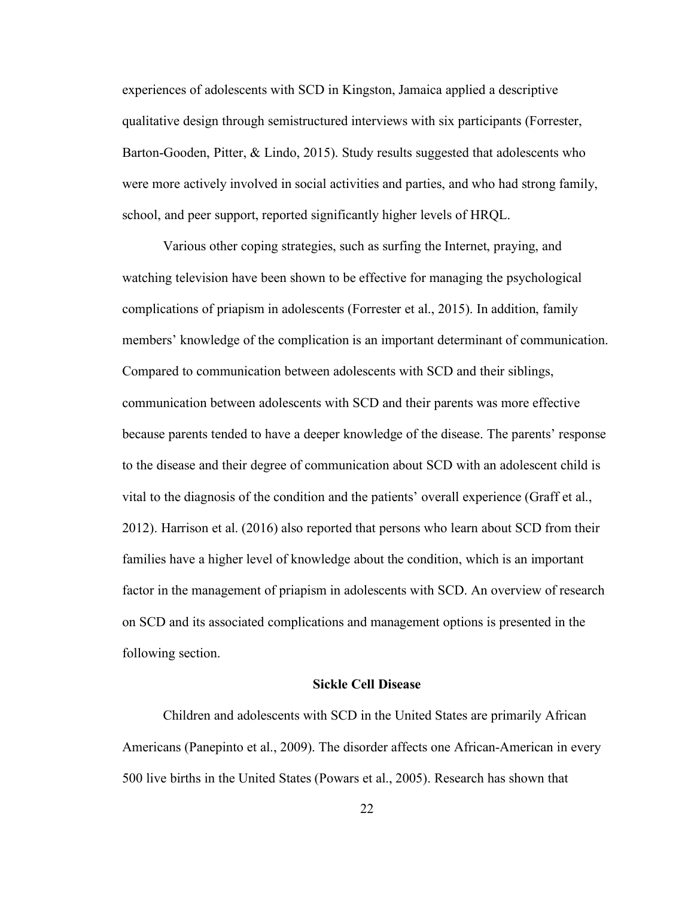experiences of adolescents with SCD in Kingston, Jamaica applied a descriptive qualitative design through semistructured interviews with six participants (Forrester, Barton-Gooden, Pitter, & Lindo, 2015). Study results suggested that adolescents who were more actively involved in social activities and parties, and who had strong family, school, and peer support, reported significantly higher levels of HRQL.

Various other coping strategies, such as surfing the Internet, praying, and watching television have been shown to be effective for managing the psychological complications of priapism in adolescents (Forrester et al., 2015). In addition, family members' knowledge of the complication is an important determinant of communication. Compared to communication between adolescents with SCD and their siblings, communication between adolescents with SCD and their parents was more effective because parents tended to have a deeper knowledge of the disease. The parents' response to the disease and their degree of communication about SCD with an adolescent child is vital to the diagnosis of the condition and the patients' overall experience (Graff et al., 2012). Harrison et al. (2016) also reported that persons who learn about SCD from their families have a higher level of knowledge about the condition, which is an important factor in the management of priapism in adolescents with SCD. An overview of research on SCD and its associated complications and management options is presented in the following section.

#### **Sickle Cell Disease**

Children and adolescents with SCD in the United States are primarily African Americans (Panepinto et al., 2009). The disorder affects one African-American in every 500 live births in the United States (Powars et al., 2005). Research has shown that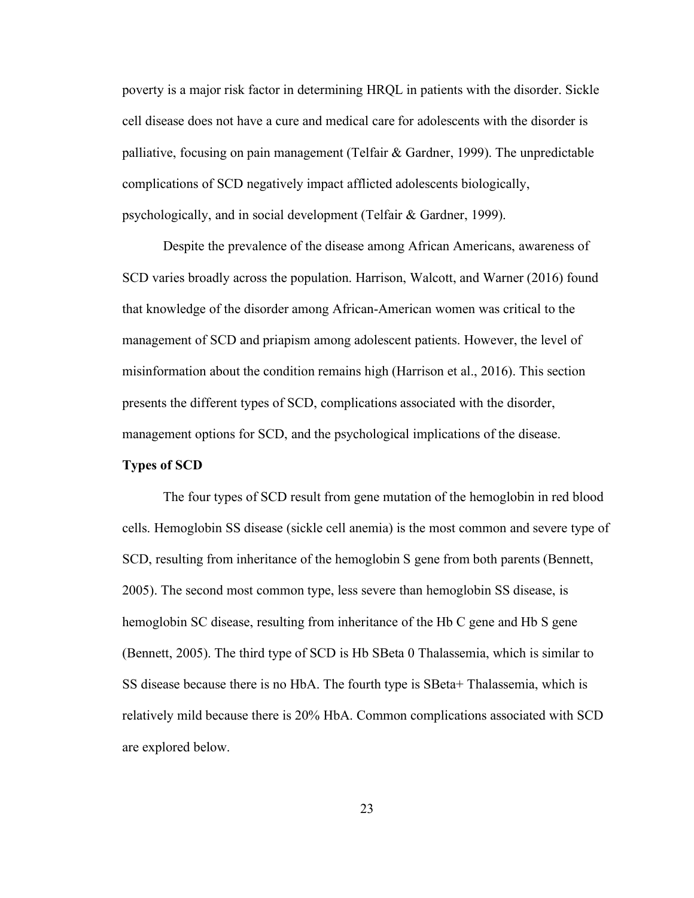poverty is a major risk factor in determining HRQL in patients with the disorder. Sickle cell disease does not have a cure and medical care for adolescents with the disorder is palliative, focusing on pain management (Telfair  $\&$  Gardner, 1999). The unpredictable complications of SCD negatively impact afflicted adolescents biologically, psychologically, and in social development (Telfair & Gardner, 1999).

Despite the prevalence of the disease among African Americans, awareness of SCD varies broadly across the population. Harrison, Walcott, and Warner (2016) found that knowledge of the disorder among African-American women was critical to the management of SCD and priapism among adolescent patients. However, the level of misinformation about the condition remains high (Harrison et al., 2016). This section presents the different types of SCD, complications associated with the disorder, management options for SCD, and the psychological implications of the disease.

### **Types of SCD**

The four types of SCD result from gene mutation of the hemoglobin in red blood cells. Hemoglobin SS disease (sickle cell anemia) is the most common and severe type of SCD, resulting from inheritance of the hemoglobin S gene from both parents (Bennett, 2005). The second most common type, less severe than hemoglobin SS disease, is hemoglobin SC disease, resulting from inheritance of the Hb C gene and Hb S gene (Bennett, 2005). The third type of SCD is Hb SBeta 0 Thalassemia, which is similar to SS disease because there is no HbA. The fourth type is SBeta+ Thalassemia, which is relatively mild because there is 20% HbA. Common complications associated with SCD are explored below.

23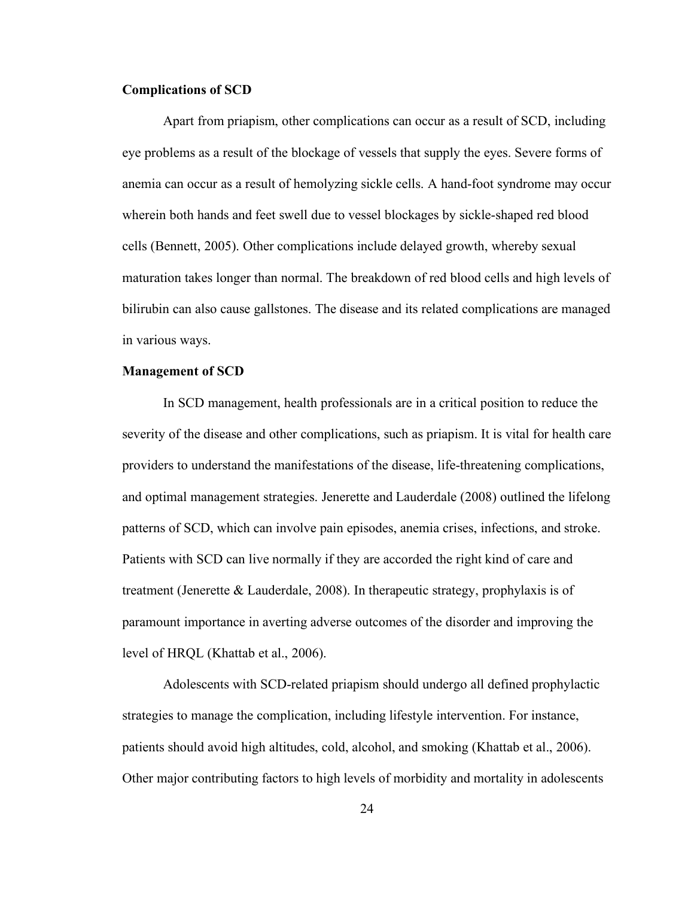#### **Complications of SCD**

Apart from priapism, other complications can occur as a result of SCD, including eye problems as a result of the blockage of vessels that supply the eyes. Severe forms of anemia can occur as a result of hemolyzing sickle cells. A hand-foot syndrome may occur wherein both hands and feet swell due to vessel blockages by sickle-shaped red blood cells (Bennett, 2005). Other complications include delayed growth, whereby sexual maturation takes longer than normal. The breakdown of red blood cells and high levels of bilirubin can also cause gallstones. The disease and its related complications are managed in various ways.

#### **Management of SCD**

In SCD management, health professionals are in a critical position to reduce the severity of the disease and other complications, such as priapism. It is vital for health care providers to understand the manifestations of the disease, life-threatening complications, and optimal management strategies. Jenerette and Lauderdale (2008) outlined the lifelong patterns of SCD, which can involve pain episodes, anemia crises, infections, and stroke. Patients with SCD can live normally if they are accorded the right kind of care and treatment (Jenerette & Lauderdale, 2008). In therapeutic strategy, prophylaxis is of paramount importance in averting adverse outcomes of the disorder and improving the level of HRQL (Khattab et al., 2006).

Adolescents with SCD-related priapism should undergo all defined prophylactic strategies to manage the complication, including lifestyle intervention. For instance, patients should avoid high altitudes, cold, alcohol, and smoking (Khattab et al., 2006). Other major contributing factors to high levels of morbidity and mortality in adolescents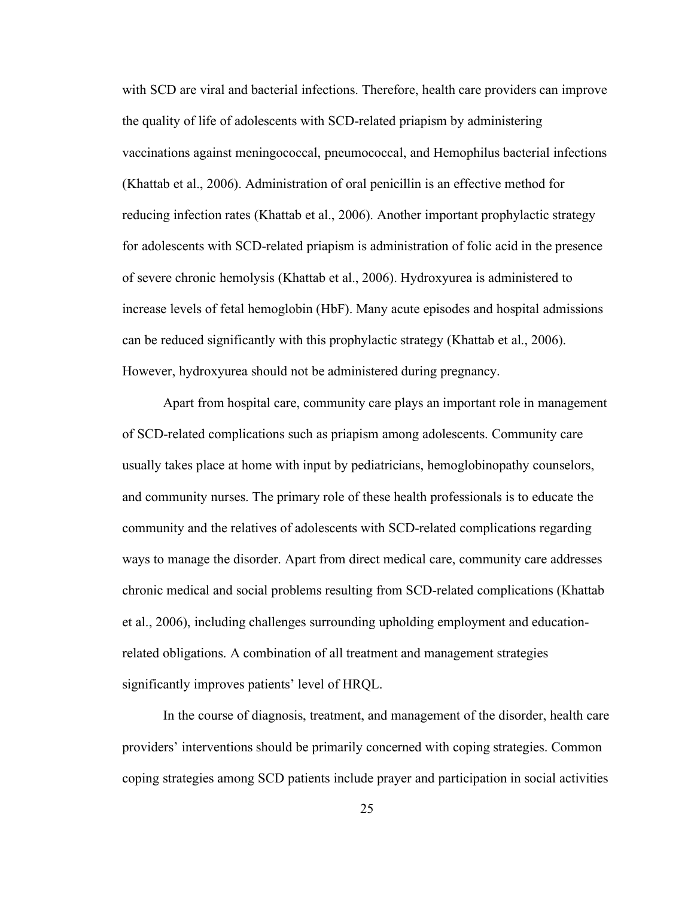with SCD are viral and bacterial infections. Therefore, health care providers can improve the quality of life of adolescents with SCD-related priapism by administering vaccinations against meningococcal, pneumococcal, and Hemophilus bacterial infections (Khattab et al., 2006). Administration of oral penicillin is an effective method for reducing infection rates (Khattab et al., 2006). Another important prophylactic strategy for adolescents with SCD-related priapism is administration of folic acid in the presence of severe chronic hemolysis (Khattab et al., 2006). Hydroxyurea is administered to increase levels of fetal hemoglobin (HbF). Many acute episodes and hospital admissions can be reduced significantly with this prophylactic strategy (Khattab et al., 2006). However, hydroxyurea should not be administered during pregnancy.

Apart from hospital care, community care plays an important role in management of SCD-related complications such as priapism among adolescents. Community care usually takes place at home with input by pediatricians, hemoglobinopathy counselors, and community nurses. The primary role of these health professionals is to educate the community and the relatives of adolescents with SCD-related complications regarding ways to manage the disorder. Apart from direct medical care, community care addresses chronic medical and social problems resulting from SCD-related complications (Khattab et al., 2006), including challenges surrounding upholding employment and educationrelated obligations. A combination of all treatment and management strategies significantly improves patients' level of HRQL.

In the course of diagnosis, treatment, and management of the disorder, health care providers' interventions should be primarily concerned with coping strategies. Common coping strategies among SCD patients include prayer and participation in social activities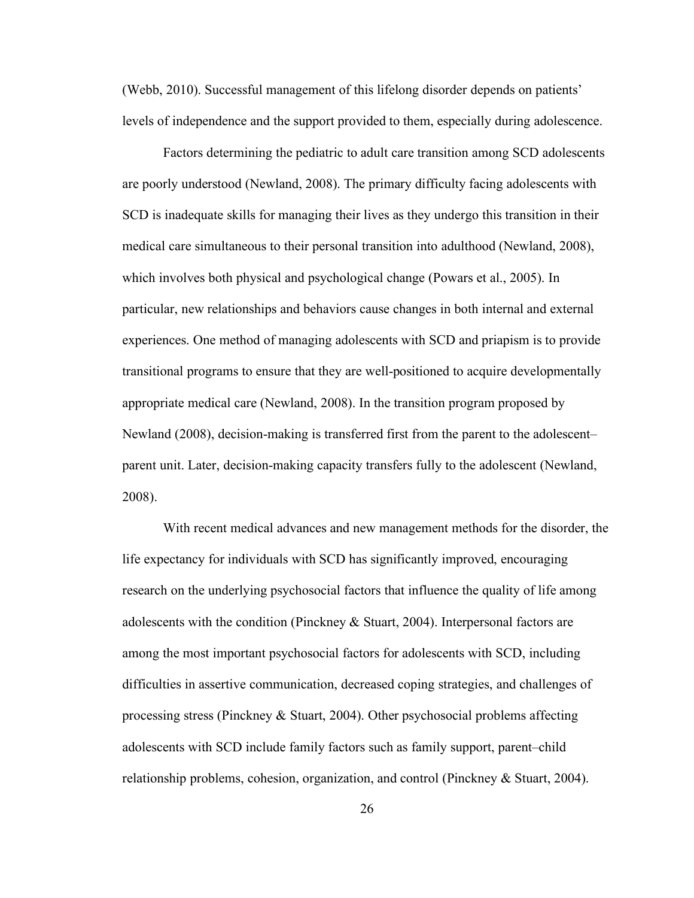(Webb, 2010). Successful management of this lifelong disorder depends on patients' levels of independence and the support provided to them, especially during adolescence.

Factors determining the pediatric to adult care transition among SCD adolescents are poorly understood (Newland, 2008). The primary difficulty facing adolescents with SCD is inadequate skills for managing their lives as they undergo this transition in their medical care simultaneous to their personal transition into adulthood (Newland, 2008), which involves both physical and psychological change (Powars et al., 2005). In particular, new relationships and behaviors cause changes in both internal and external experiences. One method of managing adolescents with SCD and priapism is to provide transitional programs to ensure that they are well-positioned to acquire developmentally appropriate medical care (Newland, 2008). In the transition program proposed by Newland (2008), decision-making is transferred first from the parent to the adolescent– parent unit. Later, decision-making capacity transfers fully to the adolescent (Newland, 2008).

With recent medical advances and new management methods for the disorder, the life expectancy for individuals with SCD has significantly improved, encouraging research on the underlying psychosocial factors that influence the quality of life among adolescents with the condition (Pinckney & Stuart, 2004). Interpersonal factors are among the most important psychosocial factors for adolescents with SCD, including difficulties in assertive communication, decreased coping strategies, and challenges of processing stress (Pinckney & Stuart, 2004). Other psychosocial problems affecting adolescents with SCD include family factors such as family support, parent–child relationship problems, cohesion, organization, and control (Pinckney & Stuart, 2004).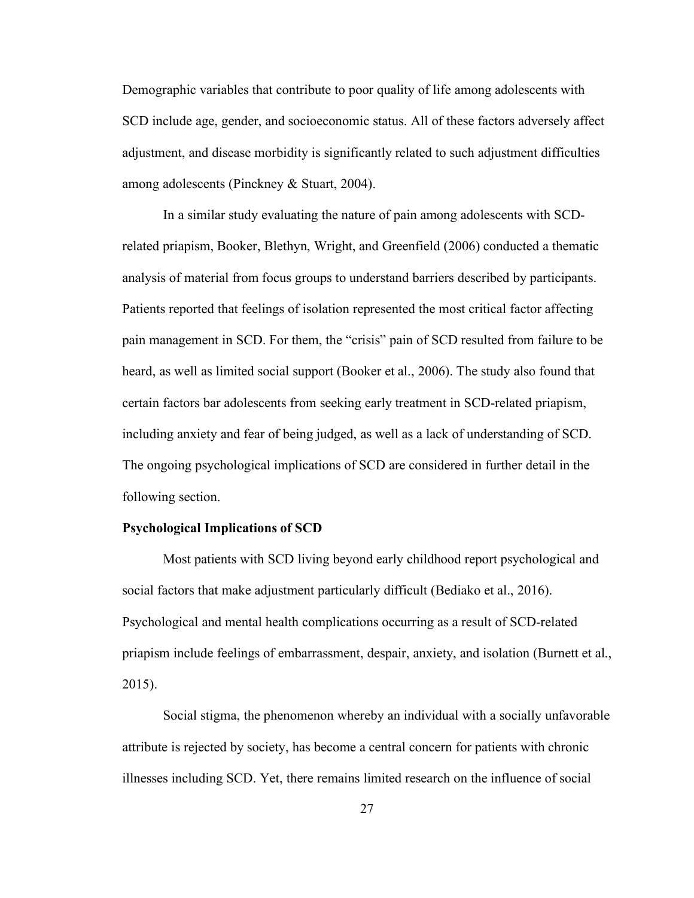Demographic variables that contribute to poor quality of life among adolescents with SCD include age, gender, and socioeconomic status. All of these factors adversely affect adjustment, and disease morbidity is significantly related to such adjustment difficulties among adolescents (Pinckney & Stuart, 2004).

In a similar study evaluating the nature of pain among adolescents with SCDrelated priapism, Booker, Blethyn, Wright, and Greenfield (2006) conducted a thematic analysis of material from focus groups to understand barriers described by participants. Patients reported that feelings of isolation represented the most critical factor affecting pain management in SCD. For them, the "crisis" pain of SCD resulted from failure to be heard, as well as limited social support (Booker et al., 2006). The study also found that certain factors bar adolescents from seeking early treatment in SCD-related priapism, including anxiety and fear of being judged, as well as a lack of understanding of SCD. The ongoing psychological implications of SCD are considered in further detail in the following section.

# **Psychological Implications of SCD**

Most patients with SCD living beyond early childhood report psychological and social factors that make adjustment particularly difficult (Bediako et al., 2016). Psychological and mental health complications occurring as a result of SCD-related priapism include feelings of embarrassment, despair, anxiety, and isolation (Burnett et al., 2015).

Social stigma, the phenomenon whereby an individual with a socially unfavorable attribute is rejected by society, has become a central concern for patients with chronic illnesses including SCD. Yet, there remains limited research on the influence of social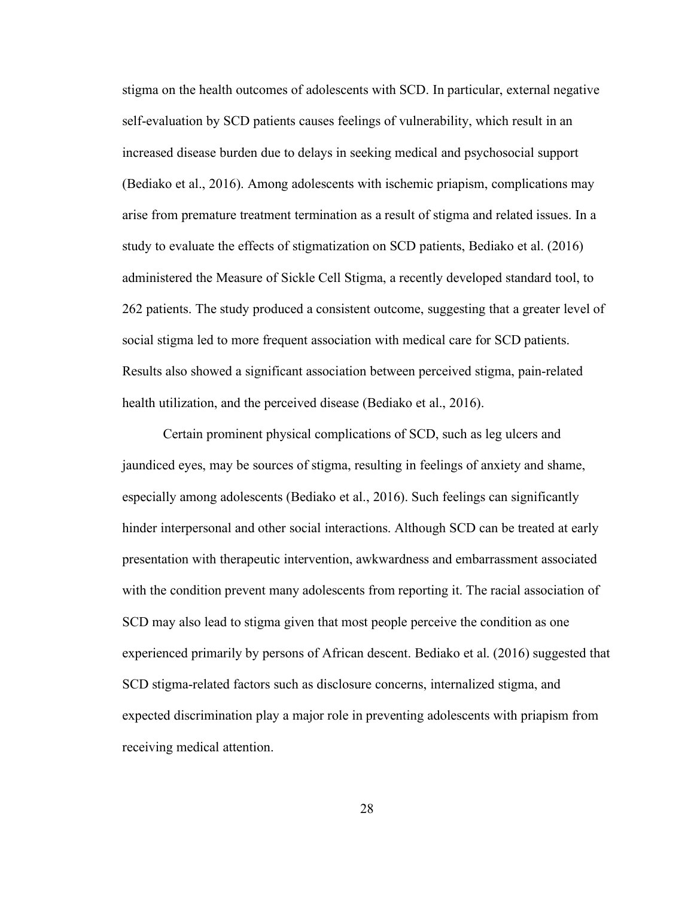stigma on the health outcomes of adolescents with SCD. In particular, external negative self-evaluation by SCD patients causes feelings of vulnerability, which result in an increased disease burden due to delays in seeking medical and psychosocial support (Bediako et al., 2016). Among adolescents with ischemic priapism, complications may arise from premature treatment termination as a result of stigma and related issues. In a study to evaluate the effects of stigmatization on SCD patients, Bediako et al. (2016) administered the Measure of Sickle Cell Stigma, a recently developed standard tool, to 262 patients. The study produced a consistent outcome, suggesting that a greater level of social stigma led to more frequent association with medical care for SCD patients. Results also showed a significant association between perceived stigma, pain-related health utilization, and the perceived disease (Bediako et al., 2016).

Certain prominent physical complications of SCD, such as leg ulcers and jaundiced eyes, may be sources of stigma, resulting in feelings of anxiety and shame, especially among adolescents (Bediako et al., 2016). Such feelings can significantly hinder interpersonal and other social interactions. Although SCD can be treated at early presentation with therapeutic intervention, awkwardness and embarrassment associated with the condition prevent many adolescents from reporting it. The racial association of SCD may also lead to stigma given that most people perceive the condition as one experienced primarily by persons of African descent. Bediako et al. (2016) suggested that SCD stigma-related factors such as disclosure concerns, internalized stigma, and expected discrimination play a major role in preventing adolescents with priapism from receiving medical attention.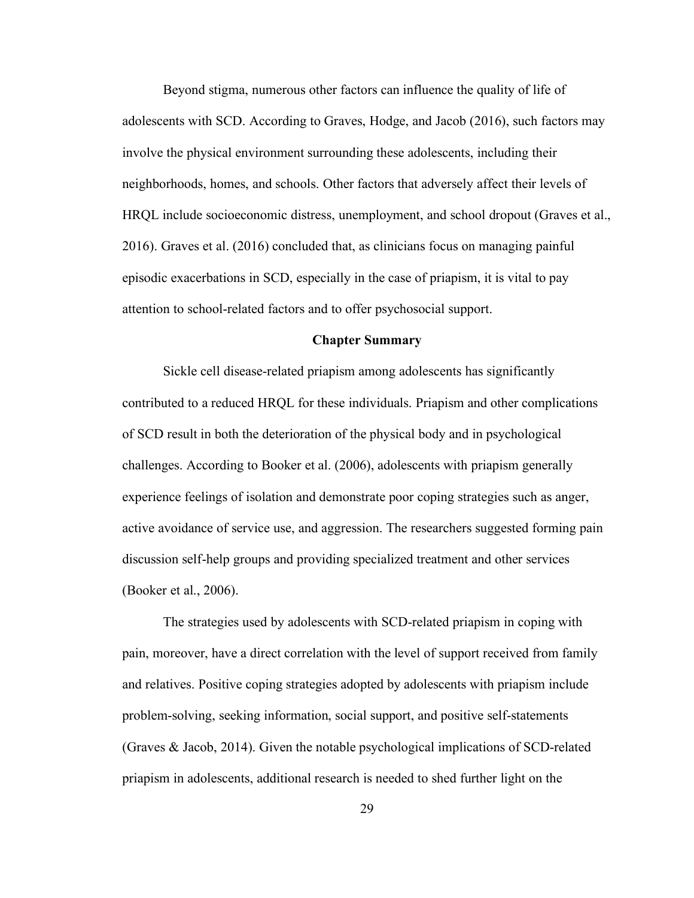Beyond stigma, numerous other factors can influence the quality of life of adolescents with SCD. According to Graves, Hodge, and Jacob (2016), such factors may involve the physical environment surrounding these adolescents, including their neighborhoods, homes, and schools. Other factors that adversely affect their levels of HRQL include socioeconomic distress, unemployment, and school dropout (Graves et al., 2016). Graves et al. (2016) concluded that, as clinicians focus on managing painful episodic exacerbations in SCD, especially in the case of priapism, it is vital to pay attention to school-related factors and to offer psychosocial support.

### **Chapter Summary**

Sickle cell disease-related priapism among adolescents has significantly contributed to a reduced HRQL for these individuals. Priapism and other complications of SCD result in both the deterioration of the physical body and in psychological challenges. According to Booker et al. (2006), adolescents with priapism generally experience feelings of isolation and demonstrate poor coping strategies such as anger, active avoidance of service use, and aggression. The researchers suggested forming pain discussion self-help groups and providing specialized treatment and other services (Booker et al., 2006).

The strategies used by adolescents with SCD-related priapism in coping with pain, moreover, have a direct correlation with the level of support received from family and relatives. Positive coping strategies adopted by adolescents with priapism include problem-solving, seeking information, social support, and positive self-statements (Graves & Jacob, 2014). Given the notable psychological implications of SCD-related priapism in adolescents, additional research is needed to shed further light on the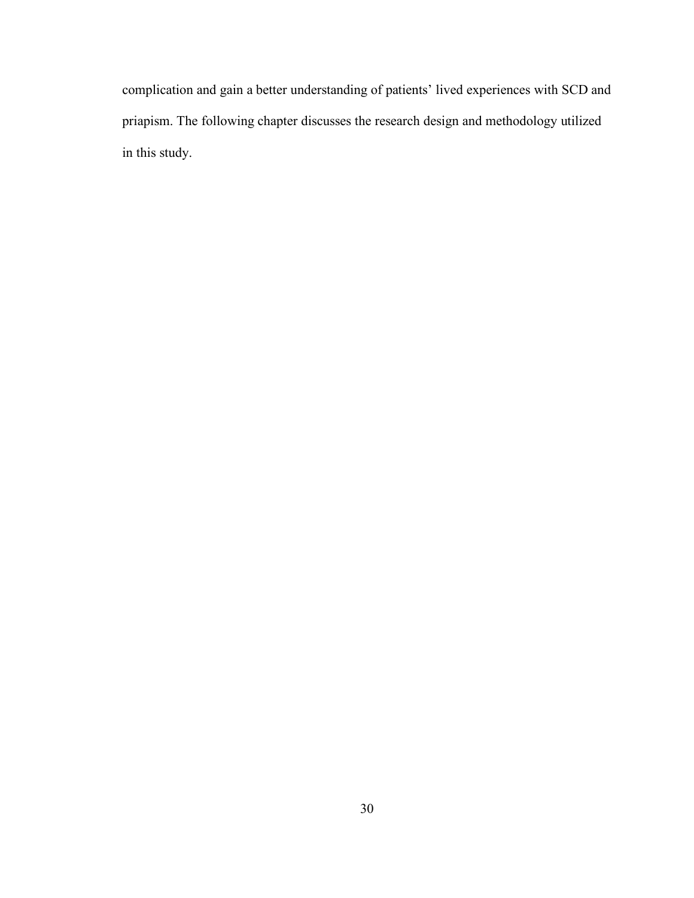complication and gain a better understanding of patients' lived experiences with SCD and priapism. The following chapter discusses the research design and methodology utilized in this study.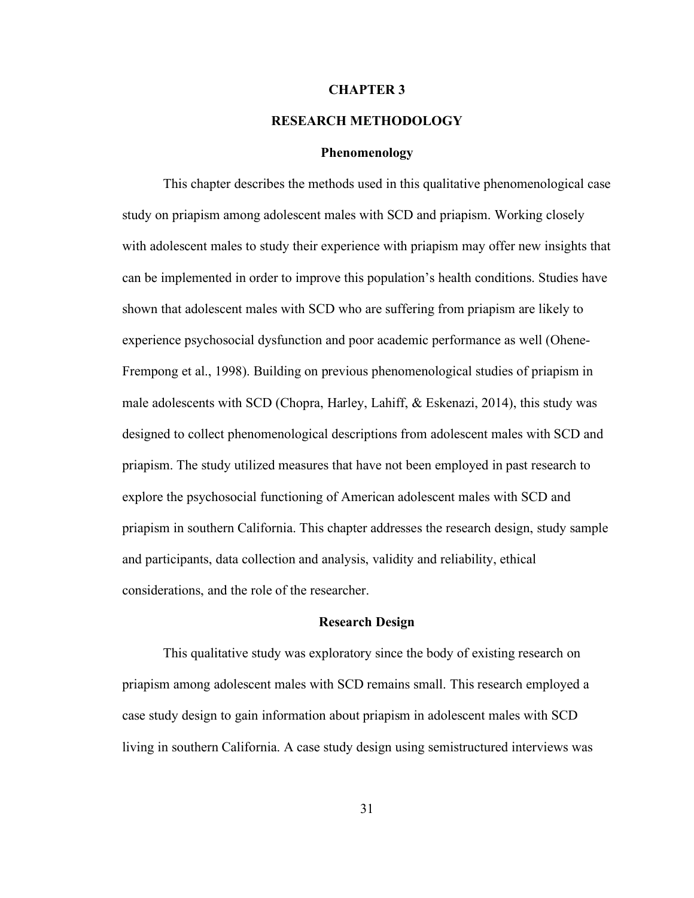### **CHAPTER 3**

# **RESEARCH METHODOLOGY**

### **Phenomenology**

This chapter describes the methods used in this qualitative phenomenological case study on priapism among adolescent males with SCD and priapism. Working closely with adolescent males to study their experience with priapism may offer new insights that can be implemented in order to improve this population's health conditions. Studies have shown that adolescent males with SCD who are suffering from priapism are likely to experience psychosocial dysfunction and poor academic performance as well (Ohene-Frempong et al., 1998). Building on previous phenomenological studies of priapism in male adolescents with SCD (Chopra, Harley, Lahiff, & Eskenazi, 2014), this study was designed to collect phenomenological descriptions from adolescent males with SCD and priapism. The study utilized measures that have not been employed in past research to explore the psychosocial functioning of American adolescent males with SCD and priapism in southern California. This chapter addresses the research design, study sample and participants, data collection and analysis, validity and reliability, ethical considerations, and the role of the researcher.

#### **Research Design**

This qualitative study was exploratory since the body of existing research on priapism among adolescent males with SCD remains small. This research employed a case study design to gain information about priapism in adolescent males with SCD living in southern California. A case study design using semistructured interviews was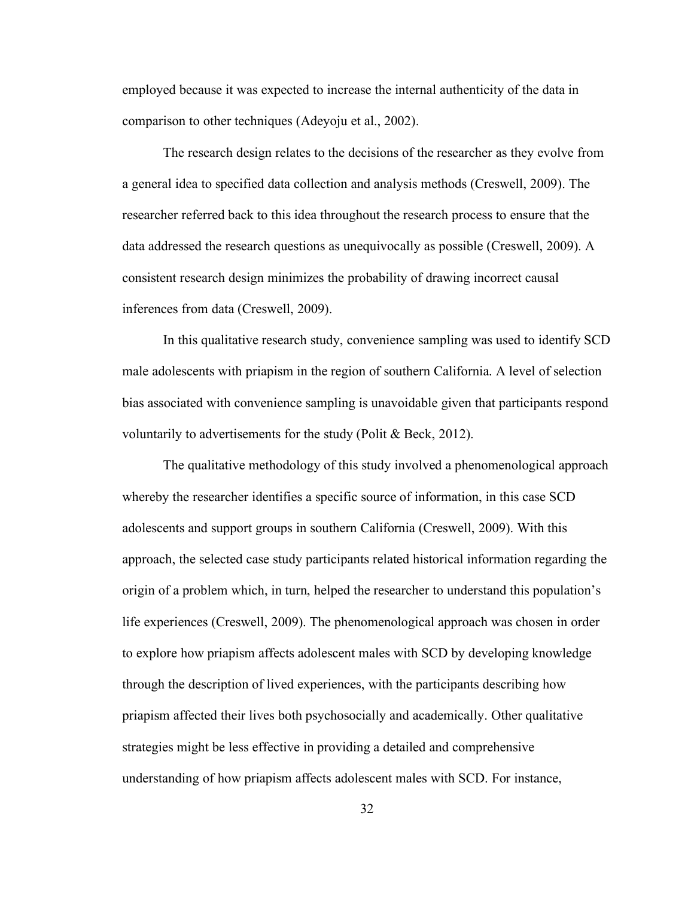employed because it was expected to increase the internal authenticity of the data in comparison to other techniques (Adeyoju et al., 2002).

The research design relates to the decisions of the researcher as they evolve from a general idea to specified data collection and analysis methods (Creswell, 2009). The researcher referred back to this idea throughout the research process to ensure that the data addressed the research questions as unequivocally as possible (Creswell, 2009). A consistent research design minimizes the probability of drawing incorrect causal inferences from data (Creswell, 2009).

In this qualitative research study, convenience sampling was used to identify SCD male adolescents with priapism in the region of southern California. A level of selection bias associated with convenience sampling is unavoidable given that participants respond voluntarily to advertisements for the study (Polit & Beck, 2012).

The qualitative methodology of this study involved a phenomenological approach whereby the researcher identifies a specific source of information, in this case SCD adolescents and support groups in southern California (Creswell, 2009). With this approach, the selected case study participants related historical information regarding the origin of a problem which, in turn, helped the researcher to understand this population's life experiences (Creswell, 2009). The phenomenological approach was chosen in order to explore how priapism affects adolescent males with SCD by developing knowledge through the description of lived experiences, with the participants describing how priapism affected their lives both psychosocially and academically. Other qualitative strategies might be less effective in providing a detailed and comprehensive understanding of how priapism affects adolescent males with SCD. For instance,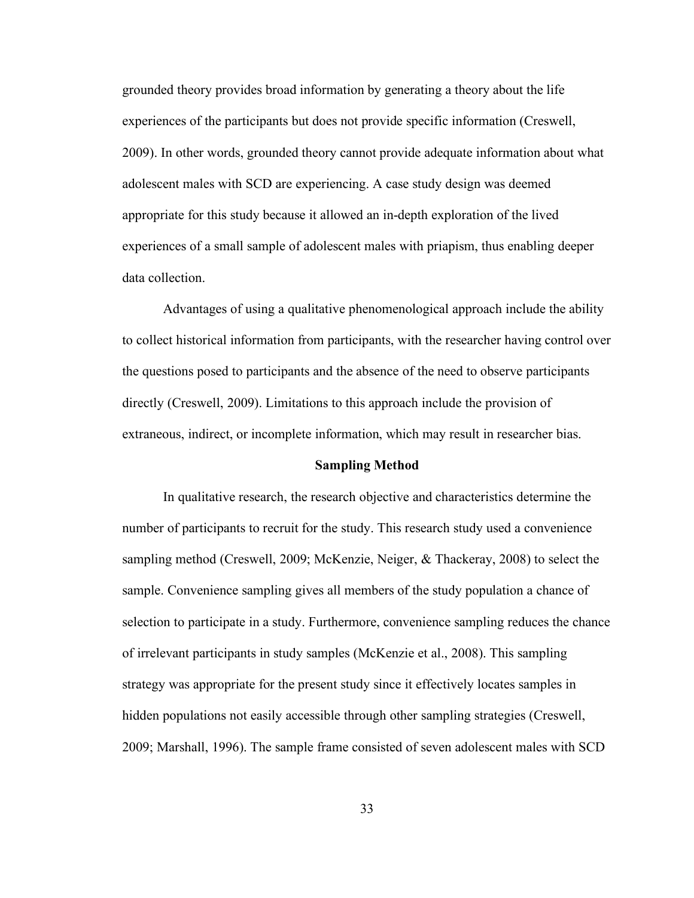grounded theory provides broad information by generating a theory about the life experiences of the participants but does not provide specific information (Creswell, 2009). In other words, grounded theory cannot provide adequate information about what adolescent males with SCD are experiencing. A case study design was deemed appropriate for this study because it allowed an in-depth exploration of the lived experiences of a small sample of adolescent males with priapism, thus enabling deeper data collection.

Advantages of using a qualitative phenomenological approach include the ability to collect historical information from participants, with the researcher having control over the questions posed to participants and the absence of the need to observe participants directly (Creswell, 2009). Limitations to this approach include the provision of extraneous, indirect, or incomplete information, which may result in researcher bias.

#### **Sampling Method**

In qualitative research, the research objective and characteristics determine the number of participants to recruit for the study. This research study used a convenience sampling method (Creswell, 2009; McKenzie, Neiger, & Thackeray, 2008) to select the sample. Convenience sampling gives all members of the study population a chance of selection to participate in a study. Furthermore, convenience sampling reduces the chance of irrelevant participants in study samples (McKenzie et al., 2008). This sampling strategy was appropriate for the present study since it effectively locates samples in hidden populations not easily accessible through other sampling strategies (Creswell, 2009; Marshall, 1996). The sample frame consisted of seven adolescent males with SCD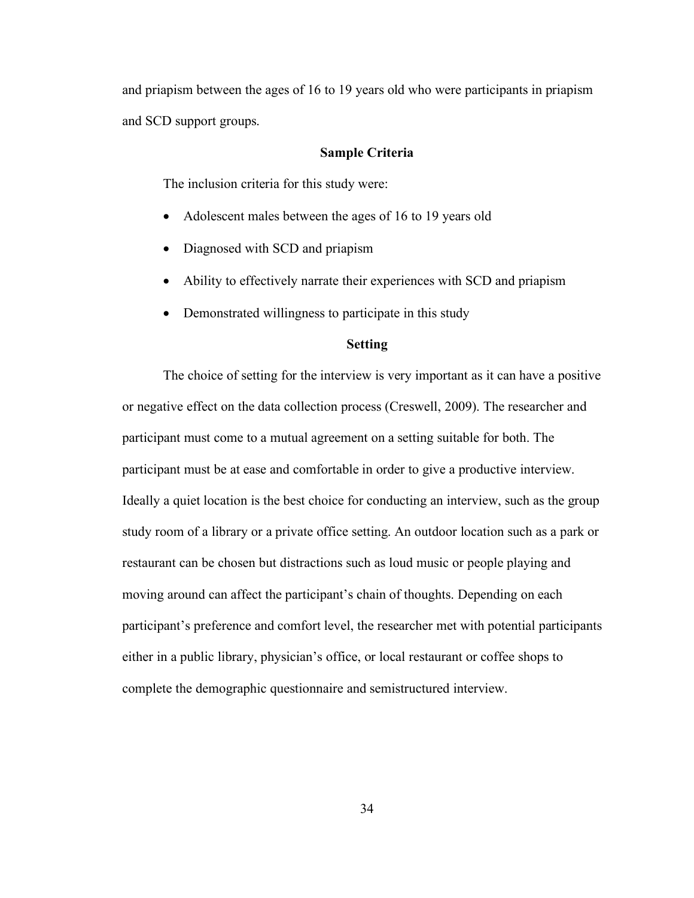and priapism between the ages of 16 to 19 years old who were participants in priapism and SCD support groups.

## **Sample Criteria**

The inclusion criteria for this study were:

- Adolescent males between the ages of 16 to 19 years old
- Diagnosed with SCD and priapism
- Ability to effectively narrate their experiences with SCD and priapism
- Demonstrated willingness to participate in this study

## **Setting**

The choice of setting for the interview is very important as it can have a positive or negative effect on the data collection process (Creswell, 2009). The researcher and participant must come to a mutual agreement on a setting suitable for both. The participant must be at ease and comfortable in order to give a productive interview. Ideally a quiet location is the best choice for conducting an interview, such as the group study room of a library or a private office setting. An outdoor location such as a park or restaurant can be chosen but distractions such as loud music or people playing and moving around can affect the participant's chain of thoughts. Depending on each participant's preference and comfort level, the researcher met with potential participants either in a public library, physician's office, or local restaurant or coffee shops to complete the demographic questionnaire and semistructured interview.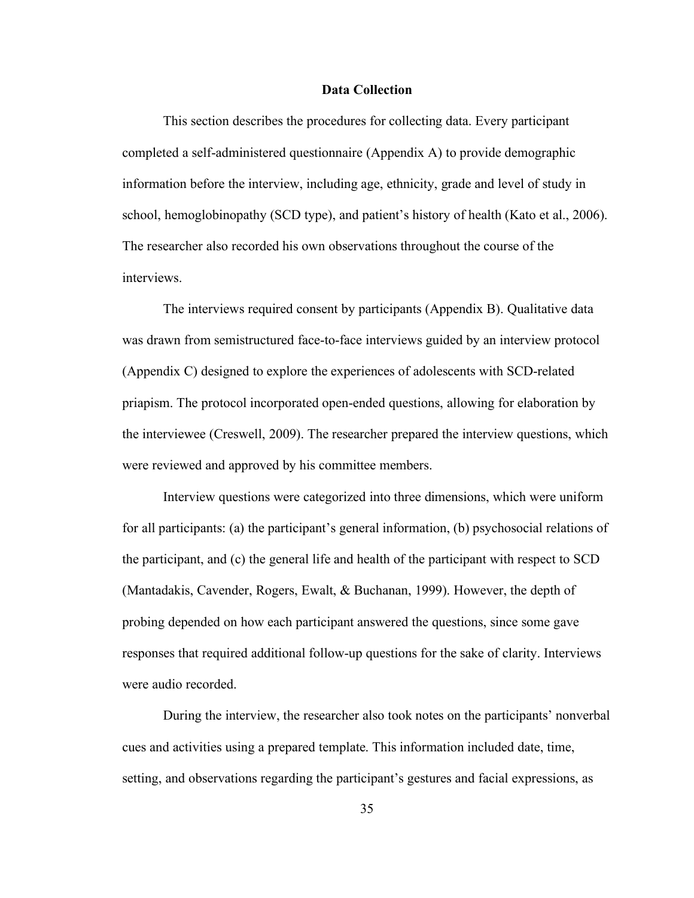## **Data Collection**

This section describes the procedures for collecting data. Every participant completed a self-administered questionnaire (Appendix A) to provide demographic information before the interview, including age, ethnicity, grade and level of study in school, hemoglobinopathy (SCD type), and patient's history of health (Kato et al., 2006). The researcher also recorded his own observations throughout the course of the interviews.

The interviews required consent by participants (Appendix B). Qualitative data was drawn from semistructured face-to-face interviews guided by an interview protocol (Appendix C) designed to explore the experiences of adolescents with SCD-related priapism. The protocol incorporated open-ended questions, allowing for elaboration by the interviewee (Creswell, 2009). The researcher prepared the interview questions, which were reviewed and approved by his committee members.

Interview questions were categorized into three dimensions, which were uniform for all participants: (a) the participant's general information, (b) psychosocial relations of the participant, and (c) the general life and health of the participant with respect to SCD (Mantadakis, Cavender, Rogers, Ewalt, & Buchanan, 1999). However, the depth of probing depended on how each participant answered the questions, since some gave responses that required additional follow-up questions for the sake of clarity. Interviews were audio recorded.

During the interview, the researcher also took notes on the participants' nonverbal cues and activities using a prepared template. This information included date, time, setting, and observations regarding the participant's gestures and facial expressions, as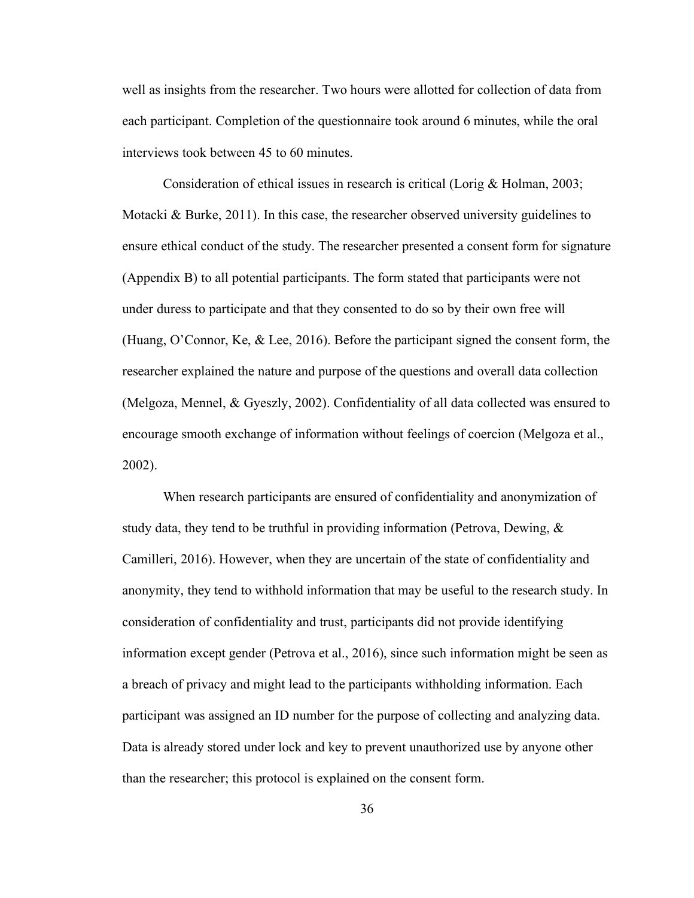well as insights from the researcher. Two hours were allotted for collection of data from each participant. Completion of the questionnaire took around 6 minutes, while the oral interviews took between 45 to 60 minutes.

Consideration of ethical issues in research is critical (Lorig & Holman, 2003; Motacki & Burke,  $2011$ ). In this case, the researcher observed university guidelines to ensure ethical conduct of the study. The researcher presented a consent form for signature (Appendix B) to all potential participants. The form stated that participants were not under duress to participate and that they consented to do so by their own free will (Huang, O'Connor, Ke, & Lee, 2016). Before the participant signed the consent form, the researcher explained the nature and purpose of the questions and overall data collection (Melgoza, Mennel, & Gyeszly, 2002). Confidentiality of all data collected was ensured to encourage smooth exchange of information without feelings of coercion (Melgoza et al., 2002).

When research participants are ensured of confidentiality and anonymization of study data, they tend to be truthful in providing information (Petrova, Dewing, & Camilleri, 2016). However, when they are uncertain of the state of confidentiality and anonymity, they tend to withhold information that may be useful to the research study. In consideration of confidentiality and trust, participants did not provide identifying information except gender (Petrova et al., 2016), since such information might be seen as a breach of privacy and might lead to the participants withholding information. Each participant was assigned an ID number for the purpose of collecting and analyzing data. Data is already stored under lock and key to prevent unauthorized use by anyone other than the researcher; this protocol is explained on the consent form.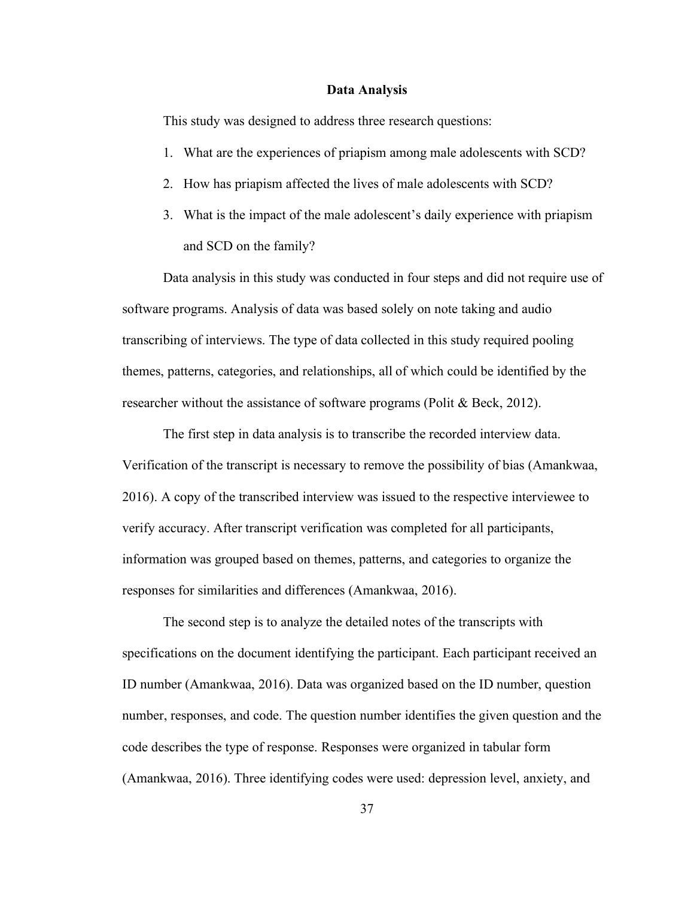#### **Data Analysis**

This study was designed to address three research questions:

- 1. What are the experiences of priapism among male adolescents with SCD?
- 2. How has priapism affected the lives of male adolescents with SCD?
- 3. What is the impact of the male adolescent's daily experience with priapism and SCD on the family?

Data analysis in this study was conducted in four steps and did not require use of software programs. Analysis of data was based solely on note taking and audio transcribing of interviews. The type of data collected in this study required pooling themes, patterns, categories, and relationships, all of which could be identified by the researcher without the assistance of software programs (Polit & Beck, 2012).

The first step in data analysis is to transcribe the recorded interview data. Verification of the transcript is necessary to remove the possibility of bias (Amankwaa, 2016). A copy of the transcribed interview was issued to the respective interviewee to verify accuracy. After transcript verification was completed for all participants, information was grouped based on themes, patterns, and categories to organize the responses for similarities and differences (Amankwaa, 2016).

The second step is to analyze the detailed notes of the transcripts with specifications on the document identifying the participant. Each participant received an ID number (Amankwaa, 2016). Data was organized based on the ID number, question number, responses, and code. The question number identifies the given question and the code describes the type of response. Responses were organized in tabular form (Amankwaa, 2016). Three identifying codes were used: depression level, anxiety, and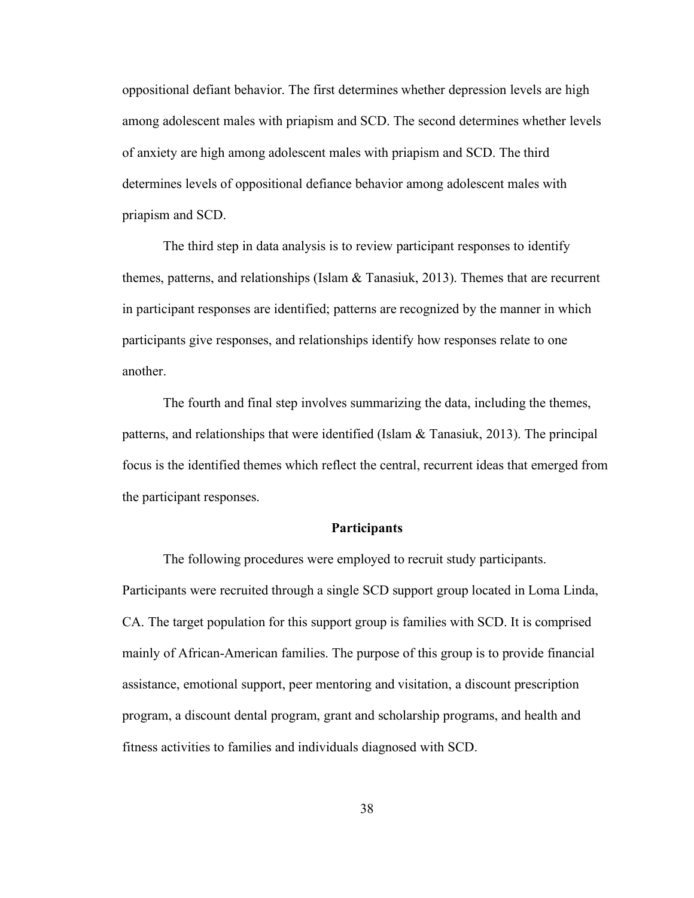oppositional defiant behavior. The first determines whether depression levels are high among adolescent males with priapism and SCD. The second determines whether levels of anxiety are high among adolescent males with priapism and SCD. The third determines levels of oppositional defiance behavior among adolescent males with priapism and SCD.

The third step in data analysis is to review participant responses to identify themes, patterns, and relationships (Islam  $\&$  Tanasiuk, 2013). Themes that are recurrent in participant responses are identified; patterns are recognized by the manner in which participants give responses, and relationships identify how responses relate to one another.

The fourth and final step involves summarizing the data, including the themes, patterns, and relationships that were identified (Islam & Tanasiuk, 2013). The principal focus is the identified themes which reflect the central, recurrent ideas that emerged from the participant responses.

# **Participants**

The following procedures were employed to recruit study participants. Participants were recruited through a single SCD support group located in Loma Linda, CA. The target population for this support group is families with SCD. It is comprised mainly of African-American families. The purpose of this group is to provide financial assistance, emotional support, peer mentoring and visitation, a discount prescription program, a discount dental program, grant and scholarship programs, and health and fitness activities to families and individuals diagnosed with SCD.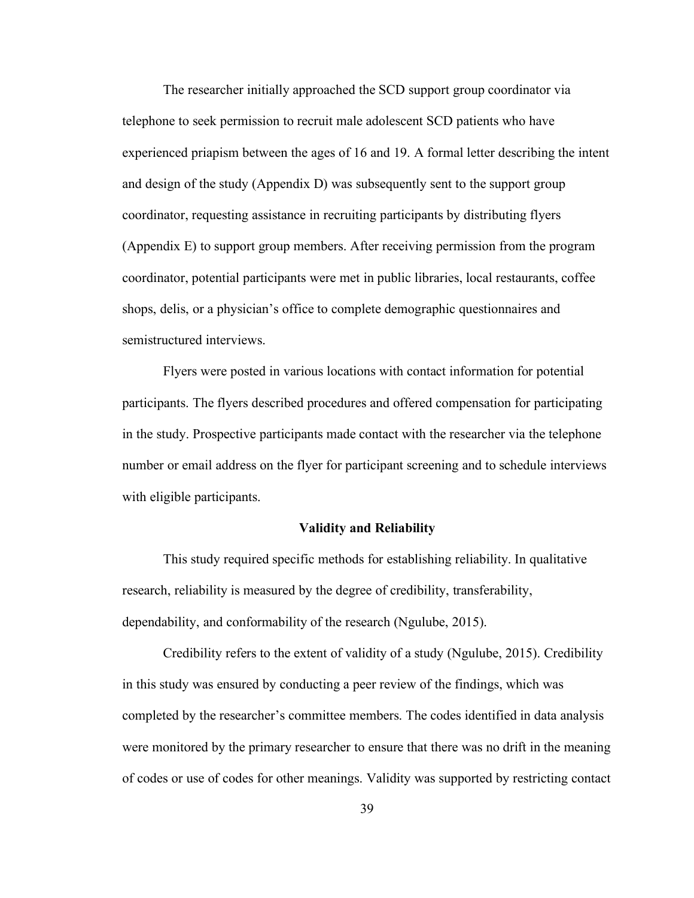The researcher initially approached the SCD support group coordinator via telephone to seek permission to recruit male adolescent SCD patients who have experienced priapism between the ages of 16 and 19. A formal letter describing the intent and design of the study (Appendix D) was subsequently sent to the support group coordinator, requesting assistance in recruiting participants by distributing flyers (Appendix E) to support group members. After receiving permission from the program coordinator, potential participants were met in public libraries, local restaurants, coffee shops, delis, or a physician's office to complete demographic questionnaires and semistructured interviews.

Flyers were posted in various locations with contact information for potential participants. The flyers described procedures and offered compensation for participating in the study. Prospective participants made contact with the researcher via the telephone number or email address on the flyer for participant screening and to schedule interviews with eligible participants.

## **Validity and Reliability**

This study required specific methods for establishing reliability. In qualitative research, reliability is measured by the degree of credibility, transferability, dependability, and conformability of the research (Ngulube, 2015).

Credibility refers to the extent of validity of a study (Ngulube, 2015). Credibility in this study was ensured by conducting a peer review of the findings, which was completed by the researcher's committee members. The codes identified in data analysis were monitored by the primary researcher to ensure that there was no drift in the meaning of codes or use of codes for other meanings. Validity was supported by restricting contact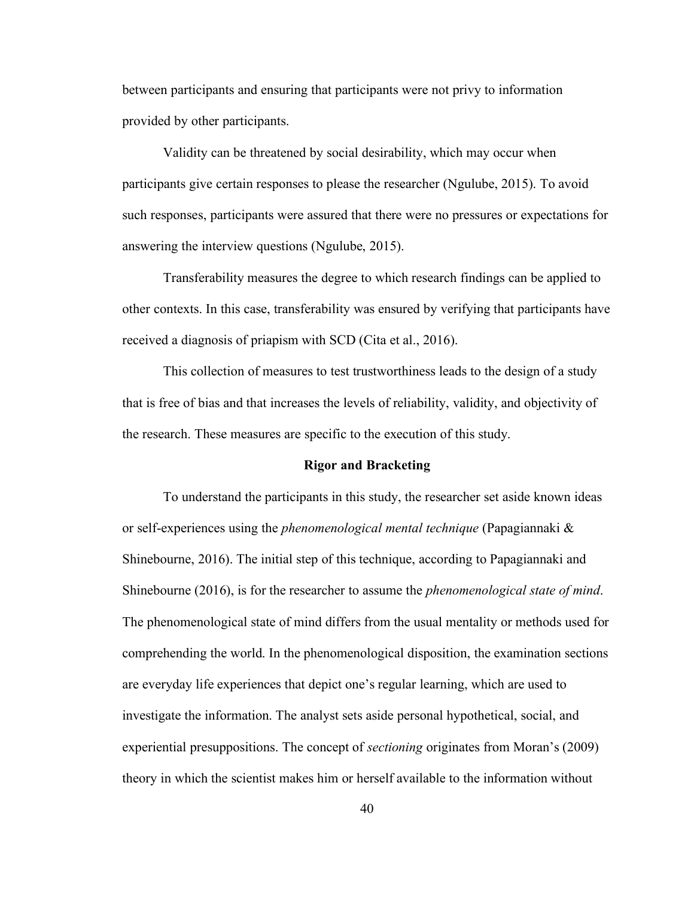between participants and ensuring that participants were not privy to information provided by other participants.

Validity can be threatened by social desirability, which may occur when participants give certain responses to please the researcher (Ngulube, 2015). To avoid such responses, participants were assured that there were no pressures or expectations for answering the interview questions (Ngulube, 2015).

Transferability measures the degree to which research findings can be applied to other contexts. In this case, transferability was ensured by verifying that participants have received a diagnosis of priapism with SCD (Cita et al., 2016).

This collection of measures to test trustworthiness leads to the design of a study that is free of bias and that increases the levels of reliability, validity, and objectivity of the research. These measures are specific to the execution of this study.

## **Rigor and Bracketing**

To understand the participants in this study, the researcher set aside known ideas or self-experiences using the *phenomenological mental technique* (Papagiannaki & Shinebourne, 2016). The initial step of this technique, according to Papagiannaki and Shinebourne (2016), is for the researcher to assume the *phenomenological state of mind*. The phenomenological state of mind differs from the usual mentality or methods used for comprehending the world. In the phenomenological disposition, the examination sections are everyday life experiences that depict one's regular learning, which are used to investigate the information. The analyst sets aside personal hypothetical, social, and experiential presuppositions. The concept of *sectioning* originates from Moran's (2009) theory in which the scientist makes him or herself available to the information without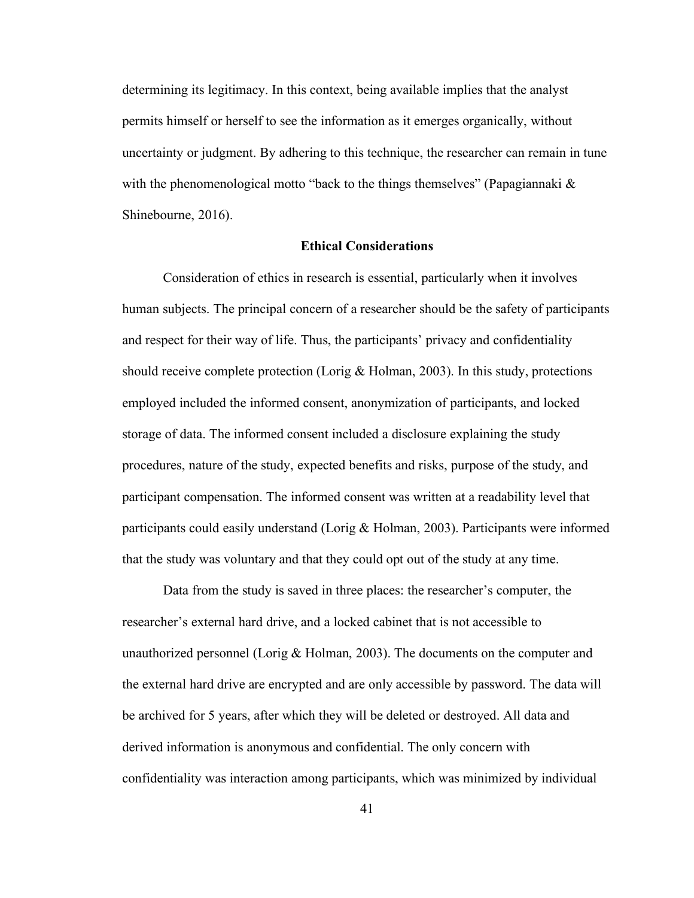determining its legitimacy. In this context, being available implies that the analyst permits himself or herself to see the information as it emerges organically, without uncertainty or judgment. By adhering to this technique, the researcher can remain in tune with the phenomenological motto "back to the things themselves" (Papagiannaki  $\&$ Shinebourne, 2016).

# **Ethical Considerations**

Consideration of ethics in research is essential, particularly when it involves human subjects. The principal concern of a researcher should be the safety of participants and respect for their way of life. Thus, the participants' privacy and confidentiality should receive complete protection (Lorig & Holman, 2003). In this study, protections employed included the informed consent, anonymization of participants, and locked storage of data. The informed consent included a disclosure explaining the study procedures, nature of the study, expected benefits and risks, purpose of the study, and participant compensation. The informed consent was written at a readability level that participants could easily understand (Lorig & Holman, 2003). Participants were informed that the study was voluntary and that they could opt out of the study at any time.

Data from the study is saved in three places: the researcher's computer, the researcher's external hard drive, and a locked cabinet that is not accessible to unauthorized personnel (Lorig & Holman, 2003). The documents on the computer and the external hard drive are encrypted and are only accessible by password. The data will be archived for 5 years, after which they will be deleted or destroyed. All data and derived information is anonymous and confidential. The only concern with confidentiality was interaction among participants, which was minimized by individual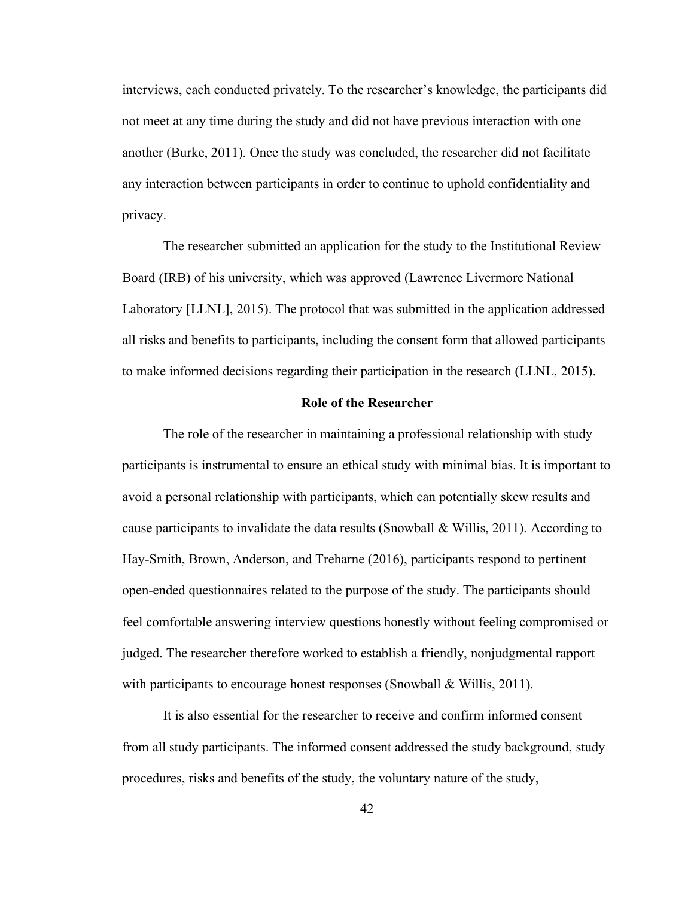interviews, each conducted privately. To the researcher's knowledge, the participants did not meet at any time during the study and did not have previous interaction with one another (Burke, 2011). Once the study was concluded, the researcher did not facilitate any interaction between participants in order to continue to uphold confidentiality and privacy.

The researcher submitted an application for the study to the Institutional Review Board (IRB) of his university, which was approved (Lawrence Livermore National Laboratory [LLNL], 2015). The protocol that was submitted in the application addressed all risks and benefits to participants, including the consent form that allowed participants to make informed decisions regarding their participation in the research (LLNL, 2015).

### **Role of the Researcher**

The role of the researcher in maintaining a professional relationship with study participants is instrumental to ensure an ethical study with minimal bias. It is important to avoid a personal relationship with participants, which can potentially skew results and cause participants to invalidate the data results (Snowball & Willis, 2011). According to Hay-Smith, Brown, Anderson, and Treharne (2016), participants respond to pertinent open-ended questionnaires related to the purpose of the study. The participants should feel comfortable answering interview questions honestly without feeling compromised or judged. The researcher therefore worked to establish a friendly, nonjudgmental rapport with participants to encourage honest responses (Snowball & Willis, 2011).

It is also essential for the researcher to receive and confirm informed consent from all study participants. The informed consent addressed the study background, study procedures, risks and benefits of the study, the voluntary nature of the study,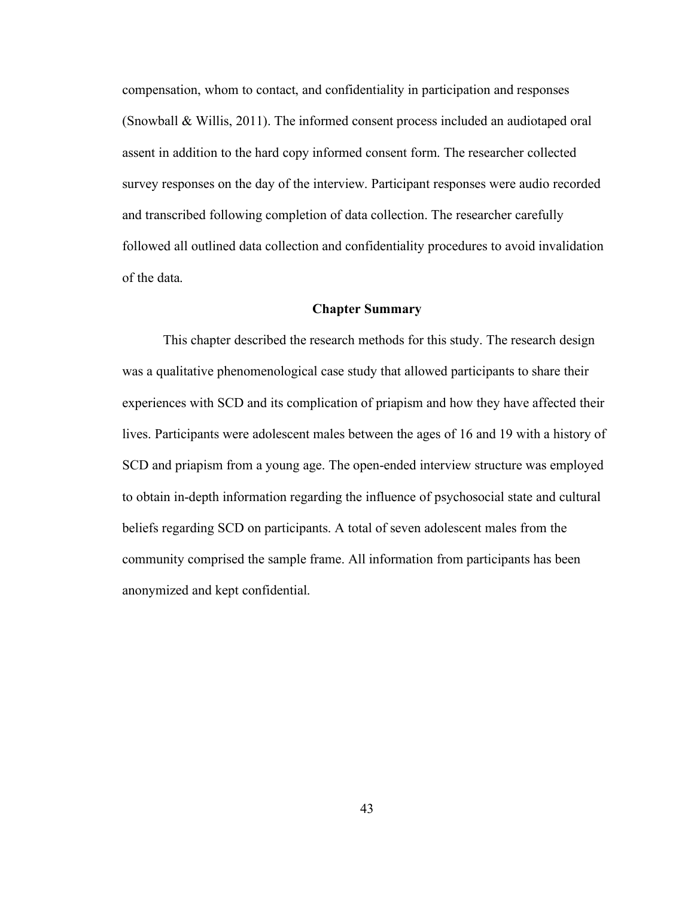compensation, whom to contact, and confidentiality in participation and responses (Snowball & Willis, 2011). The informed consent process included an audiotaped oral assent in addition to the hard copy informed consent form. The researcher collected survey responses on the day of the interview. Participant responses were audio recorded and transcribed following completion of data collection. The researcher carefully followed all outlined data collection and confidentiality procedures to avoid invalidation of the data.

### **Chapter Summary**

This chapter described the research methods for this study. The research design was a qualitative phenomenological case study that allowed participants to share their experiences with SCD and its complication of priapism and how they have affected their lives. Participants were adolescent males between the ages of 16 and 19 with a history of SCD and priapism from a young age. The open-ended interview structure was employed to obtain in-depth information regarding the influence of psychosocial state and cultural beliefs regarding SCD on participants. A total of seven adolescent males from the community comprised the sample frame. All information from participants has been anonymized and kept confidential.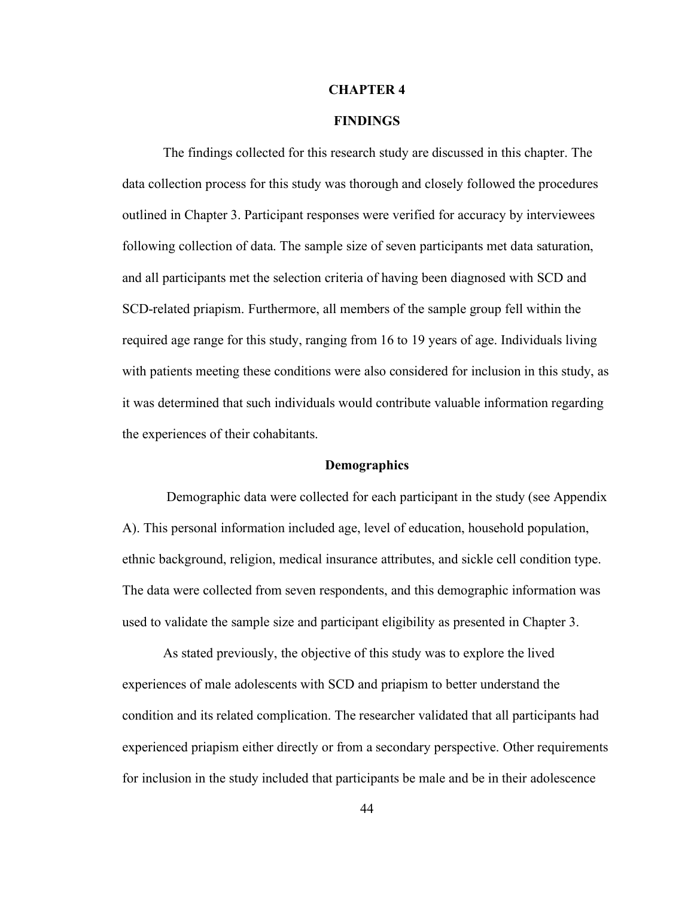### **CHAPTER 4**

# **FINDINGS**

The findings collected for this research study are discussed in this chapter. The data collection process for this study was thorough and closely followed the procedures outlined in Chapter 3. Participant responses were verified for accuracy by interviewees following collection of data. The sample size of seven participants met data saturation, and all participants met the selection criteria of having been diagnosed with SCD and SCD-related priapism. Furthermore, all members of the sample group fell within the required age range for this study, ranging from 16 to 19 years of age. Individuals living with patients meeting these conditions were also considered for inclusion in this study, as it was determined that such individuals would contribute valuable information regarding the experiences of their cohabitants.

### **Demographics**

Demographic data were collected for each participant in the study (see Appendix A). This personal information included age, level of education, household population, ethnic background, religion, medical insurance attributes, and sickle cell condition type. The data were collected from seven respondents, and this demographic information was used to validate the sample size and participant eligibility as presented in Chapter 3.

As stated previously, the objective of this study was to explore the lived experiences of male adolescents with SCD and priapism to better understand the condition and its related complication. The researcher validated that all participants had experienced priapism either directly or from a secondary perspective. Other requirements for inclusion in the study included that participants be male and be in their adolescence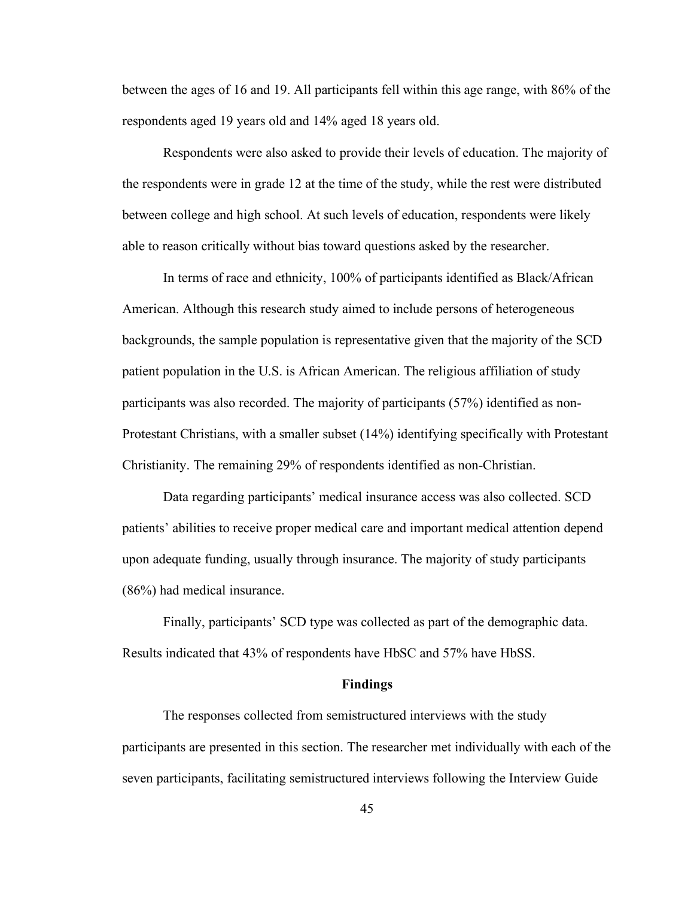between the ages of 16 and 19. All participants fell within this age range, with 86% of the respondents aged 19 years old and 14% aged 18 years old.

Respondents were also asked to provide their levels of education. The majority of the respondents were in grade 12 at the time of the study, while the rest were distributed between college and high school. At such levels of education, respondents were likely able to reason critically without bias toward questions asked by the researcher.

In terms of race and ethnicity, 100% of participants identified as Black/African American. Although this research study aimed to include persons of heterogeneous backgrounds, the sample population is representative given that the majority of the SCD patient population in the U.S. is African American. The religious affiliation of study participants was also recorded. The majority of participants (57%) identified as non-Protestant Christians, with a smaller subset (14%) identifying specifically with Protestant Christianity. The remaining 29% of respondents identified as non-Christian.

Data regarding participants' medical insurance access was also collected. SCD patients' abilities to receive proper medical care and important medical attention depend upon adequate funding, usually through insurance. The majority of study participants (86%) had medical insurance.

Finally, participants' SCD type was collected as part of the demographic data. Results indicated that 43% of respondents have HbSC and 57% have HbSS.

### **Findings**

The responses collected from semistructured interviews with the study participants are presented in this section. The researcher met individually with each of the seven participants, facilitating semistructured interviews following the Interview Guide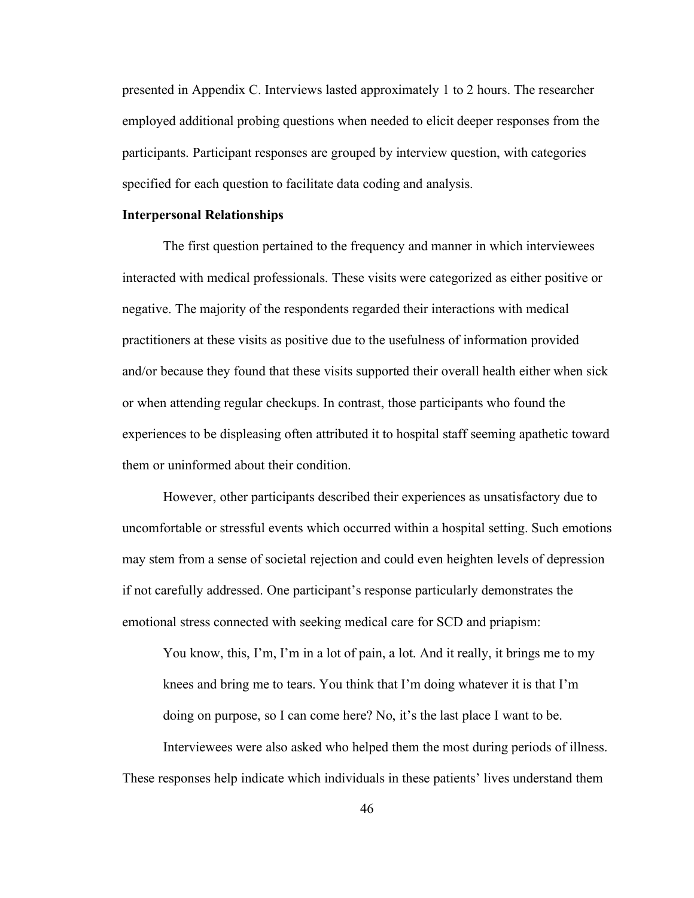presented in Appendix C. Interviews lasted approximately 1 to 2 hours. The researcher employed additional probing questions when needed to elicit deeper responses from the participants. Participant responses are grouped by interview question, with categories specified for each question to facilitate data coding and analysis.

#### **Interpersonal Relationships**

The first question pertained to the frequency and manner in which interviewees interacted with medical professionals. These visits were categorized as either positive or negative. The majority of the respondents regarded their interactions with medical practitioners at these visits as positive due to the usefulness of information provided and/or because they found that these visits supported their overall health either when sick or when attending regular checkups. In contrast, those participants who found the experiences to be displeasing often attributed it to hospital staff seeming apathetic toward them or uninformed about their condition.

However, other participants described their experiences as unsatisfactory due to uncomfortable or stressful events which occurred within a hospital setting. Such emotions may stem from a sense of societal rejection and could even heighten levels of depression if not carefully addressed. One participant's response particularly demonstrates the emotional stress connected with seeking medical care for SCD and priapism:

You know, this, I'm, I'm in a lot of pain, a lot. And it really, it brings me to my knees and bring me to tears. You think that I'm doing whatever it is that I'm doing on purpose, so I can come here? No, it's the last place I want to be. Interviewees were also asked who helped them the most during periods of illness.

These responses help indicate which individuals in these patients' lives understand them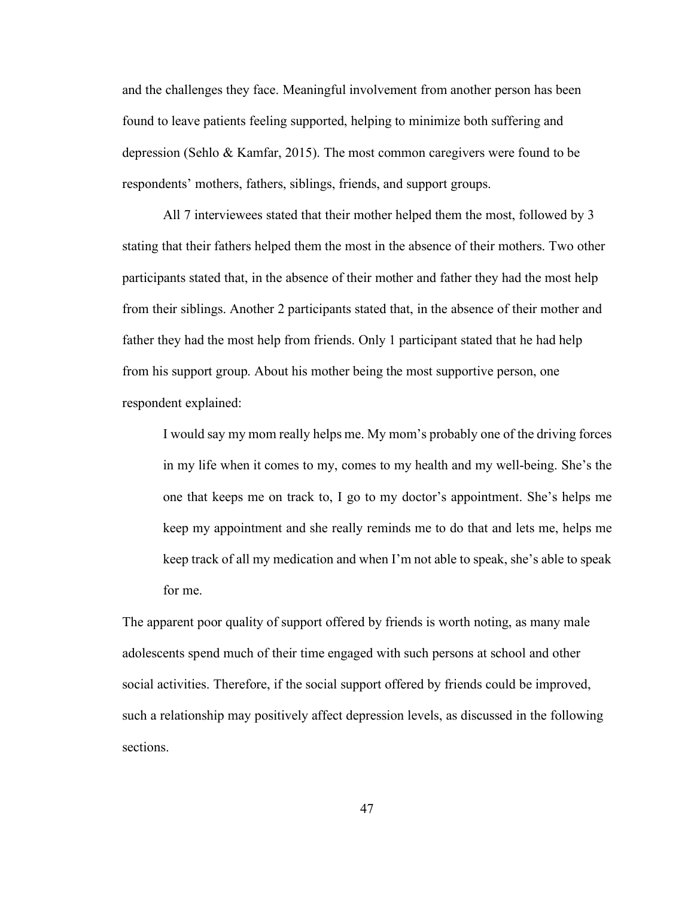and the challenges they face. Meaningful involvement from another person has been found to leave patients feeling supported, helping to minimize both suffering and depression (Sehlo & Kamfar, 2015). The most common caregivers were found to be respondents' mothers, fathers, siblings, friends, and support groups.

All 7 interviewees stated that their mother helped them the most, followed by 3 stating that their fathers helped them the most in the absence of their mothers. Two other participants stated that, in the absence of their mother and father they had the most help from their siblings. Another 2 participants stated that, in the absence of their mother and father they had the most help from friends. Only 1 participant stated that he had help from his support group. About his mother being the most supportive person, one respondent explained:

I would say my mom really helps me. My mom's probably one of the driving forces in my life when it comes to my, comes to my health and my well-being. She's the one that keeps me on track to, I go to my doctor's appointment. She's helps me keep my appointment and she really reminds me to do that and lets me, helps me keep track of all my medication and when I'm not able to speak, she's able to speak for me.

The apparent poor quality of support offered by friends is worth noting, as many male adolescents spend much of their time engaged with such persons at school and other social activities. Therefore, if the social support offered by friends could be improved, such a relationship may positively affect depression levels, as discussed in the following sections.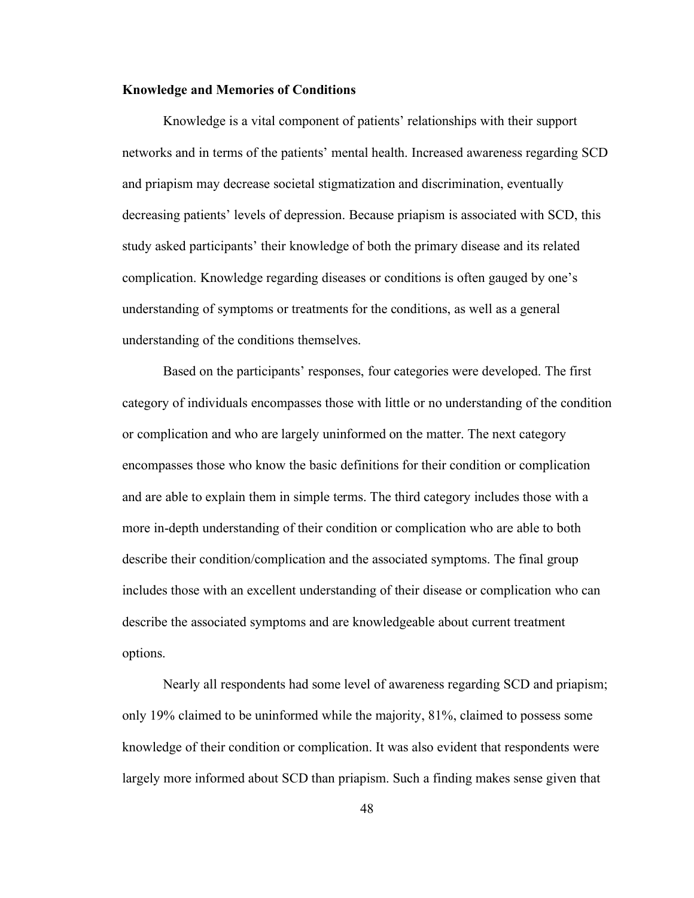## **Knowledge and Memories of Conditions**

Knowledge is a vital component of patients' relationships with their support networks and in terms of the patients' mental health. Increased awareness regarding SCD and priapism may decrease societal stigmatization and discrimination, eventually decreasing patients' levels of depression. Because priapism is associated with SCD, this study asked participants' their knowledge of both the primary disease and its related complication. Knowledge regarding diseases or conditions is often gauged by one's understanding of symptoms or treatments for the conditions, as well as a general understanding of the conditions themselves.

Based on the participants' responses, four categories were developed. The first category of individuals encompasses those with little or no understanding of the condition or complication and who are largely uninformed on the matter. The next category encompasses those who know the basic definitions for their condition or complication and are able to explain them in simple terms. The third category includes those with a more in-depth understanding of their condition or complication who are able to both describe their condition/complication and the associated symptoms. The final group includes those with an excellent understanding of their disease or complication who can describe the associated symptoms and are knowledgeable about current treatment options.

Nearly all respondents had some level of awareness regarding SCD and priapism; only 19% claimed to be uninformed while the majority, 81%, claimed to possess some knowledge of their condition or complication. It was also evident that respondents were largely more informed about SCD than priapism. Such a finding makes sense given that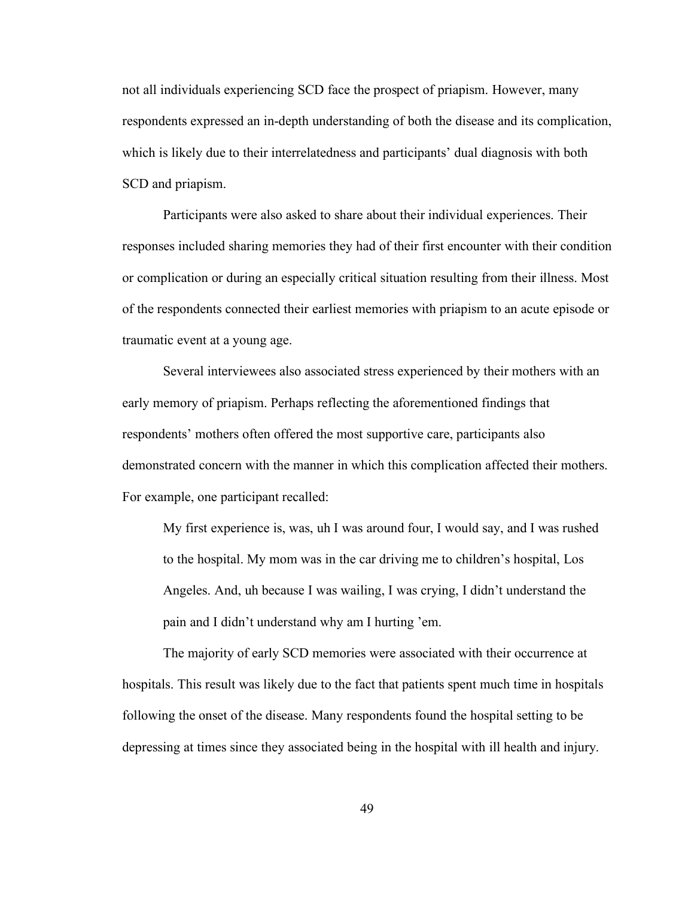not all individuals experiencing SCD face the prospect of priapism. However, many respondents expressed an in-depth understanding of both the disease and its complication, which is likely due to their interrelatedness and participants' dual diagnosis with both SCD and priapism.

Participants were also asked to share about their individual experiences. Their responses included sharing memories they had of their first encounter with their condition or complication or during an especially critical situation resulting from their illness. Most of the respondents connected their earliest memories with priapism to an acute episode or traumatic event at a young age.

Several interviewees also associated stress experienced by their mothers with an early memory of priapism. Perhaps reflecting the aforementioned findings that respondents' mothers often offered the most supportive care, participants also demonstrated concern with the manner in which this complication affected their mothers. For example, one participant recalled:

My first experience is, was, uh I was around four, I would say, and I was rushed to the hospital. My mom was in the car driving me to children's hospital, Los Angeles. And, uh because I was wailing, I was crying, I didn't understand the pain and I didn't understand why am I hurting 'em.

The majority of early SCD memories were associated with their occurrence at hospitals. This result was likely due to the fact that patients spent much time in hospitals following the onset of the disease. Many respondents found the hospital setting to be depressing at times since they associated being in the hospital with ill health and injury.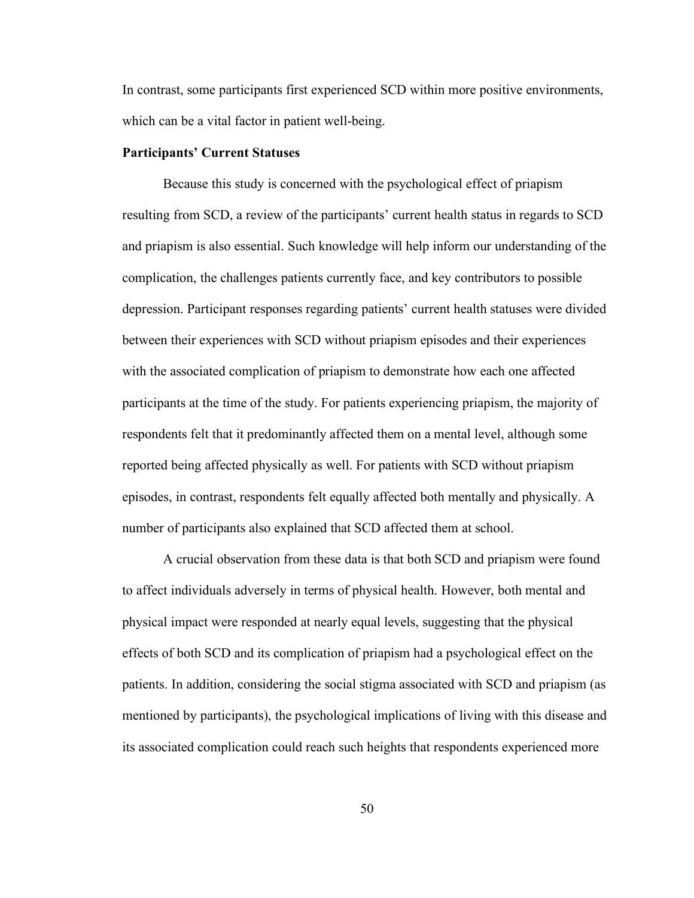In contrast, some participants first experienced SCD within more positive environments, which can be a vital factor in patient well-being.

## **Participants' Current Statuses**

Because this study is concerned with the psychological effect of priapism resulting from SCD, a review of the participants' current health status in regards to SCD and priapism is also essential. Such knowledge will help inform our understanding of the complication, the challenges patients currently face, and key contributors to possible depression. Participant responses regarding patients' current health statuses were divided between their experiences with SCD without priapism episodes and their experiences with the associated complication of priapism to demonstrate how each one affected participants at the time of the study. For patients experiencing priapism, the majority of respondents felt that it predominantly affected them on a mental level, although some reported being affected physically as well. For patients with SCD without priapism episodes, in contrast, respondents felt equally affected both mentally and physically. A number of participants also explained that SCD affected them at school.

A crucial observation from these data is that both SCD and priapism were found to affect individuals adversely in terms of physical health. However, both mental and physical impact were responded at nearly equal levels, suggesting that the physical effects of both SCD and its complication of priapism had a psychological effect on the patients. In addition, considering the social stigma associated with SCD and priapism (as mentioned by participants), the psychological implications of living with this disease and its associated complication could reach such heights that respondents experienced more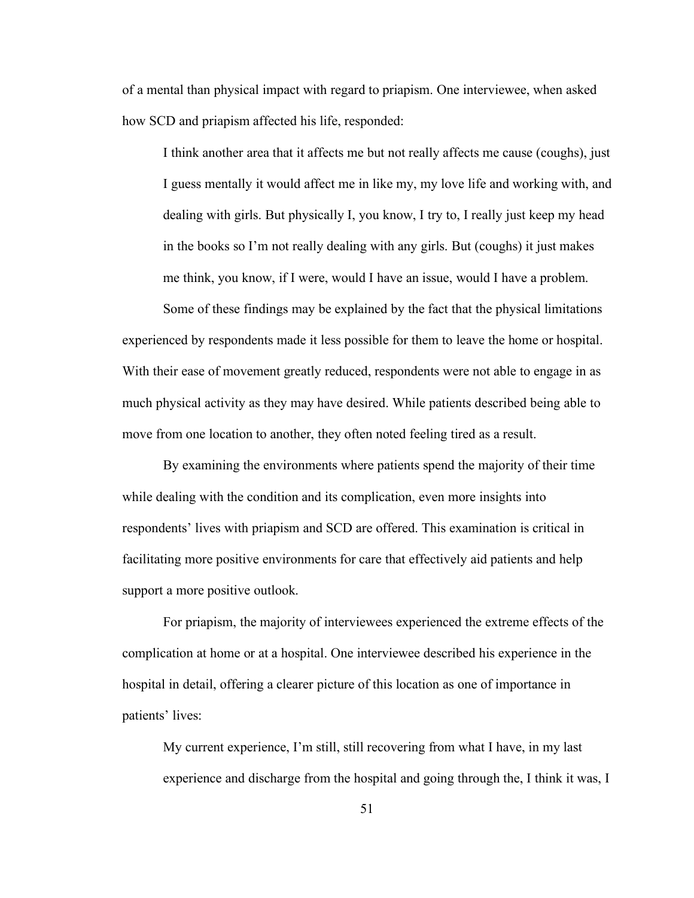of a mental than physical impact with regard to priapism. One interviewee, when asked how SCD and priapism affected his life, responded:

I think another area that it affects me but not really affects me cause (coughs), just I guess mentally it would affect me in like my, my love life and working with, and dealing with girls. But physically I, you know, I try to, I really just keep my head in the books so I'm not really dealing with any girls. But (coughs) it just makes me think, you know, if I were, would I have an issue, would I have a problem.

Some of these findings may be explained by the fact that the physical limitations experienced by respondents made it less possible for them to leave the home or hospital. With their ease of movement greatly reduced, respondents were not able to engage in as much physical activity as they may have desired. While patients described being able to move from one location to another, they often noted feeling tired as a result.

By examining the environments where patients spend the majority of their time while dealing with the condition and its complication, even more insights into respondents' lives with priapism and SCD are offered. This examination is critical in facilitating more positive environments for care that effectively aid patients and help support a more positive outlook.

For priapism, the majority of interviewees experienced the extreme effects of the complication at home or at a hospital. One interviewee described his experience in the hospital in detail, offering a clearer picture of this location as one of importance in patients' lives:

My current experience, I'm still, still recovering from what I have, in my last experience and discharge from the hospital and going through the, I think it was, I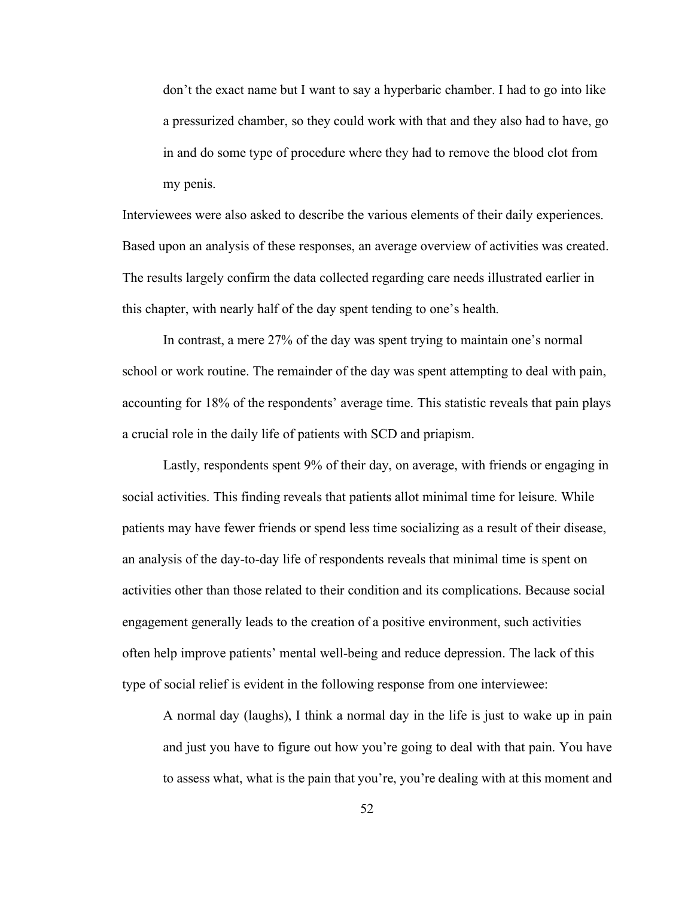don't the exact name but I want to say a hyperbaric chamber. I had to go into like a pressurized chamber, so they could work with that and they also had to have, go in and do some type of procedure where they had to remove the blood clot from my penis.

Interviewees were also asked to describe the various elements of their daily experiences. Based upon an analysis of these responses, an average overview of activities was created. The results largely confirm the data collected regarding care needs illustrated earlier in this chapter, with nearly half of the day spent tending to one's health.

In contrast, a mere 27% of the day was spent trying to maintain one's normal school or work routine. The remainder of the day was spent attempting to deal with pain, accounting for 18% of the respondents' average time. This statistic reveals that pain plays a crucial role in the daily life of patients with SCD and priapism.

Lastly, respondents spent 9% of their day, on average, with friends or engaging in social activities. This finding reveals that patients allot minimal time for leisure. While patients may have fewer friends or spend less time socializing as a result of their disease, an analysis of the day-to-day life of respondents reveals that minimal time is spent on activities other than those related to their condition and its complications. Because social engagement generally leads to the creation of a positive environment, such activities often help improve patients' mental well-being and reduce depression. The lack of this type of social relief is evident in the following response from one interviewee:

A normal day (laughs), I think a normal day in the life is just to wake up in pain and just you have to figure out how you're going to deal with that pain. You have to assess what, what is the pain that you're, you're dealing with at this moment and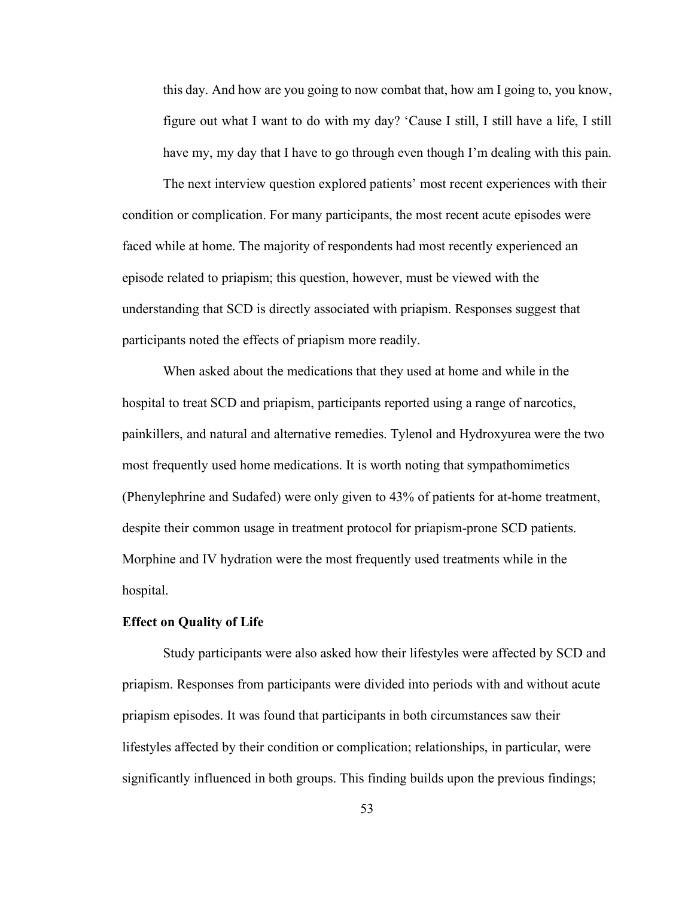this day. And how are you going to now combat that, how am I going to, you know, figure out what I want to do with my day? 'Cause I still, I still have a life, I still have my, my day that I have to go through even though I'm dealing with this pain.

The next interview question explored patients' most recent experiences with their condition or complication. For many participants, the most recent acute episodes were faced while at home. The majority of respondents had most recently experienced an episode related to priapism; this question, however, must be viewed with the understanding that SCD is directly associated with priapism. Responses suggest that participants noted the effects of priapism more readily.

When asked about the medications that they used at home and while in the hospital to treat SCD and priapism, participants reported using a range of narcotics, painkillers, and natural and alternative remedies. Tylenol and Hydroxyurea were the two most frequently used home medications. It is worth noting that sympathomimetics (Phenylephrine and Sudafed) were only given to 43% of patients for at-home treatment, despite their common usage in treatment protocol for priapism-prone SCD patients. Morphine and IV hydration were the most frequently used treatments while in the hospital.

## **Effect on Quality of Life**

Study participants were also asked how their lifestyles were affected by SCD and priapism. Responses from participants were divided into periods with and without acute priapism episodes. It was found that participants in both circumstances saw their lifestyles affected by their condition or complication; relationships, in particular, were significantly influenced in both groups. This finding builds upon the previous findings;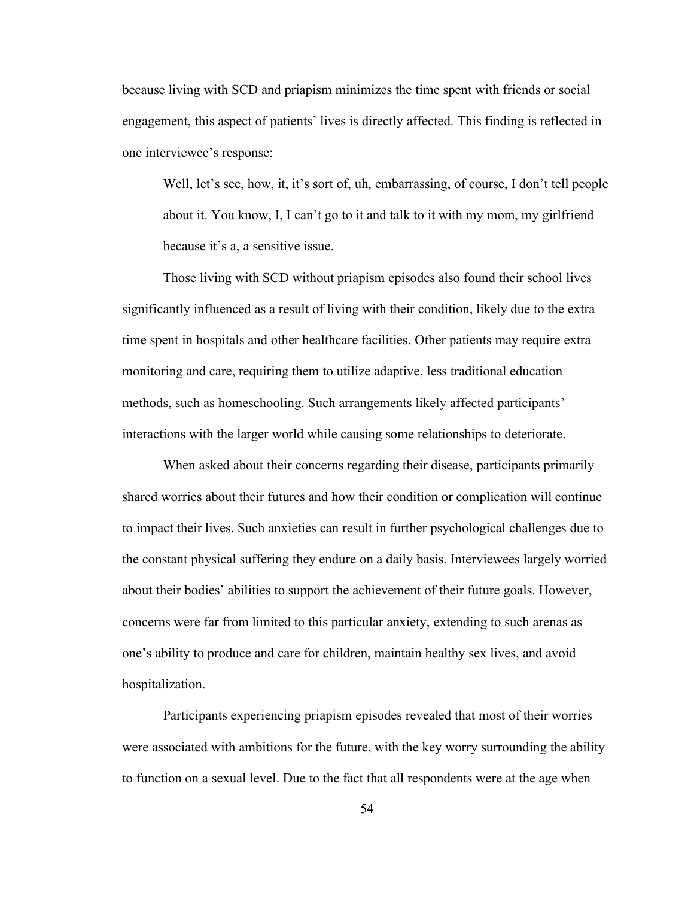because living with SCD and priapism minimizes the time spent with friends or social engagement, this aspect of patients' lives is directly affected. This finding is reflected in one interviewee's response:

Well, let's see, how, it, it's sort of, uh, embarrassing, of course, I don't tell people about it. You know, I, I can't go to it and talk to it with my mom, my girlfriend because it's a, a sensitive issue.

Those living with SCD without priapism episodes also found their school lives significantly influenced as a result of living with their condition, likely due to the extra time spent in hospitals and other healthcare facilities. Other patients may require extra monitoring and care, requiring them to utilize adaptive, less traditional education methods, such as homeschooling. Such arrangements likely affected participants' interactions with the larger world while causing some relationships to deteriorate.

When asked about their concerns regarding their disease, participants primarily shared worries about their futures and how their condition or complication will continue to impact their lives. Such anxieties can result in further psychological challenges due to the constant physical suffering they endure on a daily basis. Interviewees largely worried about their bodies' abilities to support the achievement of their future goals. However, concerns were far from limited to this particular anxiety, extending to such arenas as one's ability to produce and care for children, maintain healthy sex lives, and avoid hospitalization.

Participants experiencing priapism episodes revealed that most of their worries were associated with ambitions for the future, with the key worry surrounding the ability to function on a sexual level. Due to the fact that all respondents were at the age when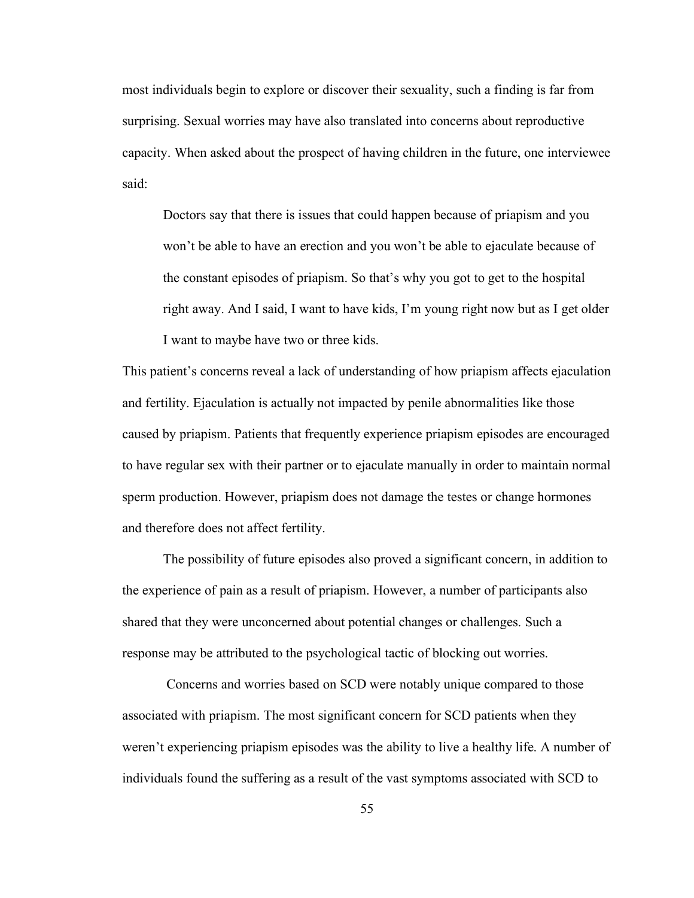most individuals begin to explore or discover their sexuality, such a finding is far from surprising. Sexual worries may have also translated into concerns about reproductive capacity. When asked about the prospect of having children in the future, one interviewee said:

Doctors say that there is issues that could happen because of priapism and you won't be able to have an erection and you won't be able to ejaculate because of the constant episodes of priapism. So that's why you got to get to the hospital right away. And I said, I want to have kids, I'm young right now but as I get older I want to maybe have two or three kids.

This patient's concerns reveal a lack of understanding of how priapism affects ejaculation and fertility. Ejaculation is actually not impacted by penile abnormalities like those caused by priapism. Patients that frequently experience priapism episodes are encouraged to have regular sex with their partner or to ejaculate manually in order to maintain normal sperm production. However, priapism does not damage the testes or change hormones and therefore does not affect fertility.

The possibility of future episodes also proved a significant concern, in addition to the experience of pain as a result of priapism. However, a number of participants also shared that they were unconcerned about potential changes or challenges. Such a response may be attributed to the psychological tactic of blocking out worries.

Concerns and worries based on SCD were notably unique compared to those associated with priapism. The most significant concern for SCD patients when they weren't experiencing priapism episodes was the ability to live a healthy life. A number of individuals found the suffering as a result of the vast symptoms associated with SCD to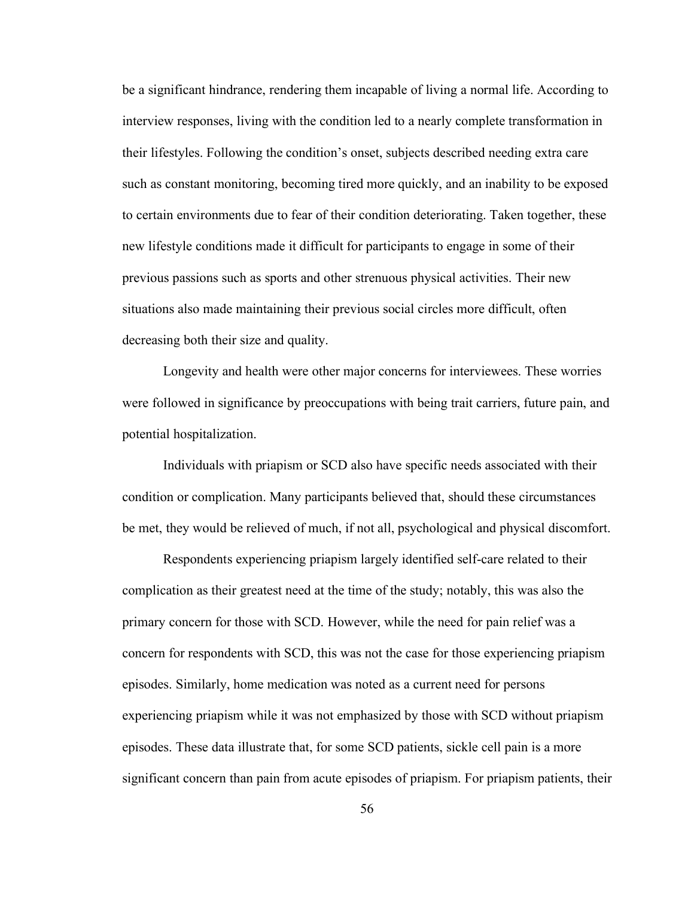be a significant hindrance, rendering them incapable of living a normal life. According to interview responses, living with the condition led to a nearly complete transformation in their lifestyles. Following the condition's onset, subjects described needing extra care such as constant monitoring, becoming tired more quickly, and an inability to be exposed to certain environments due to fear of their condition deteriorating. Taken together, these new lifestyle conditions made it difficult for participants to engage in some of their previous passions such as sports and other strenuous physical activities. Their new situations also made maintaining their previous social circles more difficult, often decreasing both their size and quality.

Longevity and health were other major concerns for interviewees. These worries were followed in significance by preoccupations with being trait carriers, future pain, and potential hospitalization.

Individuals with priapism or SCD also have specific needs associated with their condition or complication. Many participants believed that, should these circumstances be met, they would be relieved of much, if not all, psychological and physical discomfort.

Respondents experiencing priapism largely identified self-care related to their complication as their greatest need at the time of the study; notably, this was also the primary concern for those with SCD. However, while the need for pain relief was a concern for respondents with SCD, this was not the case for those experiencing priapism episodes. Similarly, home medication was noted as a current need for persons experiencing priapism while it was not emphasized by those with SCD without priapism episodes. These data illustrate that, for some SCD patients, sickle cell pain is a more significant concern than pain from acute episodes of priapism. For priapism patients, their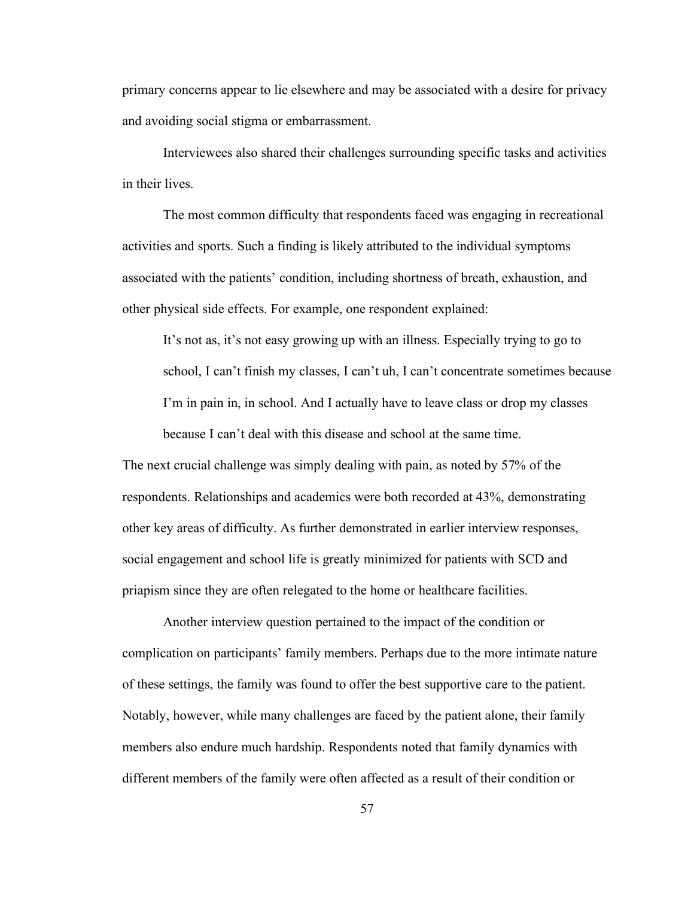primary concerns appear to lie elsewhere and may be associated with a desire for privacy and avoiding social stigma or embarrassment.

Interviewees also shared their challenges surrounding specific tasks and activities in their lives.

The most common difficulty that respondents faced was engaging in recreational activities and sports. Such a finding is likely attributed to the individual symptoms associated with the patients' condition, including shortness of breath, exhaustion, and other physical side effects. For example, one respondent explained:

It's not as, it's not easy growing up with an illness. Especially trying to go to school, I can't finish my classes, I can't uh, I can't concentrate sometimes because I'm in pain in, in school. And I actually have to leave class or drop my classes because I can't deal with this disease and school at the same time.

The next crucial challenge was simply dealing with pain, as noted by 57% of the respondents. Relationships and academics were both recorded at 43%, demonstrating other key areas of difficulty. As further demonstrated in earlier interview responses, social engagement and school life is greatly minimized for patients with SCD and priapism since they are often relegated to the home or healthcare facilities.

Another interview question pertained to the impact of the condition or complication on participants' family members. Perhaps due to the more intimate nature of these settings, the family was found to offer the best supportive care to the patient. Notably, however, while many challenges are faced by the patient alone, their family members also endure much hardship. Respondents noted that family dynamics with different members of the family were often affected as a result of their condition or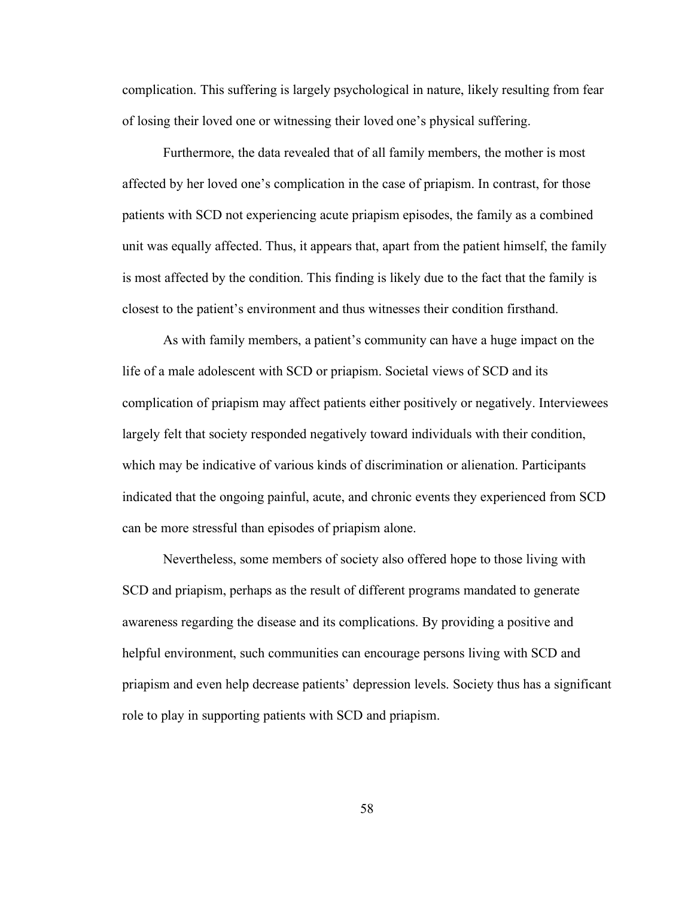complication. This suffering is largely psychological in nature, likely resulting from fear of losing their loved one or witnessing their loved one's physical suffering.

Furthermore, the data revealed that of all family members, the mother is most affected by her loved one's complication in the case of priapism. In contrast, for those patients with SCD not experiencing acute priapism episodes, the family as a combined unit was equally affected. Thus, it appears that, apart from the patient himself, the family is most affected by the condition. This finding is likely due to the fact that the family is closest to the patient's environment and thus witnesses their condition firsthand.

As with family members, a patient's community can have a huge impact on the life of a male adolescent with SCD or priapism. Societal views of SCD and its complication of priapism may affect patients either positively or negatively. Interviewees largely felt that society responded negatively toward individuals with their condition, which may be indicative of various kinds of discrimination or alienation. Participants indicated that the ongoing painful, acute, and chronic events they experienced from SCD can be more stressful than episodes of priapism alone.

Nevertheless, some members of society also offered hope to those living with SCD and priapism, perhaps as the result of different programs mandated to generate awareness regarding the disease and its complications. By providing a positive and helpful environment, such communities can encourage persons living with SCD and priapism and even help decrease patients' depression levels. Society thus has a significant role to play in supporting patients with SCD and priapism.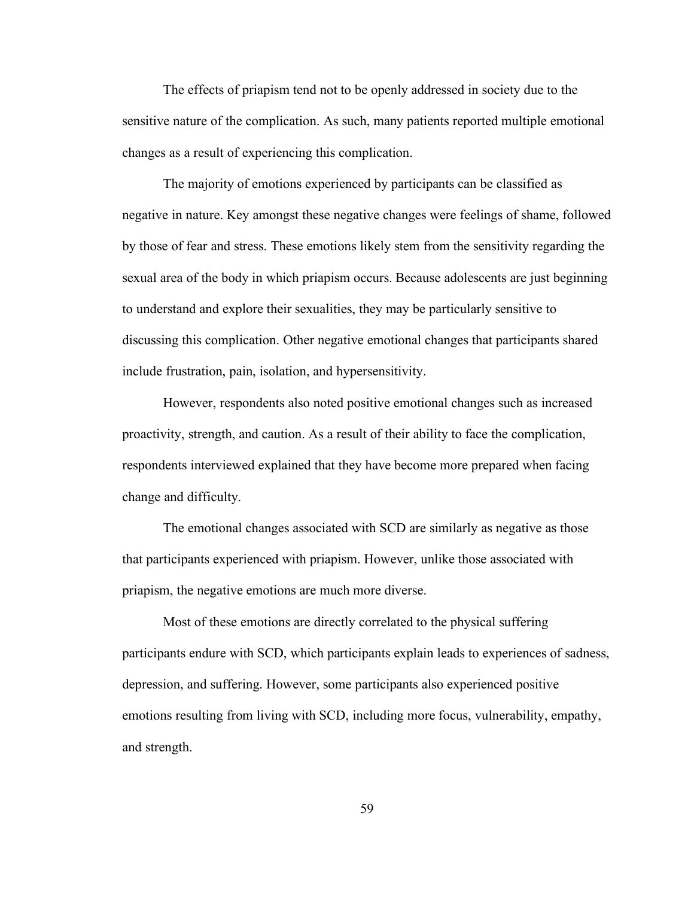The effects of priapism tend not to be openly addressed in society due to the sensitive nature of the complication. As such, many patients reported multiple emotional changes as a result of experiencing this complication.

The majority of emotions experienced by participants can be classified as negative in nature. Key amongst these negative changes were feelings of shame, followed by those of fear and stress. These emotions likely stem from the sensitivity regarding the sexual area of the body in which priapism occurs. Because adolescents are just beginning to understand and explore their sexualities, they may be particularly sensitive to discussing this complication. Other negative emotional changes that participants shared include frustration, pain, isolation, and hypersensitivity.

However, respondents also noted positive emotional changes such as increased proactivity, strength, and caution. As a result of their ability to face the complication, respondents interviewed explained that they have become more prepared when facing change and difficulty.

The emotional changes associated with SCD are similarly as negative as those that participants experienced with priapism. However, unlike those associated with priapism, the negative emotions are much more diverse.

Most of these emotions are directly correlated to the physical suffering participants endure with SCD, which participants explain leads to experiences of sadness, depression, and suffering. However, some participants also experienced positive emotions resulting from living with SCD, including more focus, vulnerability, empathy, and strength.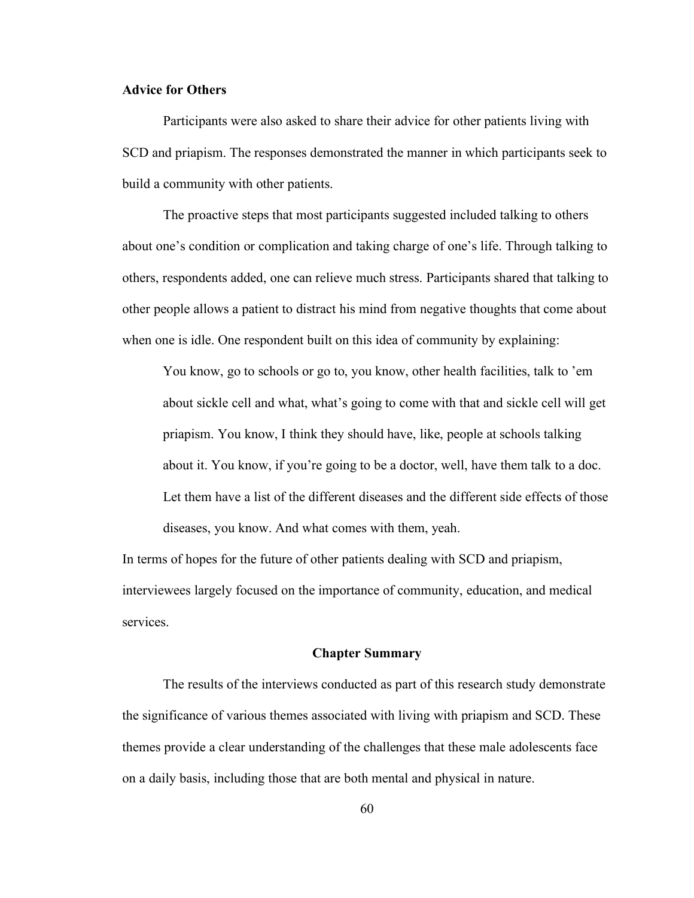# **Advice for Others**

Participants were also asked to share their advice for other patients living with SCD and priapism. The responses demonstrated the manner in which participants seek to build a community with other patients.

The proactive steps that most participants suggested included talking to others about one's condition or complication and taking charge of one's life. Through talking to others, respondents added, one can relieve much stress. Participants shared that talking to other people allows a patient to distract his mind from negative thoughts that come about when one is idle. One respondent built on this idea of community by explaining:

You know, go to schools or go to, you know, other health facilities, talk to 'em about sickle cell and what, what's going to come with that and sickle cell will get priapism. You know, I think they should have, like, people at schools talking about it. You know, if you're going to be a doctor, well, have them talk to a doc. Let them have a list of the different diseases and the different side effects of those diseases, you know. And what comes with them, yeah.

In terms of hopes for the future of other patients dealing with SCD and priapism, interviewees largely focused on the importance of community, education, and medical services.

#### **Chapter Summary**

The results of the interviews conducted as part of this research study demonstrate the significance of various themes associated with living with priapism and SCD. These themes provide a clear understanding of the challenges that these male adolescents face on a daily basis, including those that are both mental and physical in nature.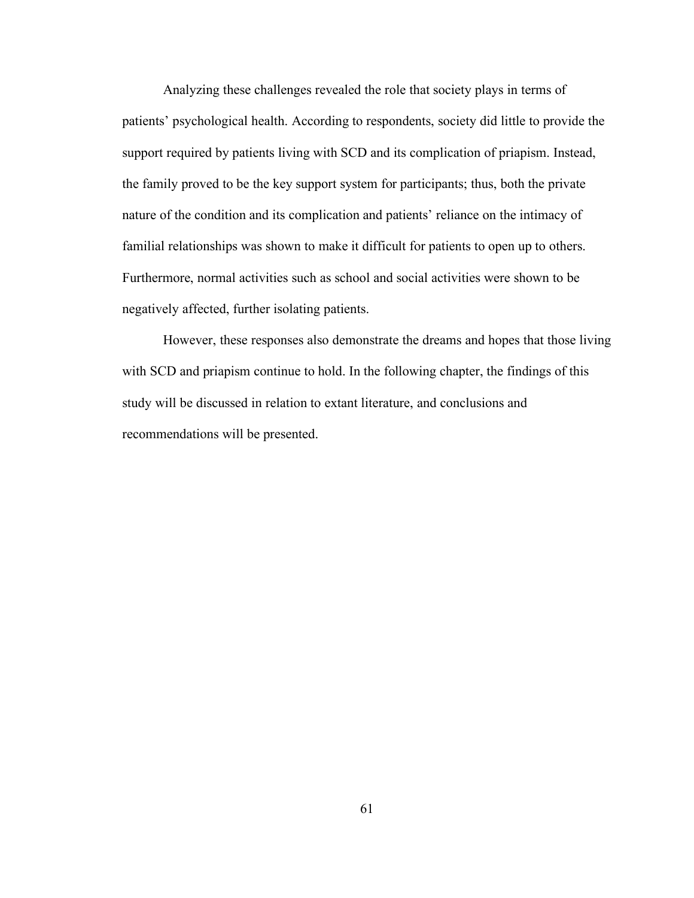Analyzing these challenges revealed the role that society plays in terms of patients' psychological health. According to respondents, society did little to provide the support required by patients living with SCD and its complication of priapism. Instead, the family proved to be the key support system for participants; thus, both the private nature of the condition and its complication and patients' reliance on the intimacy of familial relationships was shown to make it difficult for patients to open up to others. Furthermore, normal activities such as school and social activities were shown to be negatively affected, further isolating patients.

However, these responses also demonstrate the dreams and hopes that those living with SCD and priapism continue to hold. In the following chapter, the findings of this study will be discussed in relation to extant literature, and conclusions and recommendations will be presented.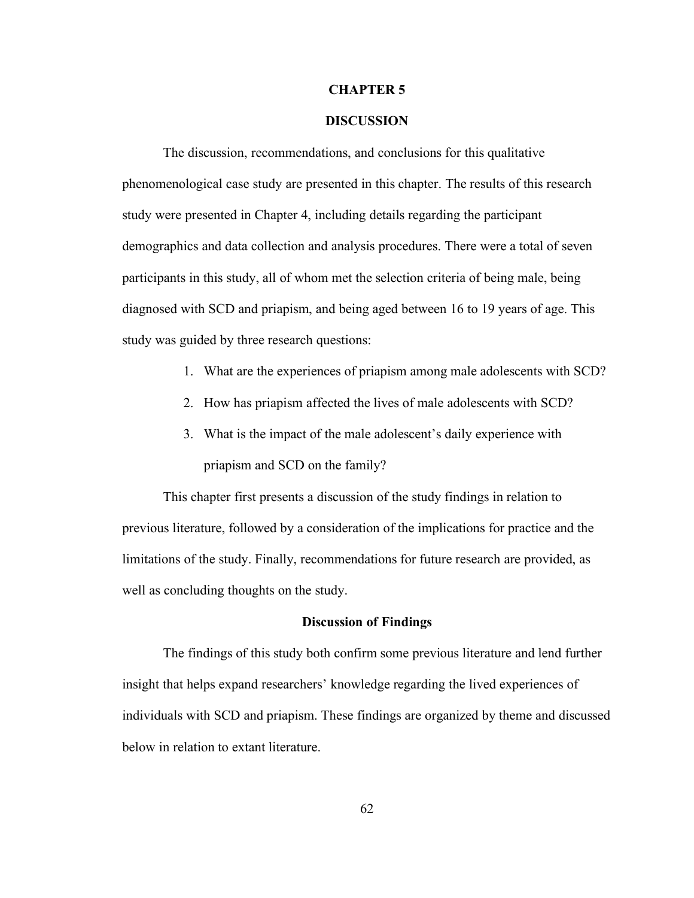#### **CHAPTER 5**

## **DISCUSSION**

The discussion, recommendations, and conclusions for this qualitative phenomenological case study are presented in this chapter. The results of this research study were presented in Chapter 4, including details regarding the participant demographics and data collection and analysis procedures. There were a total of seven participants in this study, all of whom met the selection criteria of being male, being diagnosed with SCD and priapism, and being aged between 16 to 19 years of age. This study was guided by three research questions:

- 1. What are the experiences of priapism among male adolescents with SCD?
- 2. How has priapism affected the lives of male adolescents with SCD?
- 3. What is the impact of the male adolescent's daily experience with priapism and SCD on the family?

This chapter first presents a discussion of the study findings in relation to previous literature, followed by a consideration of the implications for practice and the limitations of the study. Finally, recommendations for future research are provided, as well as concluding thoughts on the study.

#### **Discussion of Findings**

The findings of this study both confirm some previous literature and lend further insight that helps expand researchers' knowledge regarding the lived experiences of individuals with SCD and priapism. These findings are organized by theme and discussed below in relation to extant literature.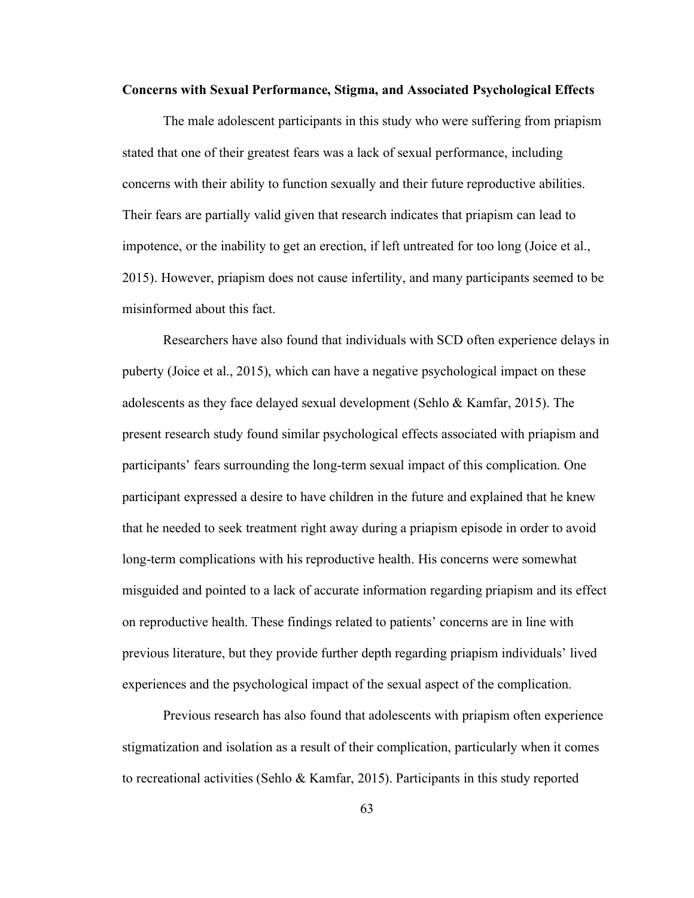#### **Concerns with Sexual Performance, Stigma, and Associated Psychological Effects**

The male adolescent participants in this study who were suffering from priapism stated that one of their greatest fears was a lack of sexual performance, including concerns with their ability to function sexually and their future reproductive abilities. Their fears are partially valid given that research indicates that priapism can lead to impotence, or the inability to get an erection, if left untreated for too long (Joice et al., 2015). However, priapism does not cause infertility, and many participants seemed to be misinformed about this fact.

Researchers have also found that individuals with SCD often experience delays in puberty (Joice et al., 2015), which can have a negative psychological impact on these adolescents as they face delayed sexual development (Sehlo & Kamfar, 2015). The present research study found similar psychological effects associated with priapism and participants' fears surrounding the long-term sexual impact of this complication. One participant expressed a desire to have children in the future and explained that he knew that he needed to seek treatment right away during a priapism episode in order to avoid long-term complications with his reproductive health. His concerns were somewhat misguided and pointed to a lack of accurate information regarding priapism and its effect on reproductive health. These findings related to patients' concerns are in line with previous literature, but they provide further depth regarding priapism individuals' lived experiences and the psychological impact of the sexual aspect of the complication.

Previous research has also found that adolescents with priapism often experience stigmatization and isolation as a result of their complication, particularly when it comes to recreational activities (Sehlo & Kamfar, 2015). Participants in this study reported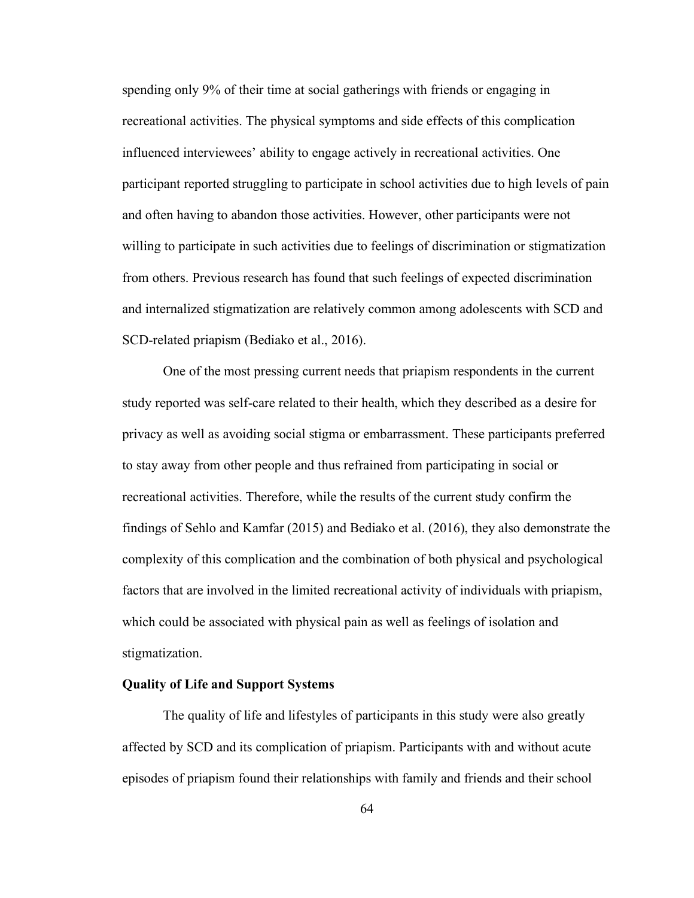spending only 9% of their time at social gatherings with friends or engaging in recreational activities. The physical symptoms and side effects of this complication influenced interviewees' ability to engage actively in recreational activities. One participant reported struggling to participate in school activities due to high levels of pain and often having to abandon those activities. However, other participants were not willing to participate in such activities due to feelings of discrimination or stigmatization from others. Previous research has found that such feelings of expected discrimination and internalized stigmatization are relatively common among adolescents with SCD and SCD-related priapism (Bediako et al., 2016).

One of the most pressing current needs that priapism respondents in the current study reported was self-care related to their health, which they described as a desire for privacy as well as avoiding social stigma or embarrassment. These participants preferred to stay away from other people and thus refrained from participating in social or recreational activities. Therefore, while the results of the current study confirm the findings of Sehlo and Kamfar (2015) and Bediako et al. (2016), they also demonstrate the complexity of this complication and the combination of both physical and psychological factors that are involved in the limited recreational activity of individuals with priapism, which could be associated with physical pain as well as feelings of isolation and stigmatization.

#### **Quality of Life and Support Systems**

The quality of life and lifestyles of participants in this study were also greatly affected by SCD and its complication of priapism. Participants with and without acute episodes of priapism found their relationships with family and friends and their school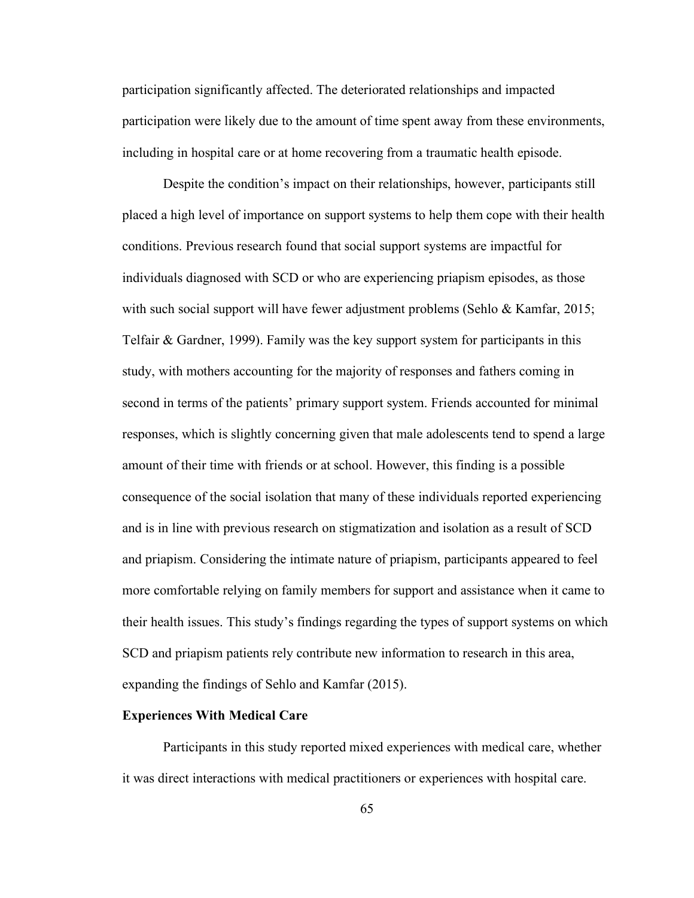participation significantly affected. The deteriorated relationships and impacted participation were likely due to the amount of time spent away from these environments, including in hospital care or at home recovering from a traumatic health episode.

Despite the condition's impact on their relationships, however, participants still placed a high level of importance on support systems to help them cope with their health conditions. Previous research found that social support systems are impactful for individuals diagnosed with SCD or who are experiencing priapism episodes, as those with such social support will have fewer adjustment problems (Sehlo & Kamfar, 2015; Telfair & Gardner, 1999). Family was the key support system for participants in this study, with mothers accounting for the majority of responses and fathers coming in second in terms of the patients' primary support system. Friends accounted for minimal responses, which is slightly concerning given that male adolescents tend to spend a large amount of their time with friends or at school. However, this finding is a possible consequence of the social isolation that many of these individuals reported experiencing and is in line with previous research on stigmatization and isolation as a result of SCD and priapism. Considering the intimate nature of priapism, participants appeared to feel more comfortable relying on family members for support and assistance when it came to their health issues. This study's findings regarding the types of support systems on which SCD and priapism patients rely contribute new information to research in this area, expanding the findings of Sehlo and Kamfar (2015).

#### **Experiences With Medical Care**

Participants in this study reported mixed experiences with medical care, whether it was direct interactions with medical practitioners or experiences with hospital care.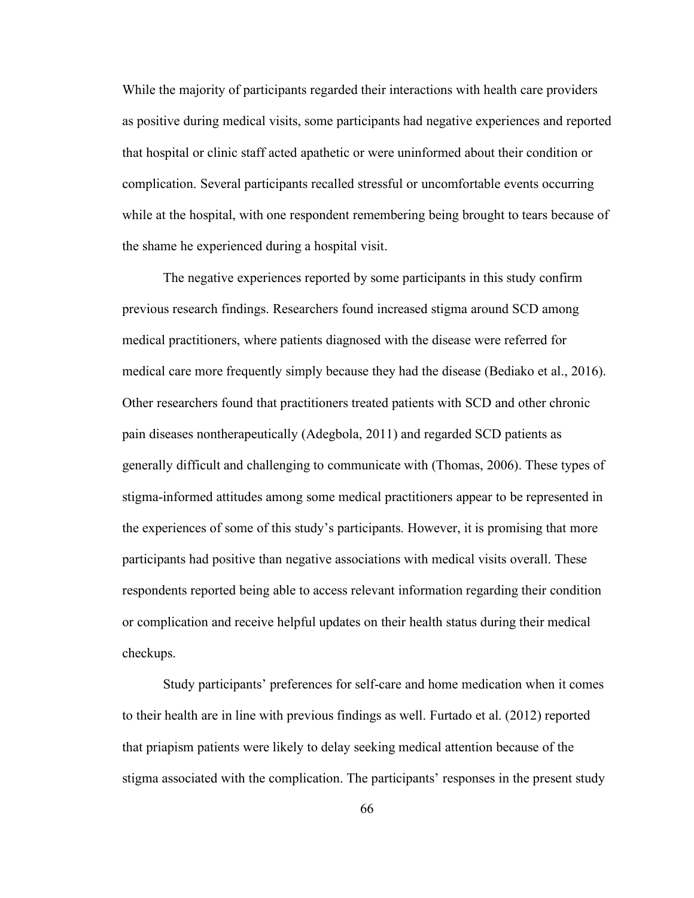While the majority of participants regarded their interactions with health care providers as positive during medical visits, some participants had negative experiences and reported that hospital or clinic staff acted apathetic or were uninformed about their condition or complication. Several participants recalled stressful or uncomfortable events occurring while at the hospital, with one respondent remembering being brought to tears because of the shame he experienced during a hospital visit.

The negative experiences reported by some participants in this study confirm previous research findings. Researchers found increased stigma around SCD among medical practitioners, where patients diagnosed with the disease were referred for medical care more frequently simply because they had the disease (Bediako et al., 2016). Other researchers found that practitioners treated patients with SCD and other chronic pain diseases nontherapeutically (Adegbola, 2011) and regarded SCD patients as generally difficult and challenging to communicate with (Thomas, 2006). These types of stigma-informed attitudes among some medical practitioners appear to be represented in the experiences of some of this study's participants. However, it is promising that more participants had positive than negative associations with medical visits overall. These respondents reported being able to access relevant information regarding their condition or complication and receive helpful updates on their health status during their medical checkups.

Study participants' preferences for self-care and home medication when it comes to their health are in line with previous findings as well. Furtado et al. (2012) reported that priapism patients were likely to delay seeking medical attention because of the stigma associated with the complication. The participants' responses in the present study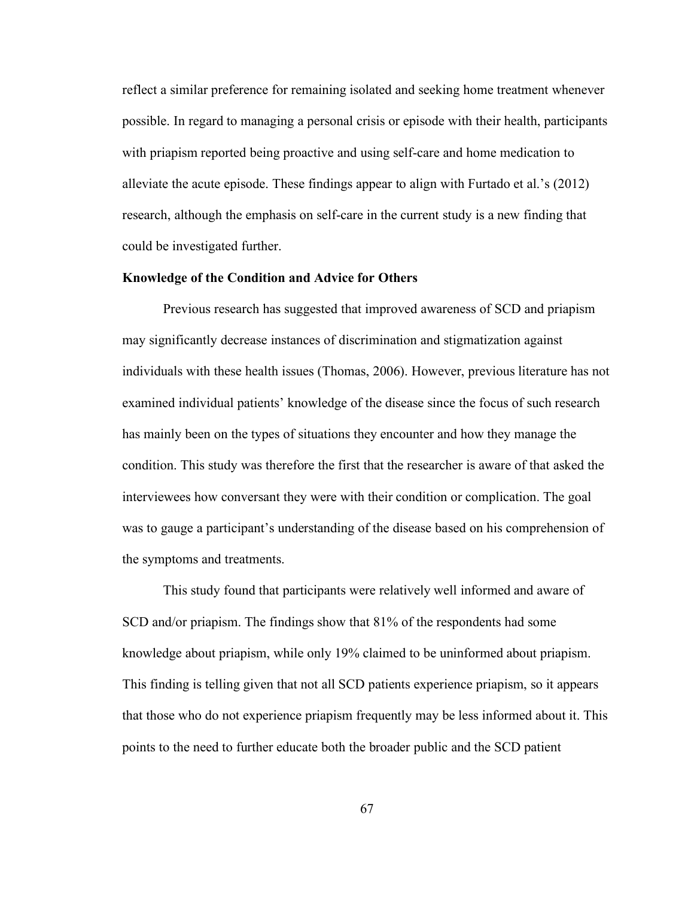reflect a similar preference for remaining isolated and seeking home treatment whenever possible. In regard to managing a personal crisis or episode with their health, participants with priapism reported being proactive and using self-care and home medication to alleviate the acute episode. These findings appear to align with Furtado et al.'s (2012) research, although the emphasis on self-care in the current study is a new finding that could be investigated further.

#### **Knowledge of the Condition and Advice for Others**

Previous research has suggested that improved awareness of SCD and priapism may significantly decrease instances of discrimination and stigmatization against individuals with these health issues (Thomas, 2006). However, previous literature has not examined individual patients' knowledge of the disease since the focus of such research has mainly been on the types of situations they encounter and how they manage the condition. This study was therefore the first that the researcher is aware of that asked the interviewees how conversant they were with their condition or complication. The goal was to gauge a participant's understanding of the disease based on his comprehension of the symptoms and treatments.

This study found that participants were relatively well informed and aware of SCD and/or priapism. The findings show that 81% of the respondents had some knowledge about priapism, while only 19% claimed to be uninformed about priapism. This finding is telling given that not all SCD patients experience priapism, so it appears that those who do not experience priapism frequently may be less informed about it. This points to the need to further educate both the broader public and the SCD patient

67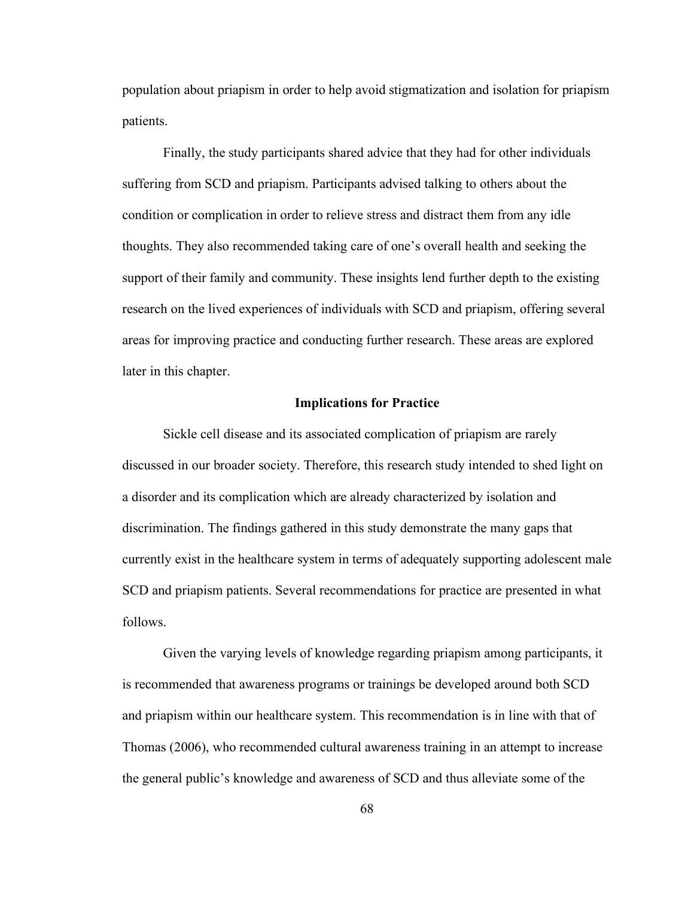population about priapism in order to help avoid stigmatization and isolation for priapism patients.

Finally, the study participants shared advice that they had for other individuals suffering from SCD and priapism. Participants advised talking to others about the condition or complication in order to relieve stress and distract them from any idle thoughts. They also recommended taking care of one's overall health and seeking the support of their family and community. These insights lend further depth to the existing research on the lived experiences of individuals with SCD and priapism, offering several areas for improving practice and conducting further research. These areas are explored later in this chapter.

#### **Implications for Practice**

Sickle cell disease and its associated complication of priapism are rarely discussed in our broader society. Therefore, this research study intended to shed light on a disorder and its complication which are already characterized by isolation and discrimination. The findings gathered in this study demonstrate the many gaps that currently exist in the healthcare system in terms of adequately supporting adolescent male SCD and priapism patients. Several recommendations for practice are presented in what follows.

Given the varying levels of knowledge regarding priapism among participants, it is recommended that awareness programs or trainings be developed around both SCD and priapism within our healthcare system. This recommendation is in line with that of Thomas (2006), who recommended cultural awareness training in an attempt to increase the general public's knowledge and awareness of SCD and thus alleviate some of the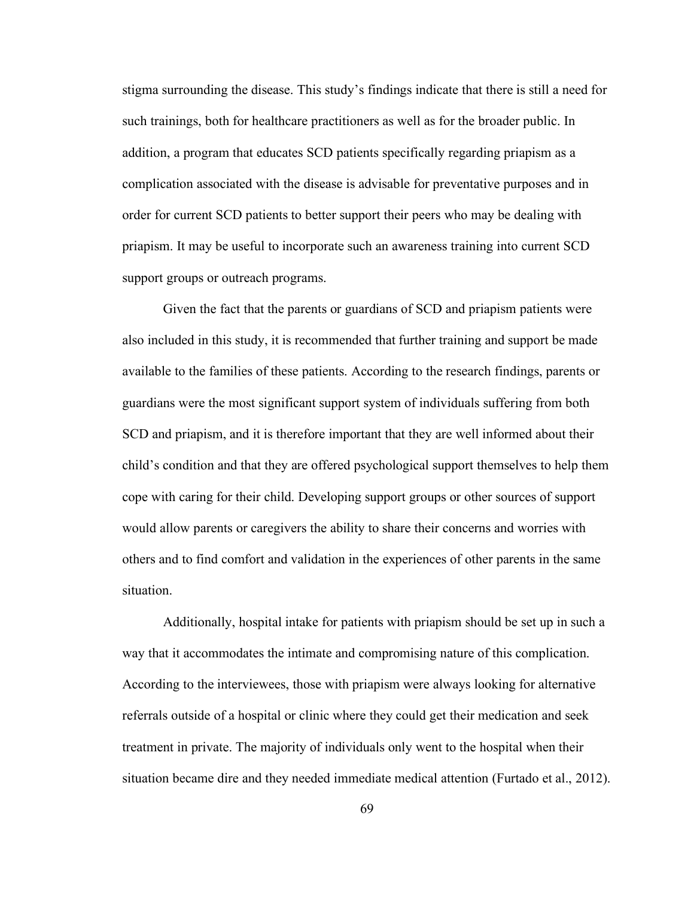stigma surrounding the disease. This study's findings indicate that there is still a need for such trainings, both for healthcare practitioners as well as for the broader public. In addition, a program that educates SCD patients specifically regarding priapism as a complication associated with the disease is advisable for preventative purposes and in order for current SCD patients to better support their peers who may be dealing with priapism. It may be useful to incorporate such an awareness training into current SCD support groups or outreach programs.

Given the fact that the parents or guardians of SCD and priapism patients were also included in this study, it is recommended that further training and support be made available to the families of these patients. According to the research findings, parents or guardians were the most significant support system of individuals suffering from both SCD and priapism, and it is therefore important that they are well informed about their child's condition and that they are offered psychological support themselves to help them cope with caring for their child. Developing support groups or other sources of support would allow parents or caregivers the ability to share their concerns and worries with others and to find comfort and validation in the experiences of other parents in the same situation.

Additionally, hospital intake for patients with priapism should be set up in such a way that it accommodates the intimate and compromising nature of this complication. According to the interviewees, those with priapism were always looking for alternative referrals outside of a hospital or clinic where they could get their medication and seek treatment in private. The majority of individuals only went to the hospital when their situation became dire and they needed immediate medical attention (Furtado et al., 2012).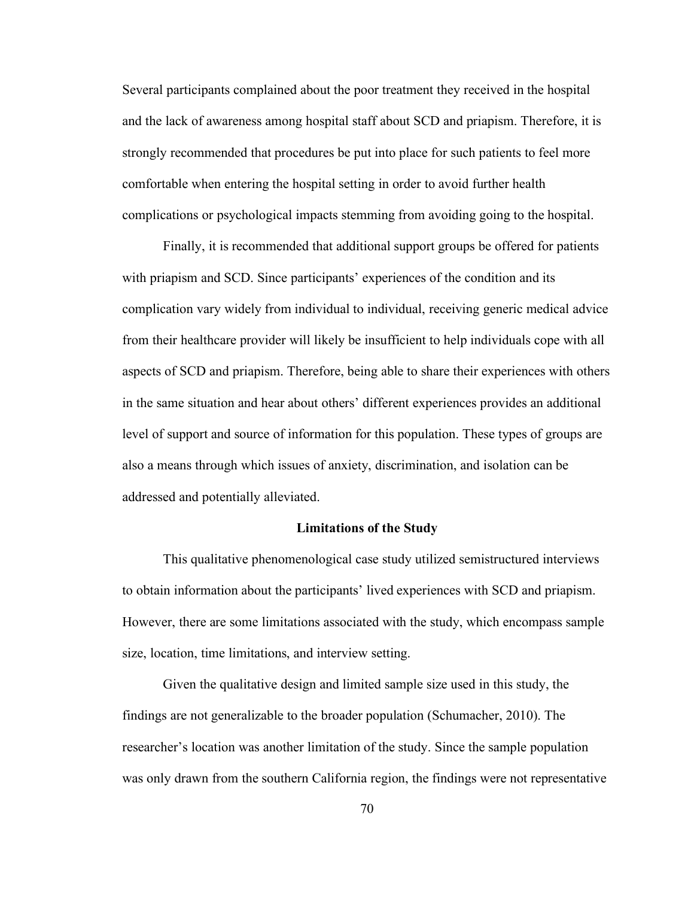Several participants complained about the poor treatment they received in the hospital and the lack of awareness among hospital staff about SCD and priapism. Therefore, it is strongly recommended that procedures be put into place for such patients to feel more comfortable when entering the hospital setting in order to avoid further health complications or psychological impacts stemming from avoiding going to the hospital.

Finally, it is recommended that additional support groups be offered for patients with priapism and SCD. Since participants' experiences of the condition and its complication vary widely from individual to individual, receiving generic medical advice from their healthcare provider will likely be insufficient to help individuals cope with all aspects of SCD and priapism. Therefore, being able to share their experiences with others in the same situation and hear about others' different experiences provides an additional level of support and source of information for this population. These types of groups are also a means through which issues of anxiety, discrimination, and isolation can be addressed and potentially alleviated.

#### **Limitations of the Study**

This qualitative phenomenological case study utilized semistructured interviews to obtain information about the participants' lived experiences with SCD and priapism. However, there are some limitations associated with the study, which encompass sample size, location, time limitations, and interview setting.

Given the qualitative design and limited sample size used in this study, the findings are not generalizable to the broader population (Schumacher, 2010). The researcher's location was another limitation of the study. Since the sample population was only drawn from the southern California region, the findings were not representative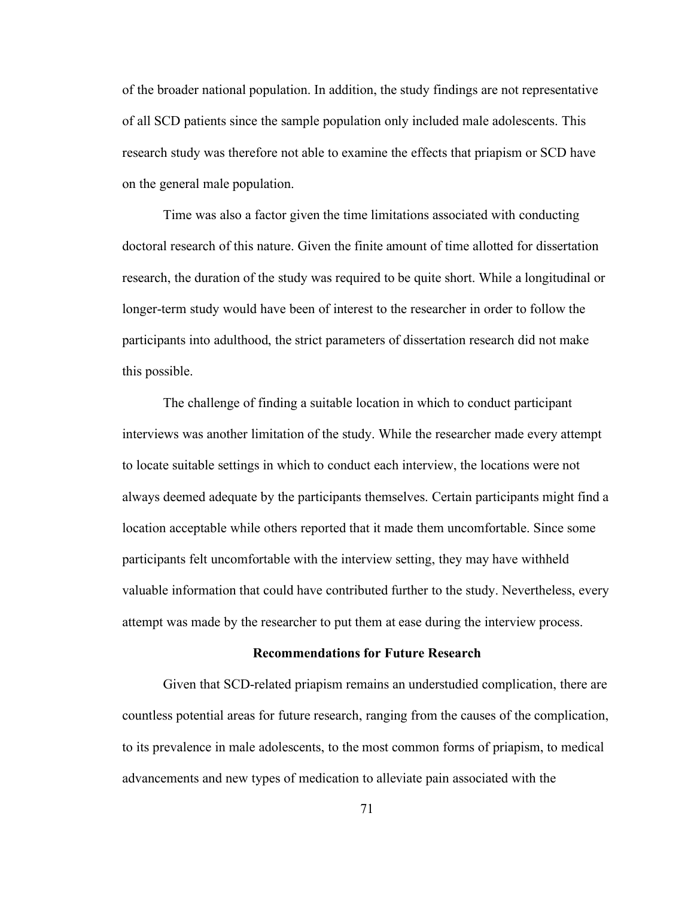of the broader national population. In addition, the study findings are not representative of all SCD patients since the sample population only included male adolescents. This research study was therefore not able to examine the effects that priapism or SCD have on the general male population.

Time was also a factor given the time limitations associated with conducting doctoral research of this nature. Given the finite amount of time allotted for dissertation research, the duration of the study was required to be quite short. While a longitudinal or longer-term study would have been of interest to the researcher in order to follow the participants into adulthood, the strict parameters of dissertation research did not make this possible.

The challenge of finding a suitable location in which to conduct participant interviews was another limitation of the study. While the researcher made every attempt to locate suitable settings in which to conduct each interview, the locations were not always deemed adequate by the participants themselves. Certain participants might find a location acceptable while others reported that it made them uncomfortable. Since some participants felt uncomfortable with the interview setting, they may have withheld valuable information that could have contributed further to the study. Nevertheless, every attempt was made by the researcher to put them at ease during the interview process.

#### **Recommendations for Future Research**

Given that SCD-related priapism remains an understudied complication, there are countless potential areas for future research, ranging from the causes of the complication, to its prevalence in male adolescents, to the most common forms of priapism, to medical advancements and new types of medication to alleviate pain associated with the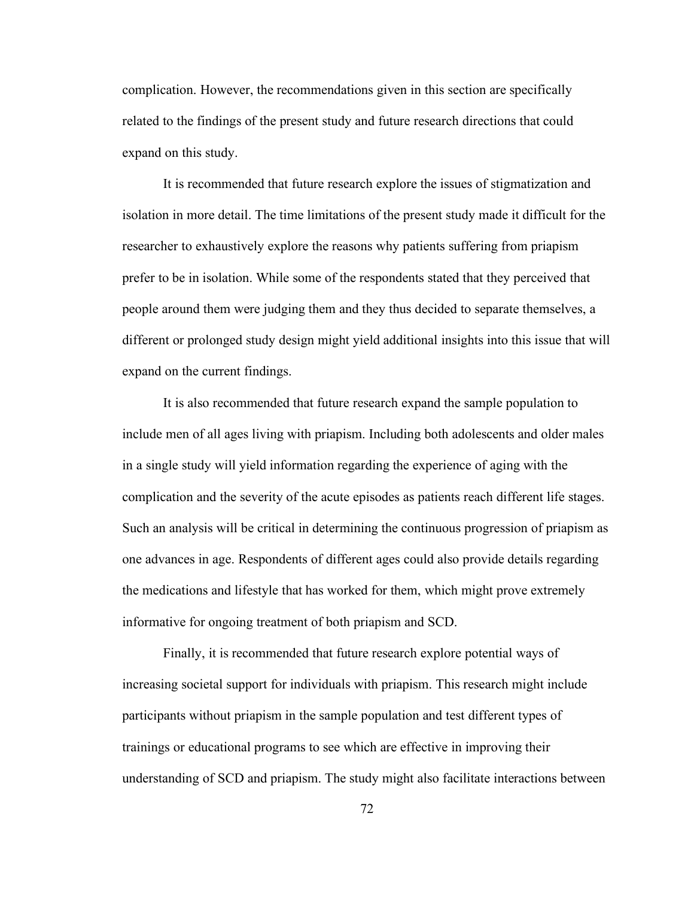complication. However, the recommendations given in this section are specifically related to the findings of the present study and future research directions that could expand on this study.

It is recommended that future research explore the issues of stigmatization and isolation in more detail. The time limitations of the present study made it difficult for the researcher to exhaustively explore the reasons why patients suffering from priapism prefer to be in isolation. While some of the respondents stated that they perceived that people around them were judging them and they thus decided to separate themselves, a different or prolonged study design might yield additional insights into this issue that will expand on the current findings.

It is also recommended that future research expand the sample population to include men of all ages living with priapism. Including both adolescents and older males in a single study will yield information regarding the experience of aging with the complication and the severity of the acute episodes as patients reach different life stages. Such an analysis will be critical in determining the continuous progression of priapism as one advances in age. Respondents of different ages could also provide details regarding the medications and lifestyle that has worked for them, which might prove extremely informative for ongoing treatment of both priapism and SCD.

Finally, it is recommended that future research explore potential ways of increasing societal support for individuals with priapism. This research might include participants without priapism in the sample population and test different types of trainings or educational programs to see which are effective in improving their understanding of SCD and priapism. The study might also facilitate interactions between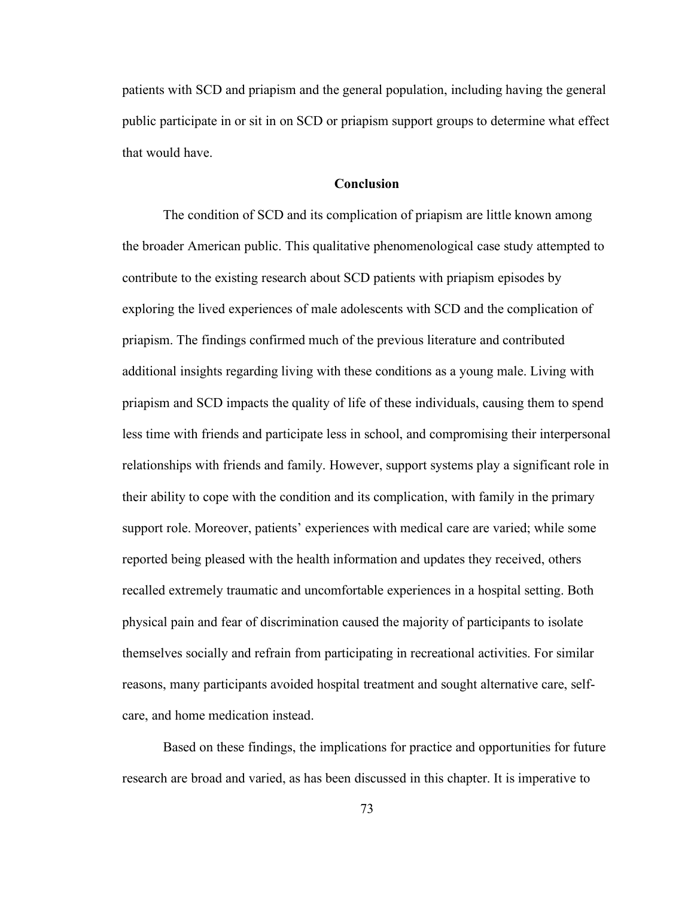patients with SCD and priapism and the general population, including having the general public participate in or sit in on SCD or priapism support groups to determine what effect that would have.

#### **Conclusion**

The condition of SCD and its complication of priapism are little known among the broader American public. This qualitative phenomenological case study attempted to contribute to the existing research about SCD patients with priapism episodes by exploring the lived experiences of male adolescents with SCD and the complication of priapism. The findings confirmed much of the previous literature and contributed additional insights regarding living with these conditions as a young male. Living with priapism and SCD impacts the quality of life of these individuals, causing them to spend less time with friends and participate less in school, and compromising their interpersonal relationships with friends and family. However, support systems play a significant role in their ability to cope with the condition and its complication, with family in the primary support role. Moreover, patients' experiences with medical care are varied; while some reported being pleased with the health information and updates they received, others recalled extremely traumatic and uncomfortable experiences in a hospital setting. Both physical pain and fear of discrimination caused the majority of participants to isolate themselves socially and refrain from participating in recreational activities. For similar reasons, many participants avoided hospital treatment and sought alternative care, selfcare, and home medication instead.

Based on these findings, the implications for practice and opportunities for future research are broad and varied, as has been discussed in this chapter. It is imperative to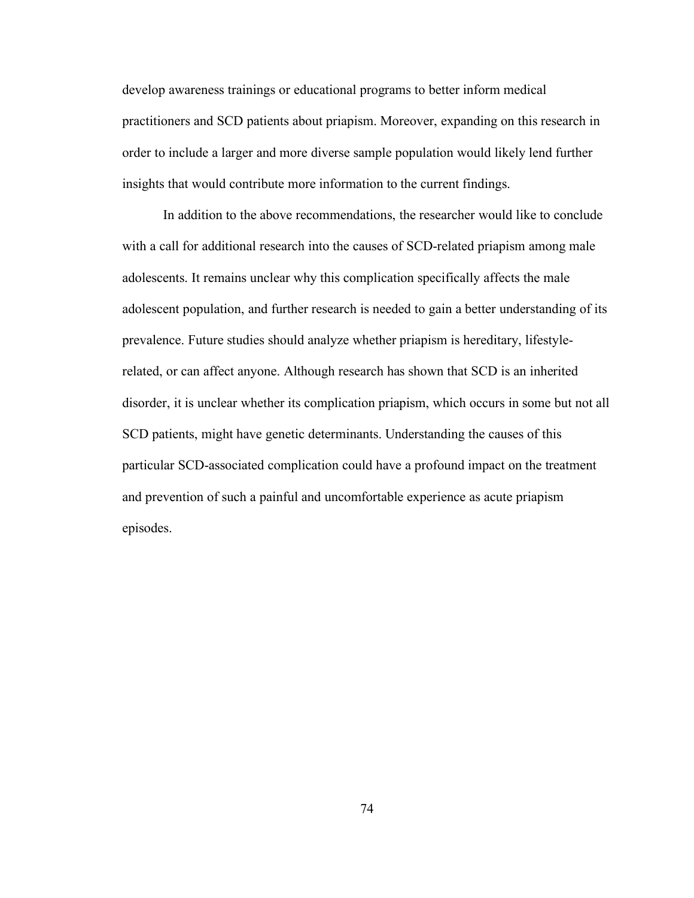develop awareness trainings or educational programs to better inform medical practitioners and SCD patients about priapism. Moreover, expanding on this research in order to include a larger and more diverse sample population would likely lend further insights that would contribute more information to the current findings.

In addition to the above recommendations, the researcher would like to conclude with a call for additional research into the causes of SCD-related priapism among male adolescents. It remains unclear why this complication specifically affects the male adolescent population, and further research is needed to gain a better understanding of its prevalence. Future studies should analyze whether priapism is hereditary, lifestylerelated, or can affect anyone. Although research has shown that SCD is an inherited disorder, it is unclear whether its complication priapism, which occurs in some but not all SCD patients, might have genetic determinants. Understanding the causes of this particular SCD-associated complication could have a profound impact on the treatment and prevention of such a painful and uncomfortable experience as acute priapism episodes.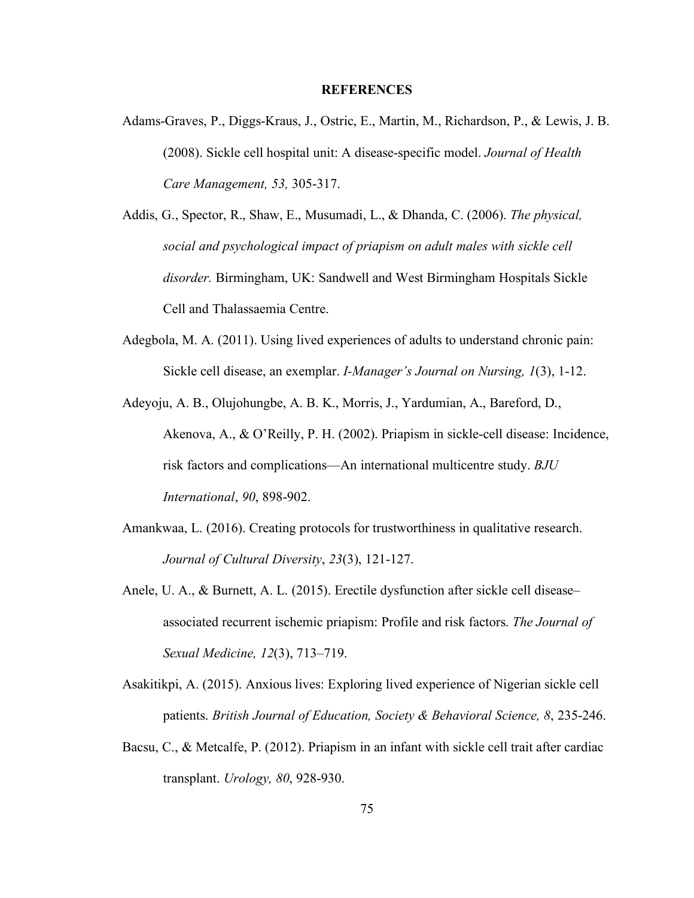#### **REFERENCES**

- Adams-Graves, P., Diggs-Kraus, J., Ostric, E., Martin, M., Richardson, P., & Lewis, J. B. (2008). Sickle cell hospital unit: A disease-specific model. *Journal of Health Care Management, 53,* 305-317.
- Addis, G., Spector, R., Shaw, E., Musumadi, L., & Dhanda, C. (2006). *The physical, social and psychological impact of priapism on adult males with sickle cell disorder.* Birmingham, UK: Sandwell and West Birmingham Hospitals Sickle Cell and Thalassaemia Centre.
- Adegbola, M. A. (2011). Using lived experiences of adults to understand chronic pain: Sickle cell disease, an exemplar. *I-Manager's Journal on Nursing, 1*(3), 1-12.
- Adeyoju, A. B., Olujohungbe, A. B. K., Morris, J., Yardumian, A., Bareford, D., Akenova, A., & O'Reilly, P. H. (2002). Priapism in sickle-cell disease: Incidence, risk factors and complications—An international multicentre study. *BJU International*, *90*, 898-902.
- Amankwaa, L. (2016). Creating protocols for trustworthiness in qualitative research. *Journal of Cultural Diversity*, *23*(3), 121-127.
- Anele, U. A., & Burnett, A. L. (2015). Erectile dysfunction after sickle cell disease– associated recurrent ischemic priapism: Profile and risk factors. *The Journal of Sexual Medicine, 12*(3), 713–719.
- Asakitikpi, A. (2015). Anxious lives: Exploring lived experience of Nigerian sickle cell patients. *British Journal of Education, Society & Behavioral Science, 8*, 235-246.
- Bacsu, C., & Metcalfe, P. (2012). Priapism in an infant with sickle cell trait after cardiac transplant. *Urology, 80*, 928-930.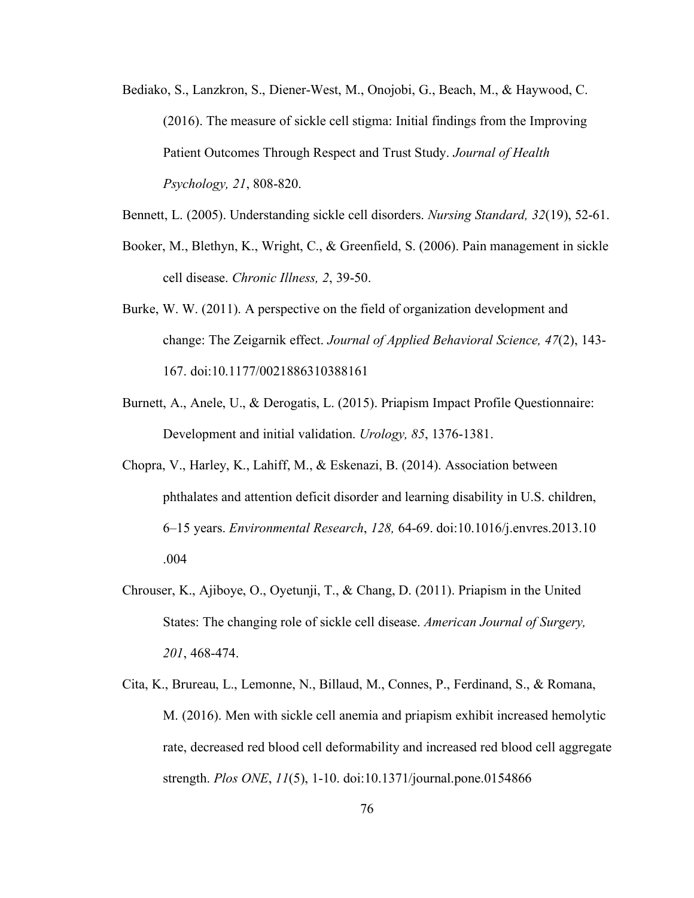- Bediako, S., Lanzkron, S., Diener-West, M., Onojobi, G., Beach, M., & Haywood, C. (2016). The measure of sickle cell stigma: Initial findings from the Improving Patient Outcomes Through Respect and Trust Study. *Journal of Health Psychology, 21*, 808-820.
- Bennett, L. (2005). Understanding sickle cell disorders. *Nursing Standard, 32*(19), 52-61.
- Booker, M., Blethyn, K., Wright, C., & Greenfield, S. (2006). Pain management in sickle cell disease. *Chronic Illness, 2*, 39-50.
- Burke, W. W. (2011). A perspective on the field of organization development and change: The Zeigarnik effect. *Journal of Applied Behavioral Science, 47*(2), 143- 167. doi:10.1177/0021886310388161
- Burnett, A., Anele, U., & Derogatis, L. (2015). Priapism Impact Profile Questionnaire: Development and initial validation. *Urology, 85*, 1376-1381.
- Chopra, V., Harley, K., Lahiff, M., & Eskenazi, B. (2014). Association between phthalates and attention deficit disorder and learning disability in U.S. children, 6–15 years. *Environmental Research*, *128,* 64-69. doi:10.1016/j.envres.2013.10 .004
- Chrouser, K., Ajiboye, O., Oyetunji, T., & Chang, D. (2011). Priapism in the United States: The changing role of sickle cell disease. *American Journal of Surgery, 201*, 468-474.
- Cita, K., Brureau, L., Lemonne, N., Billaud, M., Connes, P., Ferdinand, S., & Romana, M. (2016). Men with sickle cell anemia and priapism exhibit increased hemolytic rate, decreased red blood cell deformability and increased red blood cell aggregate strength. *Plos ONE*, *11*(5), 1-10. doi:10.1371/journal.pone.0154866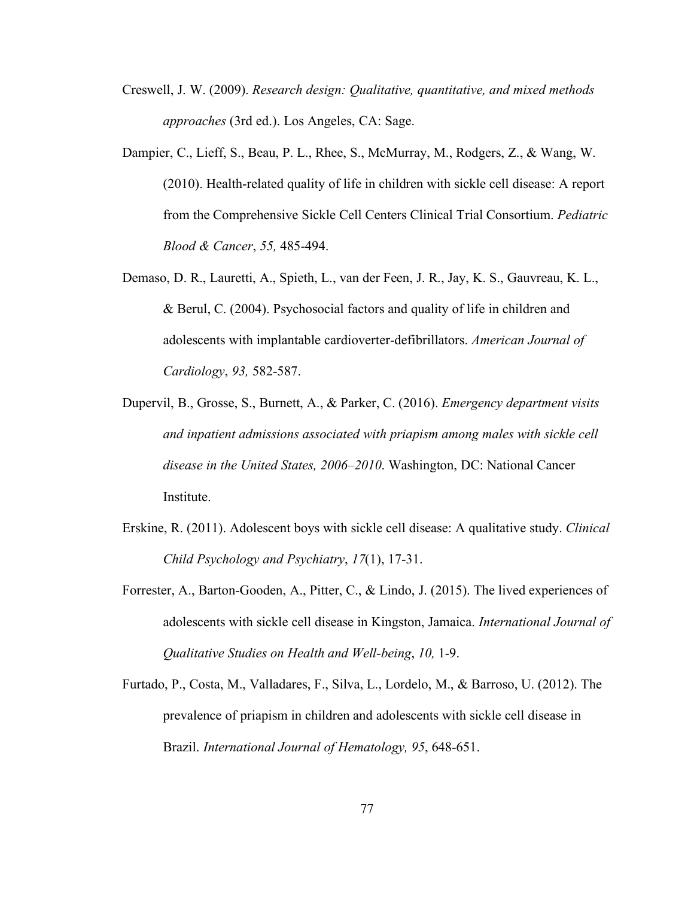- Creswell, J. W. (2009). *Research design: Qualitative, quantitative, and mixed methods approaches* (3rd ed.). Los Angeles, CA: Sage.
- Dampier, C., Lieff, S., Beau, P. L., Rhee, S., McMurray, M., Rodgers, Z., & Wang, W. (2010). Health-related quality of life in children with sickle cell disease: A report from the Comprehensive Sickle Cell Centers Clinical Trial Consortium. *Pediatric Blood & Cancer*, *55,* 485-494.
- Demaso, D. R., Lauretti, A., Spieth, L., van der Feen, J. R., Jay, K. S., Gauvreau, K. L., & Berul, C. (2004). Psychosocial factors and quality of life in children and adolescents with implantable cardioverter-defibrillators. *American Journal of Cardiology*, *93,* 582-587.
- Dupervil, B., Grosse, S., Burnett, A., & Parker, C. (2016). *Emergency department visits and inpatient admissions associated with priapism among males with sickle cell disease in the United States, 2006–2010*. Washington, DC: National Cancer Institute.
- Erskine, R. (2011). Adolescent boys with sickle cell disease: A qualitative study. *Clinical Child Psychology and Psychiatry*, *17*(1), 17-31.
- Forrester, A., Barton-Gooden, A., Pitter, C., & Lindo, J. (2015). The lived experiences of adolescents with sickle cell disease in Kingston, Jamaica. *International Journal of Qualitative Studies on Health and Well-being*, *10,* 1-9.
- Furtado, P., Costa, M., Valladares, F., Silva, L., Lordelo, M., & Barroso, U. (2012). The prevalence of priapism in children and adolescents with sickle cell disease in Brazil. *International Journal of Hematology, 95*, 648-651.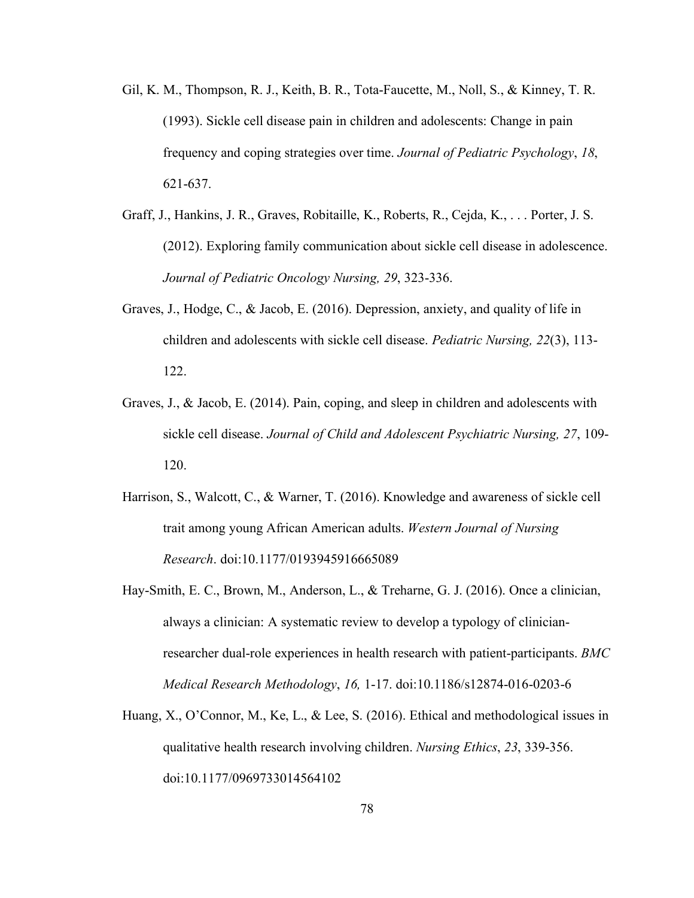- Gil, K. M., Thompson, R. J., Keith, B. R., Tota-Faucette, M., Noll, S., & Kinney, T. R. (1993). Sickle cell disease pain in children and adolescents: Change in pain frequency and coping strategies over time. *Journal of Pediatric Psychology*, *18*, 621-637.
- Graff, J., Hankins, J. R., Graves, Robitaille, K., Roberts, R., Cejda, K., . . . Porter, J. S. (2012). Exploring family communication about sickle cell disease in adolescence. *Journal of Pediatric Oncology Nursing, 29*, 323-336.
- Graves, J., Hodge, C., & Jacob, E. (2016). Depression, anxiety, and quality of life in children and adolescents with sickle cell disease. *Pediatric Nursing, 22*(3), 113- 122.
- Graves, J., & Jacob, E. (2014). Pain, coping, and sleep in children and adolescents with sickle cell disease. *Journal of Child and Adolescent Psychiatric Nursing, 27*, 109- 120.
- Harrison, S., Walcott, C., & Warner, T. (2016). Knowledge and awareness of sickle cell trait among young African American adults. *Western Journal of Nursing Research*. doi:10.1177/0193945916665089
- Hay-Smith, E. C., Brown, M., Anderson, L., & Treharne, G. J. (2016). Once a clinician, always a clinician: A systematic review to develop a typology of clinicianresearcher dual-role experiences in health research with patient-participants. *BMC Medical Research Methodology*, *16,* 1-17. doi:10.1186/s12874-016-0203-6
- Huang, X., O'Connor, M., Ke, L., & Lee, S. (2016). Ethical and methodological issues in qualitative health research involving children. *Nursing Ethics*, *23*, 339-356. doi:10.1177/0969733014564102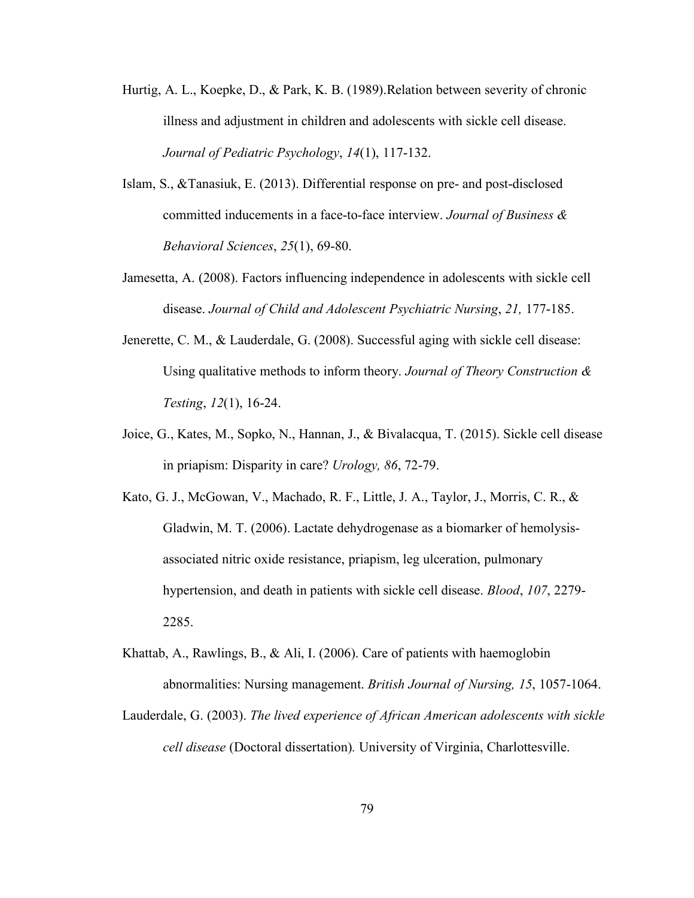- Hurtig, A. L., Koepke, D., & Park, K. B. (1989).Relation between severity of chronic illness and adjustment in children and adolescents with sickle cell disease. *Journal of Pediatric Psychology*, *14*(1), 117-132.
- Islam, S., &Tanasiuk, E. (2013). Differential response on pre- and post-disclosed committed inducements in a face-to-face interview. *Journal of Business & Behavioral Sciences*, *25*(1), 69-80.
- Jamesetta, A. (2008). Factors influencing independence in adolescents with sickle cell disease. *Journal of Child and Adolescent Psychiatric Nursing*, *21,* 177-185.
- Jenerette, C. M., & Lauderdale, G. (2008). Successful aging with sickle cell disease: Using qualitative methods to inform theory. *Journal of Theory Construction & Testing*, *12*(1), 16-24.
- Joice, G., Kates, M., Sopko, N., Hannan, J., & Bivalacqua, T. (2015). Sickle cell disease in priapism: Disparity in care? *Urology, 86*, 72-79.
- Kato, G. J., McGowan, V., Machado, R. F., Little, J. A., Taylor, J., Morris, C. R., & Gladwin, M. T. (2006). Lactate dehydrogenase as a biomarker of hemolysisassociated nitric oxide resistance, priapism, leg ulceration, pulmonary hypertension, and death in patients with sickle cell disease. *Blood*, *107*, 2279- 2285.
- Khattab, A., Rawlings, B., & Ali, I. (2006). Care of patients with haemoglobin abnormalities: Nursing management. *British Journal of Nursing, 15*, 1057-1064.
- Lauderdale, G. (2003). *The lived experience of African American adolescents with sickle cell disease* (Doctoral dissertation)*.* University of Virginia, Charlottesville.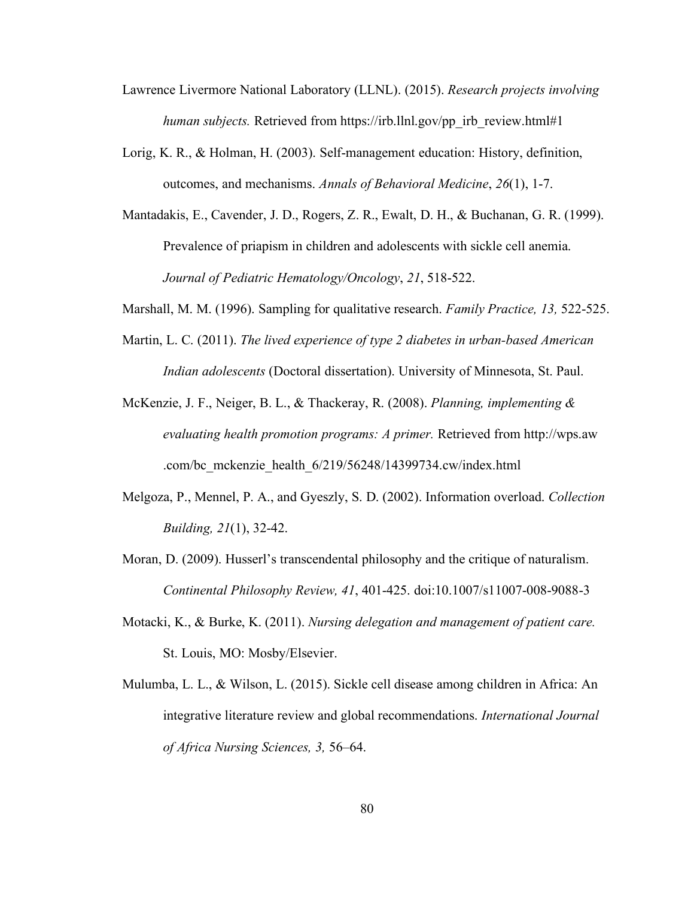- Lawrence Livermore National Laboratory (LLNL). (2015). *Research projects involving human subjects.* Retrieved from https://irb.llnl.gov/pp\_irb\_review.html#1
- Lorig, K. R., & Holman, H. (2003). Self-management education: History, definition, outcomes, and mechanisms. *Annals of Behavioral Medicine*, *26*(1), 1-7.
- Mantadakis, E., Cavender, J. D., Rogers, Z. R., Ewalt, D. H., & Buchanan, G. R. (1999). Prevalence of priapism in children and adolescents with sickle cell anemia. *Journal of Pediatric Hematology/Oncology*, *21*, 518-522.
- Marshall, M. M. (1996). Sampling for qualitative research. *Family Practice, 13,* 522-525.
- Martin, L. C. (2011). *The lived experience of type 2 diabetes in urban-based American Indian adolescents* (Doctoral dissertation). University of Minnesota, St. Paul.
- McKenzie, J. F., Neiger, B. L., & Thackeray, R. (2008). *Planning, implementing & evaluating health promotion programs: A primer.* Retrieved from http://wps.aw .com/bc\_mckenzie\_health\_6/219/56248/14399734.cw/index.html
- Melgoza, P., Mennel, P. A., and Gyeszly, S. D. (2002). Information overload. *Collection Building, 21*(1), 32-42.
- Moran, D. (2009). Husserl's transcendental philosophy and the critique of naturalism. *Continental Philosophy Review, 41*, 401-425. doi:10.1007/s11007-008-9088-3
- Motacki, K., & Burke, K. (2011). *Nursing delegation and management of patient care.* St. Louis, MO: Mosby/Elsevier.
- Mulumba, L. L., & Wilson, L. (2015). Sickle cell disease among children in Africa: An integrative literature review and global recommendations. *International Journal of Africa Nursing Sciences, 3,* 56–64.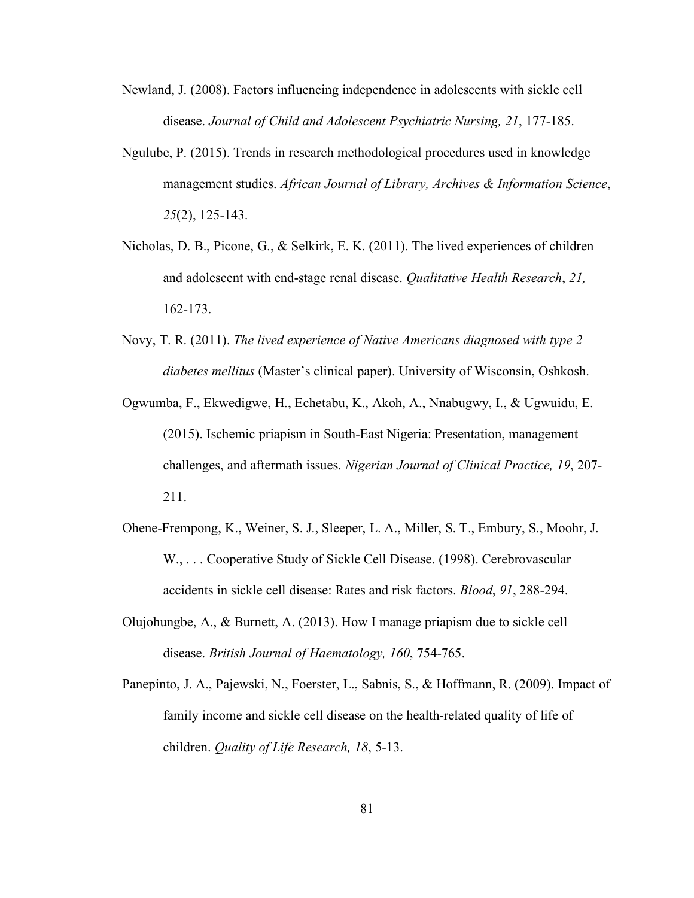- Newland, J. (2008). Factors influencing independence in adolescents with sickle cell disease. *Journal of Child and Adolescent Psychiatric Nursing, 21*, 177-185.
- Ngulube, P. (2015). Trends in research methodological procedures used in knowledge management studies. *African Journal of Library, Archives & Information Science*, *25*(2), 125-143.
- Nicholas, D. B., Picone, G., & Selkirk, E. K. (2011). The lived experiences of children and adolescent with end-stage renal disease. *Qualitative Health Research*, *21,* 162-173.
- Novy, T. R. (2011). *The lived experience of Native Americans diagnosed with type 2 diabetes mellitus* (Master's clinical paper). University of Wisconsin, Oshkosh.
- Ogwumba, F., Ekwedigwe, H., Echetabu, K., Akoh, A., Nnabugwy, I., & Ugwuidu, E. (2015). Ischemic priapism in South-East Nigeria: Presentation, management challenges, and aftermath issues. *Nigerian Journal of Clinical Practice, 19*, 207- 211.
- Ohene-Frempong, K., Weiner, S. J., Sleeper, L. A., Miller, S. T., Embury, S., Moohr, J. W., . . . Cooperative Study of Sickle Cell Disease. (1998). Cerebrovascular accidents in sickle cell disease: Rates and risk factors. *Blood*, *91*, 288-294.
- Olujohungbe, A., & Burnett, A. (2013). How I manage priapism due to sickle cell disease. *British Journal of Haematology, 160*, 754-765.
- Panepinto, J. A., Pajewski, N., Foerster, L., Sabnis, S., & Hoffmann, R. (2009). Impact of family income and sickle cell disease on the health-related quality of life of children. *Quality of Life Research, 18*, 5-13.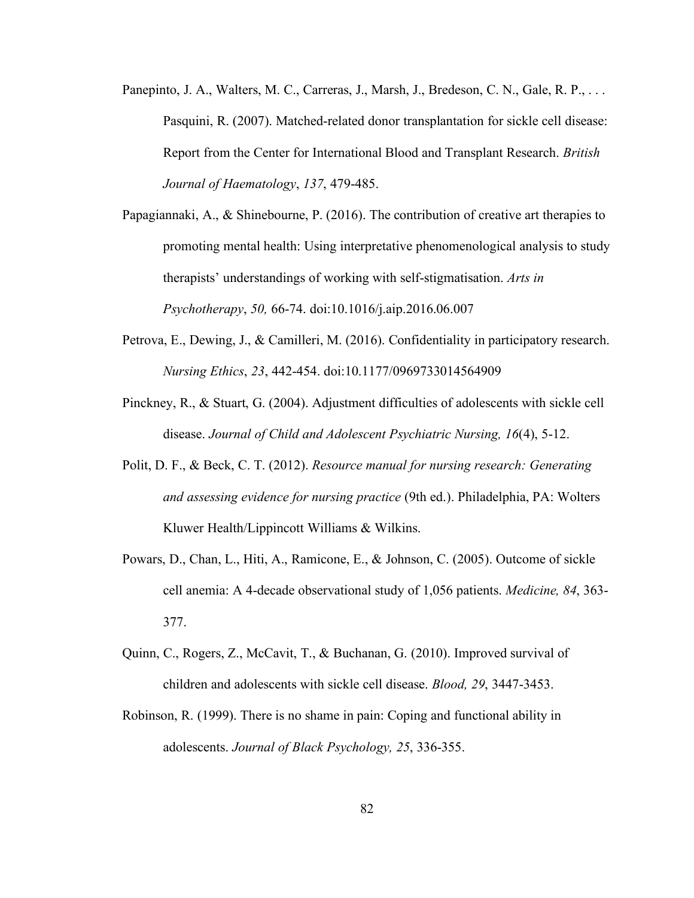- Panepinto, J. A., Walters, M. C., Carreras, J., Marsh, J., Bredeson, C. N., Gale, R. P., ... Pasquini, R. (2007). Matched-related donor transplantation for sickle cell disease: Report from the Center for International Blood and Transplant Research. *British Journal of Haematology*, *137*, 479-485.
- Papagiannaki, A., & Shinebourne, P. (2016). The contribution of creative art therapies to promoting mental health: Using interpretative phenomenological analysis to study therapists' understandings of working with self-stigmatisation. *Arts in Psychotherapy*, *50,* 66-74. doi:10.1016/j.aip.2016.06.007
- Petrova, E., Dewing, J., & Camilleri, M. (2016). Confidentiality in participatory research. *Nursing Ethics*, *23*, 442-454. doi:10.1177/0969733014564909
- Pinckney, R., & Stuart, G. (2004). Adjustment difficulties of adolescents with sickle cell disease. *Journal of Child and Adolescent Psychiatric Nursing, 16*(4), 5-12.
- Polit, D. F., & Beck, C. T. (2012). *Resource manual for nursing research: Generating and assessing evidence for nursing practice* (9th ed.). Philadelphia, PA: Wolters Kluwer Health/Lippincott Williams & Wilkins.
- Powars, D., Chan, L., Hiti, A., Ramicone, E., & Johnson, C. (2005). Outcome of sickle cell anemia: A 4-decade observational study of 1,056 patients. *Medicine, 84*, 363- 377.
- Quinn, C., Rogers, Z., McCavit, T., & Buchanan, G. (2010). Improved survival of children and adolescents with sickle cell disease. *Blood, 29*, 3447-3453.
- Robinson, R. (1999). There is no shame in pain: Coping and functional ability in adolescents. *Journal of Black Psychology, 25*, 336-355.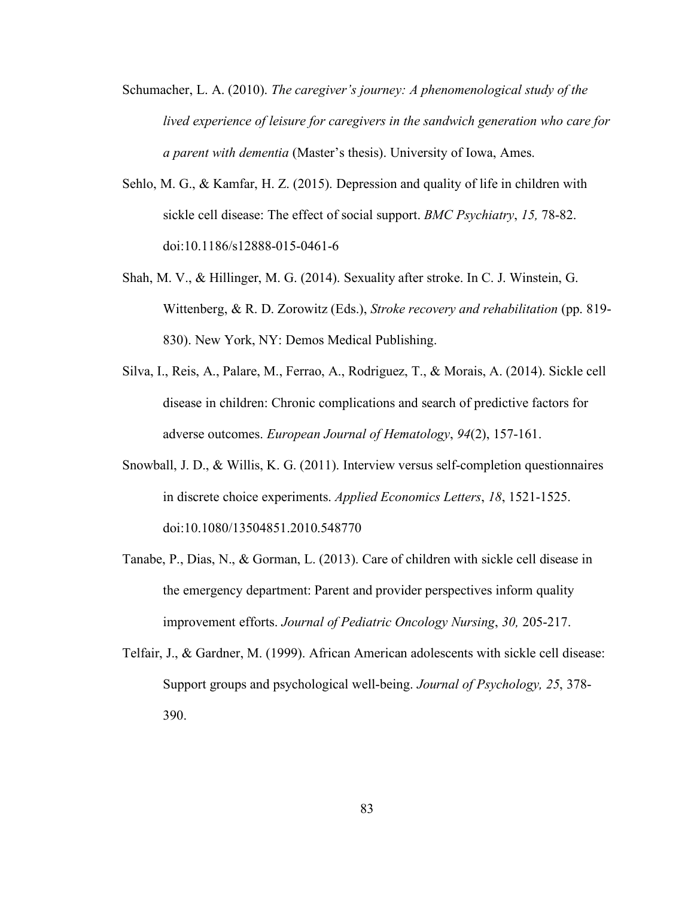- Schumacher, L. A. (2010). *The caregiver's journey: A phenomenological study of the lived experience of leisure for caregivers in the sandwich generation who care for a parent with dementia* (Master's thesis). University of Iowa, Ames.
- Sehlo, M. G., & Kamfar, H. Z. (2015). Depression and quality of life in children with sickle cell disease: The effect of social support. *BMC Psychiatry*, *15,* 78-82. doi:10.1186/s12888-015-0461-6
- Shah, M. V., & Hillinger, M. G. (2014). Sexuality after stroke. In C. J. Winstein, G. Wittenberg, & R. D. Zorowitz (Eds.), *Stroke recovery and rehabilitation* (pp. 819- 830). New York, NY: Demos Medical Publishing.
- Silva, I., Reis, A., Palare, M., Ferrao, A., Rodriguez, T., & Morais, A. (2014). Sickle cell disease in children: Chronic complications and search of predictive factors for adverse outcomes. *European Journal of Hematology*, *94*(2), 157-161.
- Snowball, J. D., & Willis, K. G. (2011). Interview versus self-completion questionnaires in discrete choice experiments. *Applied Economics Letters*, *18*, 1521-1525. doi:10.1080/13504851.2010.548770
- Tanabe, P., Dias, N., & Gorman, L. (2013). Care of children with sickle cell disease in the emergency department: Parent and provider perspectives inform quality improvement efforts. *Journal of Pediatric Oncology Nursing*, *30,* 205-217.
- Telfair, J., & Gardner, M. (1999). African American adolescents with sickle cell disease: Support groups and psychological well-being. *Journal of Psychology, 25*, 378- 390.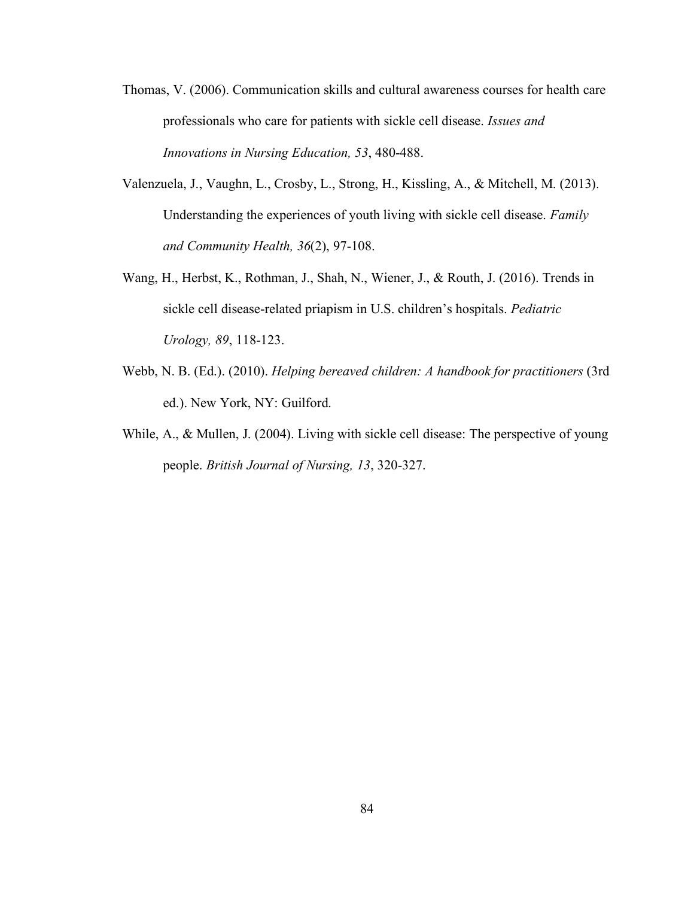- Thomas, V. (2006). Communication skills and cultural awareness courses for health care professionals who care for patients with sickle cell disease. *Issues and Innovations in Nursing Education, 53*, 480-488.
- Valenzuela, J., Vaughn, L., Crosby, L., Strong, H., Kissling, A., & Mitchell, M. (2013). Understanding the experiences of youth living with sickle cell disease. *Family and Community Health, 36*(2), 97-108.
- Wang, H., Herbst, K., Rothman, J., Shah, N., Wiener, J., & Routh, J. (2016). Trends in sickle cell disease-related priapism in U.S. children's hospitals. *Pediatric Urology, 89*, 118-123.
- Webb, N. B. (Ed.). (2010). *Helping bereaved children: A handbook for practitioners* (3rd ed.). New York, NY: Guilford.
- While, A., & Mullen, J. (2004). Living with sickle cell disease: The perspective of young people. *British Journal of Nursing, 13*, 320-327.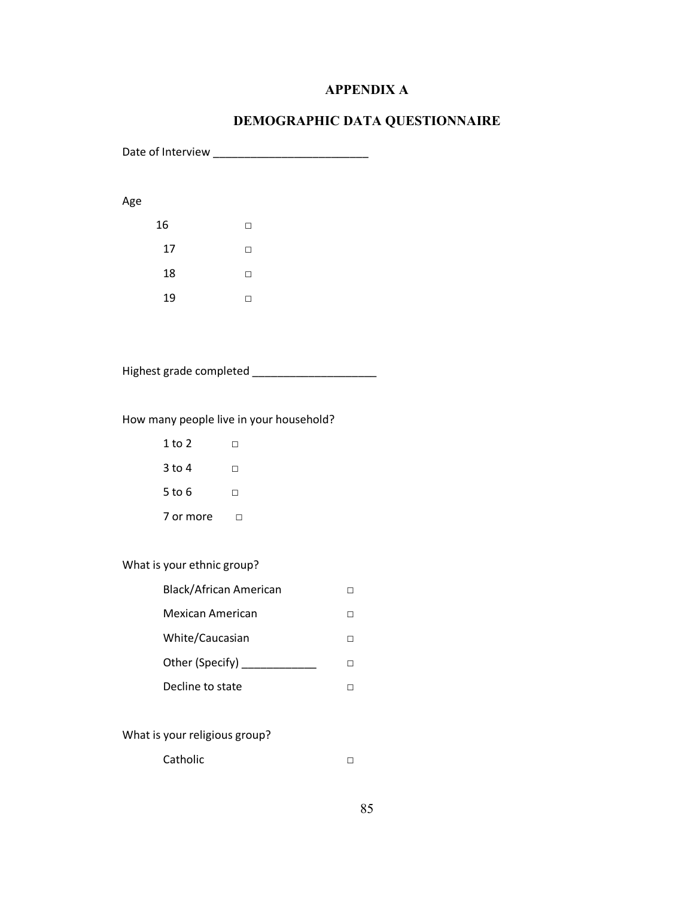## **APPENDIX A**

# **DEMOGRAPHIC DATA QUESTIONNAIRE**

Date of Interview \_\_\_\_\_\_\_\_\_\_\_\_\_\_\_\_\_\_\_\_\_\_\_\_\_

### Age

| 16 | п |
|----|---|
| 17 | П |
| 18 | П |
| 19 |   |

| Highest grade completed |  |
|-------------------------|--|
|                         |  |

## How many people live in your household?

| 1 to 2    |    |
|-----------|----|
| $3$ to 4  | LТ |
| 5 to 6    | LТ |
| 7 or more |    |

## What is your ethnic group?

| Black/African American |  |
|------------------------|--|
| Mexican American       |  |
| White/Caucasian        |  |
| Other (Specify)        |  |
| Decline to state       |  |

# What is your religious group?

Catholic □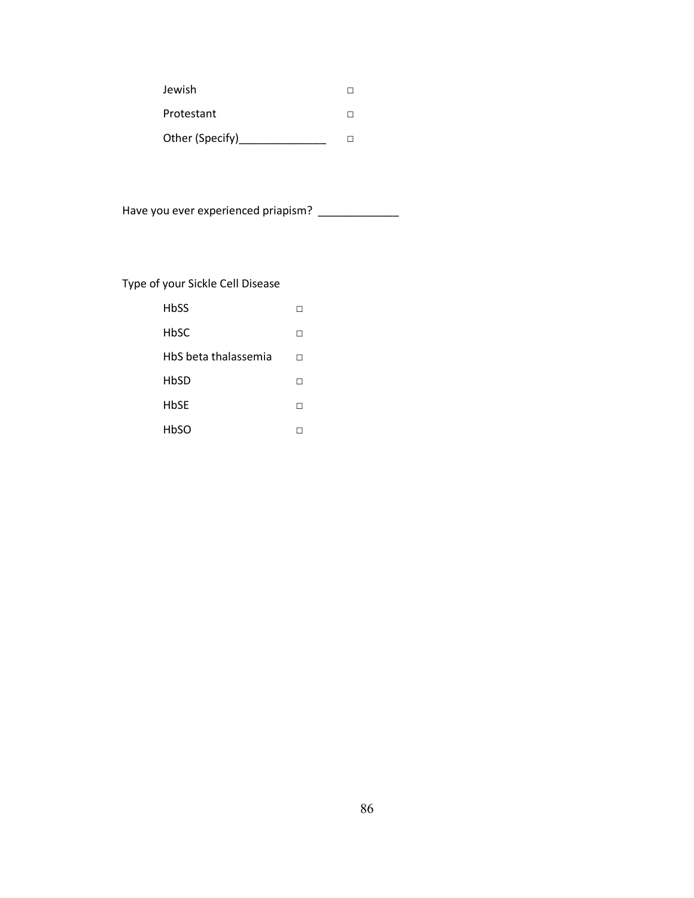| Jewish          |  |
|-----------------|--|
| Protestant      |  |
| Other (Specify) |  |

Have you ever experienced priapism? \_\_\_\_\_\_\_\_\_\_\_\_\_\_\_

# Type of your Sickle Cell Disease

| HbSS                 |   |
|----------------------|---|
| HbSC                 | H |
| HbS beta thalassemia | п |
| HbSD                 |   |
| <b>HbSE</b>          | H |
| HbSO                 |   |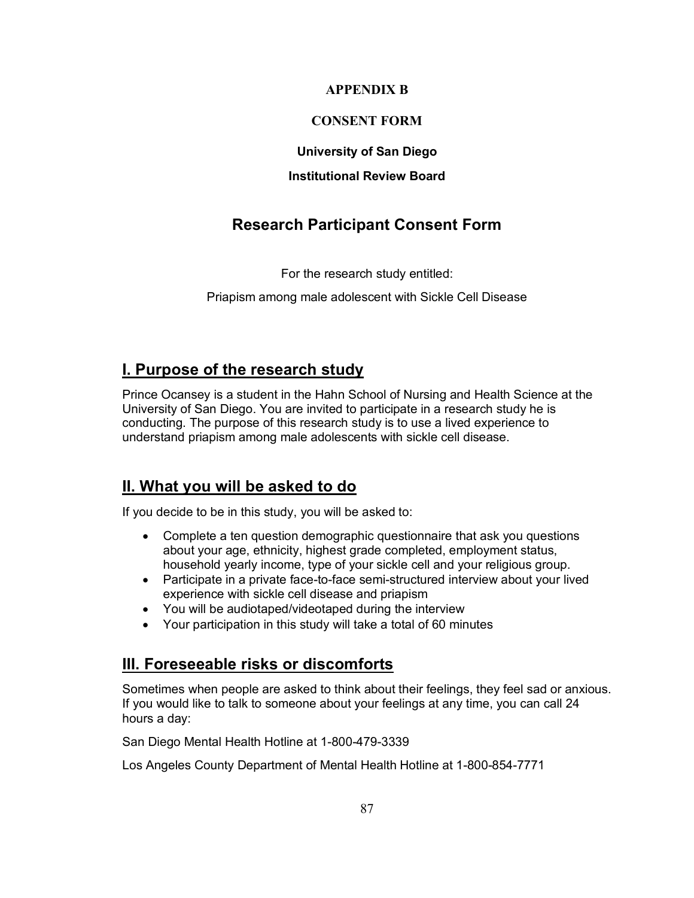## **APPENDIX B**

# **CONSENT FORM**

### **University of San Diego**

### **Institutional Review Board**

# **Research Participant Consent Form**

For the research study entitled:

Priapism among male adolescent with Sickle Cell Disease

# **I. Purpose of the research study**

Prince Ocansey is a student in the Hahn School of Nursing and Health Science at the University of San Diego. You are invited to participate in a research study he is conducting. The purpose of this research study is to use a lived experience to understand priapism among male adolescents with sickle cell disease.

# **II. What you will be asked to do**

If you decide to be in this study, you will be asked to:

- Complete a ten question demographic questionnaire that ask you questions about your age, ethnicity, highest grade completed, employment status, household yearly income, type of your sickle cell and your religious group.
- Participate in a private face-to-face semi-structured interview about your lived experience with sickle cell disease and priapism
- You will be audiotaped/videotaped during the interview
- Your participation in this study will take a total of 60 minutes

# **III. Foreseeable risks or discomforts**

Sometimes when people are asked to think about their feelings, they feel sad or anxious. If you would like to talk to someone about your feelings at any time, you can call 24 hours a day:

San Diego Mental Health Hotline at 1-800-479-3339

Los Angeles County Department of Mental Health Hotline at 1-800-854-7771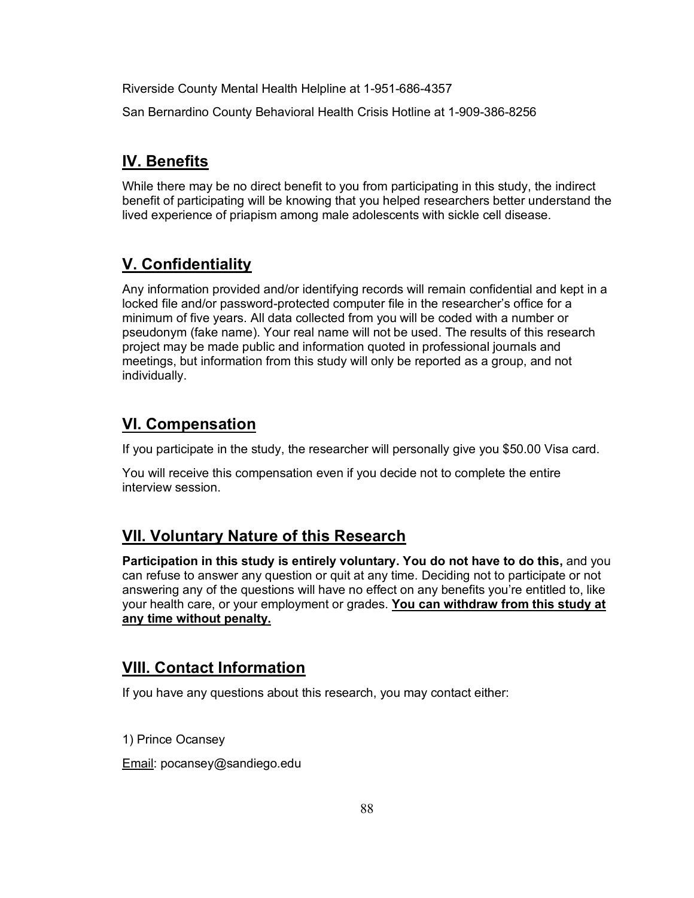Riverside County Mental Health Helpline at 1-951-686-4357

San Bernardino County Behavioral Health Crisis Hotline at 1-909-386-8256

# **IV. Benefits**

While there may be no direct benefit to you from participating in this study, the indirect benefit of participating will be knowing that you helped researchers better understand the lived experience of priapism among male adolescents with sickle cell disease.

# **V. Confidentiality**

Any information provided and/or identifying records will remain confidential and kept in a locked file and/or password-protected computer file in the researcher's office for a minimum of five years. All data collected from you will be coded with a number or pseudonym (fake name). Your real name will not be used. The results of this research project may be made public and information quoted in professional journals and meetings, but information from this study will only be reported as a group, and not individually.

# **VI. Compensation**

If you participate in the study, the researcher will personally give you \$50.00 Visa card.

You will receive this compensation even if you decide not to complete the entire interview session.

# **VII. Voluntary Nature of this Research**

**Participation in this study is entirely voluntary. You do not have to do this,** and you can refuse to answer any question or quit at any time. Deciding not to participate or not answering any of the questions will have no effect on any benefits you're entitled to, like your health care, or your employment or grades. **You can withdraw from this study at any time without penalty.**

# **VIII. Contact Information**

If you have any questions about this research, you may contact either:

1) Prince Ocansey

Email: pocansey@sandiego.edu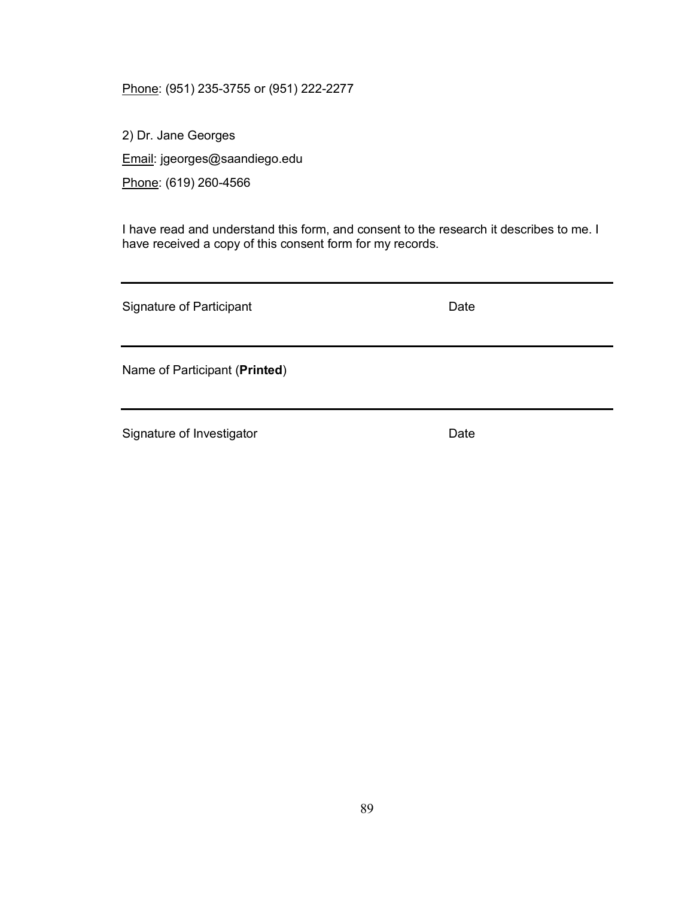Phone: (951) 235-3755 or (951) 222-2277

2) Dr. Jane Georges Email: jgeorges@saandiego.edu Phone: (619) 260-4566

I have read and understand this form, and consent to the research it describes to me. I have received a copy of this consent form for my records.

Signature of Participant **Date** Date Name of Participant (**Printed**)

Signature of Investigator **Date** Date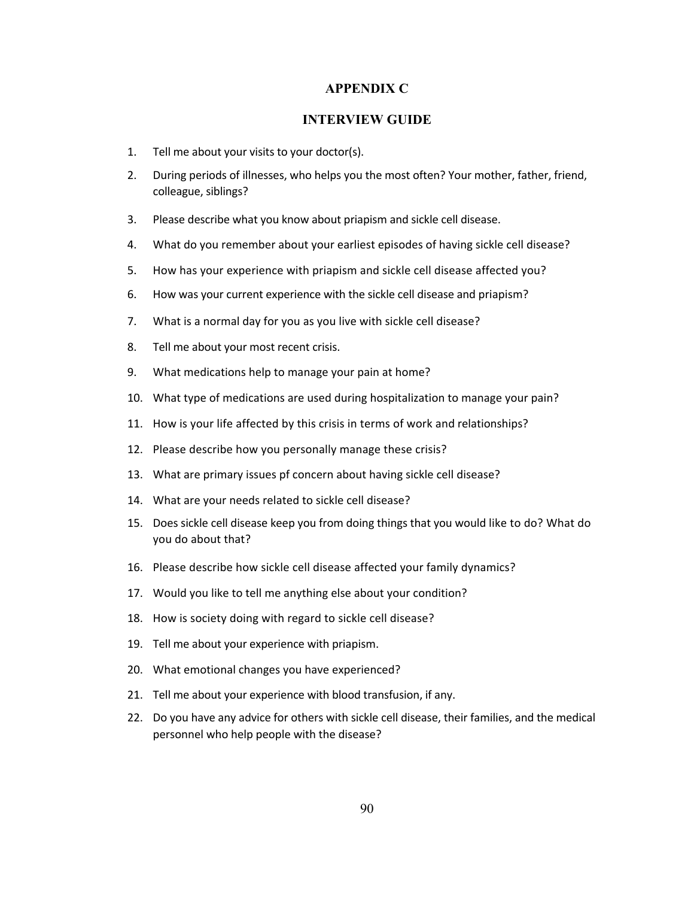### **APPENDIX C**

### **INTERVIEW GUIDE**

- 1. Tell me about your visits to your doctor(s).
- 2. During periods of illnesses, who helps you the most often? Your mother, father, friend, colleague, siblings?
- 3. Please describe what you know about priapism and sickle cell disease.
- 4. What do you remember about your earliest episodes of having sickle cell disease?
- 5. How has your experience with priapism and sickle cell disease affected you?
- 6. How was your current experience with the sickle cell disease and priapism?
- 7. What is a normal day for you as you live with sickle cell disease?
- 8. Tell me about your most recent crisis.
- 9. What medications help to manage your pain at home?
- 10. What type of medications are used during hospitalization to manage your pain?
- 11. How is your life affected by this crisis in terms of work and relationships?
- 12. Please describe how you personally manage these crisis?
- 13. What are primary issues pf concern about having sickle cell disease?
- 14. What are your needs related to sickle cell disease?
- 15. Does sickle cell disease keep you from doing things that you would like to do? What do you do about that?
- 16. Please describe how sickle cell disease affected your family dynamics?
- 17. Would you like to tell me anything else about your condition?
- 18. How is society doing with regard to sickle cell disease?
- 19. Tell me about your experience with priapism.
- 20. What emotional changes you have experienced?
- 21. Tell me about your experience with blood transfusion, if any.
- 22. Do you have any advice for others with sickle cell disease, their families, and the medical personnel who help people with the disease?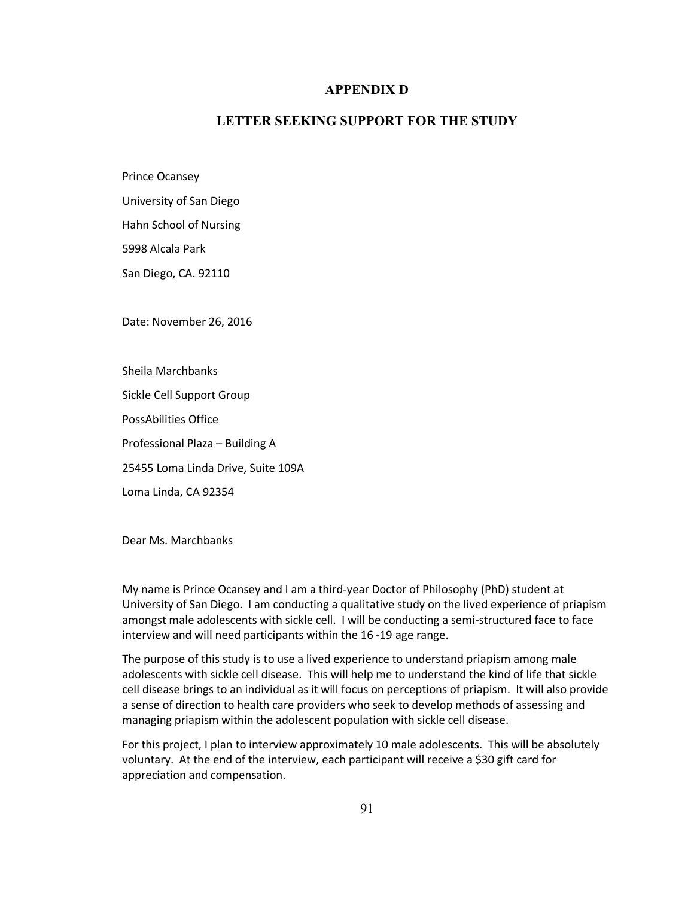#### **APPENDIX D**

## **LETTER SEEKING SUPPORT FOR THE STUDY**

Prince Ocansey

University of San Diego

Hahn School of Nursing

5998 Alcala Park

San Diego, CA. 92110

Date: November 26, 2016

Sheila Marchbanks

Sickle Cell Support Group

PossAbilities Office

Professional Plaza – Building A

25455 Loma Linda Drive, Suite 109A

Loma Linda, CA 92354

Dear Ms. Marchbanks

My name is Prince Ocansey and I am a third-year Doctor of Philosophy (PhD) student at University of San Diego. I am conducting a qualitative study on the lived experience of priapism amongst male adolescents with sickle cell. I will be conducting a semi-structured face to face interview and will need participants within the 16 -19 age range.

The purpose of this study is to use a lived experience to understand priapism among male adolescents with sickle cell disease. This will help me to understand the kind of life that sickle cell disease brings to an individual as it will focus on perceptions of priapism. It will also provide a sense of direction to health care providers who seek to develop methods of assessing and managing priapism within the adolescent population with sickle cell disease.

For this project, I plan to interview approximately 10 male adolescents. This will be absolutely voluntary. At the end of the interview, each participant will receive a \$30 gift card for appreciation and compensation.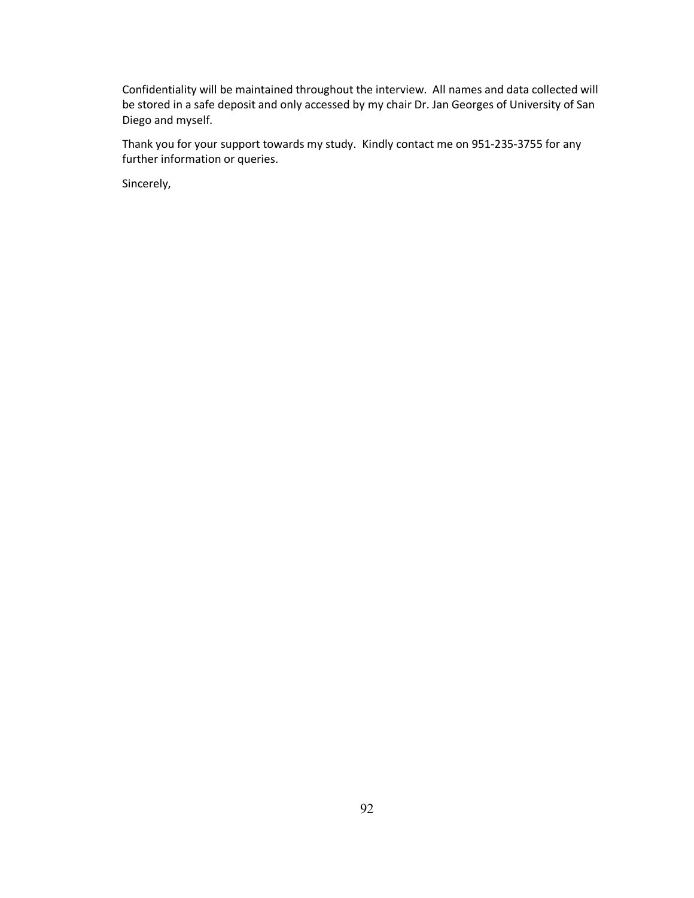Confidentiality will be maintained throughout the interview. All names and data collected will be stored in a safe deposit and only accessed by my chair Dr. Jan Georges of University of San Diego and myself.

Thank you for your support towards my study. Kindly contact me on 951-235-3755 for any further information or queries.

Sincerely,